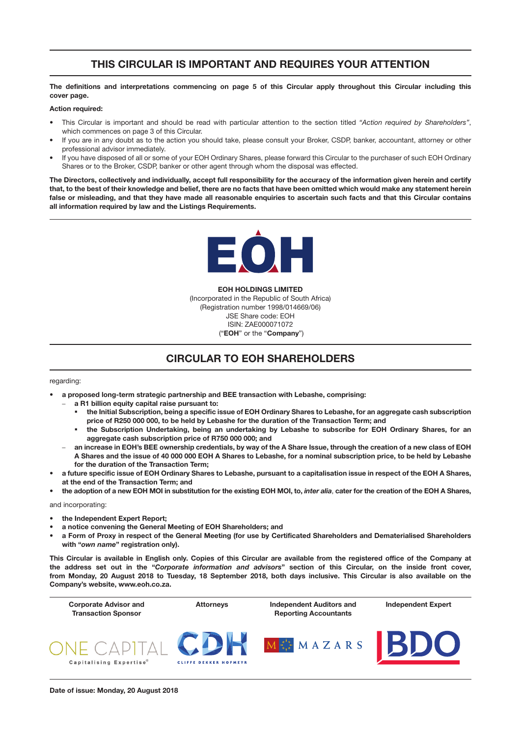# THIS CIRCULAR IS IMPORTANT AND REQUIRES YOUR ATTENTION

#### The definitions and interpretations commencing on page 5 of this Circular apply throughout this Circular including this cover page.

#### Action required:

- This Circular is important and should be read with particular attention to the section titled *"Action required by Shareholders"*, which commences on page 3 of this Circular.
- If you are in any doubt as to the action you should take, please consult your Broker, CSDP, banker, accountant, attorney or other professional advisor immediately.
- If you have disposed of all or some of your EOH Ordinary Shares, please forward this Circular to the purchaser of such EOH Ordinary Shares or to the Broker, CSDP, banker or other agent through whom the disposal was effected.

The Directors, collectively and individually, accept full responsibility for the accuracy of the information given herein and certify that, to the best of their knowledge and belief, there are no facts that have been omitted which would make any statement herein false or misleading, and that they have made all reasonable enquiries to ascertain such facts and that this Circular contains all information required by law and the Listings Requirements.



EOH HOLDINGS LIMITED (Incorporated in the Republic of South Africa) (Registration number 1998/014669/06) JSE Share code: EOH ISIN: ZAE000071072 ("EOH" or the "Company")

# CIRCULAR TO EOH SHAREHOLDERS

#### regarding:

- a proposed long-term strategic partnership and BEE transaction with Lebashe, comprising:
	- a R1 billion equity capital raise pursuant to:
		- the Initial Subscription, being a specific issue of EOH Ordinary Shares to Lebashe, for an aggregate cash subscription price of R250 000 000, to be held by Lebashe for the duration of the Transaction Term; and
		- the Subscription Undertaking, being an undertaking by Lebashe to subscribe for EOH Ordinary Shares, for an aggregate cash subscription price of R750 000 000; and
	- an increase in EOH's BEE ownership credentials, by way of the A Share Issue, through the creation of a new class of EOH A Shares and the issue of 40 000 000 EOH A Shares to Lebashe, for a nominal subscription price, to be held by Lebashe for the duration of the Transaction Term;
- a future specific issue of EOH Ordinary Shares to Lebashe, pursuant to a capitalisation issue in respect of the EOH A Shares, at the end of the Transaction Term; and
- the adoption of a new EOH MOI in substitution for the existing EOH MOI, to, *inter alia*, cater for the creation of the EOH A Shares,

## and incorporating:

- the Independent Expert Report;
- a notice convening the General Meeting of EOH Shareholders; and
- a Form of Proxy in respect of the General Meeting (for use by Certificated Shareholders and Dematerialised Shareholders with "*own name*" registration only).

This Circular is available in English only. Copies of this Circular are available from the registered office of the Company at the address set out in the "*Corporate information and advisors*" section of this Circular, on the inside front cover, from Monday, 20 August 2018 to Tuesday, 18 September 2018, both days inclusive. This Circular is also available on the Company's website, [www.eoh.co.za.](http://www.eoh.co.za)

Attorneys Independent Auditors and

Capitalising Expertise<sup>®</sup>

Corporate Advisor and Transaction Sponsor





Reporting Accountants



Independent Expert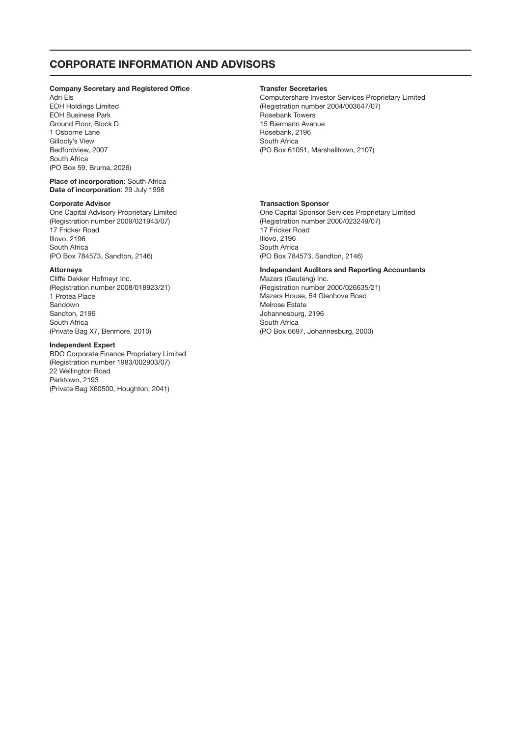## CORPORATE INFORMATION AND ADVISORS

#### Company Secretary and Registered Office

Adri Els EOH Holdings Limited EOH Business Park Ground Floor, Block D 1 Osborne Lane Gillooly's View Bedfordview, 2007 South Africa (PO Box 59, Bruma, 2026)

Place of incorporation: South Africa Date of incorporation: 29 July 1998

#### Corporate Advisor

One Capital Advisory Proprietary Limited (Registration number 2009/021943/07) 17 Fricker Road Illovo, 2196 South Africa (PO Box 784573, Sandton, 2146)

#### Attorneys

Cliffe Dekker Hofmeyr Inc. (Registration number 2008/018923/21) 1 Protea Place Sandown Sandton, 2196 South Africa (Private Bag X7, Benmore, 2010)

#### Independent Expert

BDO Corporate Finance Proprietary Limited (Registration number 1983/002903/07) 22 Wellington Road Parktown, 2193 (Private Bag X60500, Houghton, 2041)

### Transfer Secretaries

Computershare Investor Services Proprietary Limited (Registration number 2004/003647/07) Rosebank Towers 15 Biermann Avenue Rosebank, 2196 South Africa (PO Box 61051, Marshalltown, 2107)

#### Transaction Sponsor

One Capital Sponsor Services Proprietary Limited (Registration number 2000/023249/07) 17 Fricker Road Illovo, 2196 South Africa (PO Box 784573, Sandton, 2146)

#### Independent Auditors and Reporting Accountants

Mazars (Gauteng) Inc. (Registration number 2000/026635/21) Mazars House, 54 Glenhove Road Melrose Estate Johannesburg, 2196 South Africa (PO Box 6697, Johannesburg, 2000)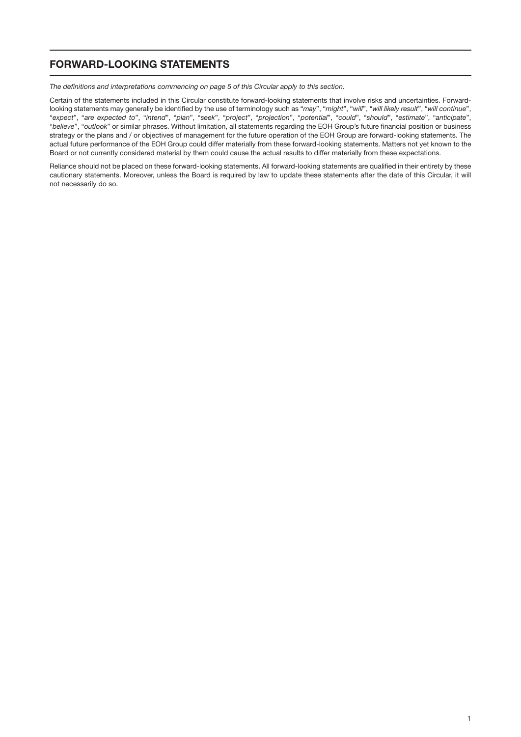# FORWARD-LOOKING STATEMENTS

*The definitions and interpretations commencing on page 5 of this Circular apply to this section.*

Certain of the statements included in this Circular constitute forward-looking statements that involve risks and uncertainties. Forwardlooking statements may generally be identified by the use of terminology such as "*may*", "*might*", "*will*", "*will likely result*", "*will continue*", "*expect*", "*are expected to*", "*intend*", "*plan*", "*seek*", "*project*", "*projection*", "*potential*", "*could*", "*should*", "*estimate*", "*anticipate*", "*believe*", "*outlook*" or similar phrases. Without limitation, all statements regarding the EOH Group's future financial position or business strategy or the plans and / or objectives of management for the future operation of the EOH Group are forward-looking statements. The actual future performance of the EOH Group could differ materially from these forward-looking statements. Matters not yet known to the Board or not currently considered material by them could cause the actual results to differ materially from these expectations.

Reliance should not be placed on these forward-looking statements. All forward-looking statements are qualified in their entirety by these cautionary statements. Moreover, unless the Board is required by law to update these statements after the date of this Circular, it will not necessarily do so.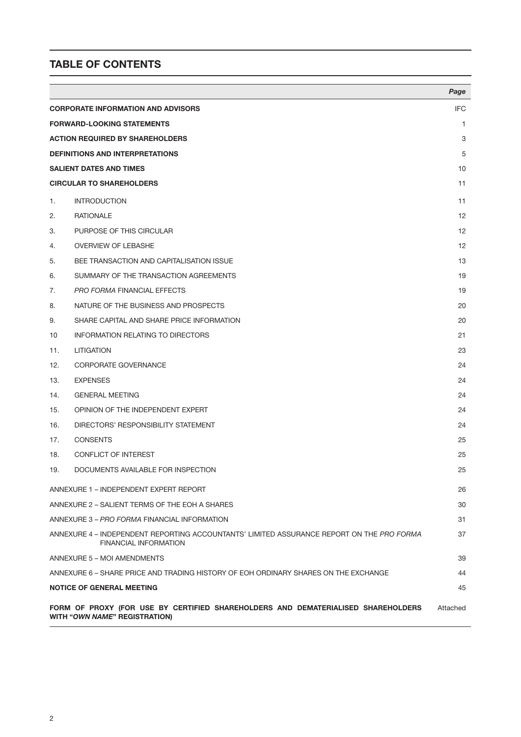# TABLE OF CONTENTS

|                                        |                                                                                                                           | Page       |  |
|----------------------------------------|---------------------------------------------------------------------------------------------------------------------------|------------|--|
|                                        | <b>CORPORATE INFORMATION AND ADVISORS</b>                                                                                 | <b>IFC</b> |  |
|                                        | <b>FORWARD-LOOKING STATEMENTS</b>                                                                                         |            |  |
| <b>ACTION REQUIRED BY SHAREHOLDERS</b> |                                                                                                                           | 3          |  |
|                                        | <b>DEFINITIONS AND INTERPRETATIONS</b>                                                                                    | 5          |  |
|                                        | <b>SALIENT DATES AND TIMES</b>                                                                                            | 10         |  |
|                                        | <b>CIRCULAR TO SHAREHOLDERS</b>                                                                                           | 11         |  |
| 1.                                     | <b>INTRODUCTION</b>                                                                                                       | 11         |  |
| 2.                                     | <b>RATIONALE</b>                                                                                                          | 12         |  |
| 3.                                     | PURPOSE OF THIS CIRCULAR                                                                                                  | 12         |  |
| 4.                                     | <b>OVERVIEW OF LEBASHE</b>                                                                                                | 12         |  |
| 5.                                     | BEE TRANSACTION AND CAPITALISATION ISSUE                                                                                  | 13         |  |
| 6.                                     | SUMMARY OF THE TRANSACTION AGREEMENTS                                                                                     | 19         |  |
| 7.                                     | PRO FORMA FINANCIAL EFFECTS                                                                                               | 19         |  |
| 8.                                     | NATURE OF THE BUSINESS AND PROSPECTS                                                                                      | 20         |  |
| 9.                                     | SHARE CAPITAL AND SHARE PRICE INFORMATION                                                                                 | 20         |  |
| 10                                     | <b>INFORMATION RELATING TO DIRECTORS</b>                                                                                  | 21         |  |
| 11.                                    | <b>LITIGATION</b>                                                                                                         | 23         |  |
| 12.                                    | CORPORATE GOVERNANCE                                                                                                      | 24         |  |
| 13.                                    | <b>EXPENSES</b>                                                                                                           | 24         |  |
| 14.                                    | <b>GENERAL MEETING</b>                                                                                                    | 24         |  |
| 15.                                    | OPINION OF THE INDEPENDENT EXPERT                                                                                         | 24         |  |
| 16.                                    | DIRECTORS' RESPONSIBILITY STATEMENT                                                                                       | 24         |  |
| 17.                                    | <b>CONSENTS</b>                                                                                                           | 25         |  |
| 18.                                    | <b>CONFLICT OF INTEREST</b>                                                                                               | 25         |  |
| 19.                                    | DOCUMENTS AVAILABLE FOR INSPECTION                                                                                        | 25         |  |
|                                        | ANNEXURE 1 - INDEPENDENT EXPERT REPORT                                                                                    | 26         |  |
|                                        | ANNEXURE 2 - SALIENT TERMS OF THE EOH A SHARES                                                                            | 30         |  |
|                                        | ANNEXURE 3 - PRO FORMA FINANCIAL INFORMATION                                                                              | 31         |  |
|                                        | ANNEXURE 4 - INDEPENDENT REPORTING ACCOUNTANTS' LIMITED ASSURANCE REPORT ON THE PRO FORMA<br><b>FINANCIAL INFORMATION</b> | 37         |  |
|                                        | ANNEXURE 5 - MOI AMENDMENTS                                                                                               | 39         |  |
|                                        | ANNEXURE 6 – SHARE PRICE AND TRADING HISTORY OF EOH ORDINARY SHARES ON THE EXCHANGE                                       | 44         |  |
|                                        | <b>NOTICE OF GENERAL MEETING</b>                                                                                          | 45         |  |
|                                        | FORM OF PROXY (FOR USE BY CERTIFIED SHAREHOLDERS AND DEMATERIALISED SHAREHOLDERS<br>WITH "OWN NAME" REGISTRATION)         | Attached   |  |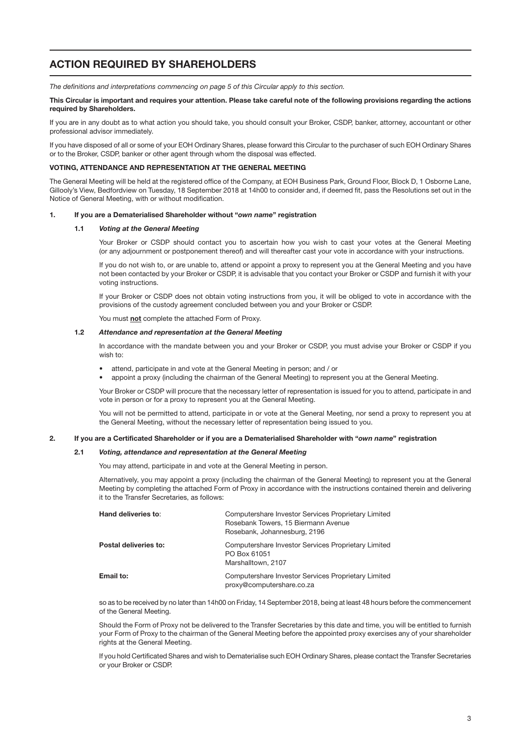# ACTION REQUIRED BY SHAREHOLDERS

*The definitions and interpretations commencing on page 5 of this Circular apply to this section.*

#### This Circular is important and requires your attention. Please take careful note of the following provisions regarding the actions required by Shareholders.

If you are in any doubt as to what action you should take, you should consult your Broker, CSDP, banker, attorney, accountant or other professional advisor immediately.

If you have disposed of all or some of your EOH Ordinary Shares, please forward this Circular to the purchaser of such EOH Ordinary Shares or to the Broker, CSDP, banker or other agent through whom the disposal was effected.

### VOTING, ATTENDANCE AND REPRESENTATION AT THE GENERAL MEETING

The General Meeting will be held at the registered office of the Company, at EOH Business Park, Ground Floor, Block D, 1 Osborne Lane, Gillooly's View, Bedfordview on Tuesday, 18 September 2018 at 14h00 to consider and, if deemed fit, pass the Resolutions set out in the Notice of General Meeting, with or without modification.

#### 1. If you are a Dematerialised Shareholder without "*own name*" registration

#### 1.1 *Voting at the General Meeting*

Your Broker or CSDP should contact you to ascertain how you wish to cast your votes at the General Meeting (or any adjournment or postponement thereof) and will thereafter cast your vote in accordance with your instructions.

If you do not wish to, or are unable to, attend or appoint a proxy to represent you at the General Meeting and you have not been contacted by your Broker or CSDP, it is advisable that you contact your Broker or CSDP and furnish it with your voting instructions.

If your Broker or CSDP does not obtain voting instructions from you, it will be obliged to vote in accordance with the provisions of the custody agreement concluded between you and your Broker or CSDP.

You must not complete the attached Form of Proxy.

## 1.2 *Attendance and representation at the General Meeting*

In accordance with the mandate between you and your Broker or CSDP, you must advise your Broker or CSDP if you wish to:

- attend, participate in and vote at the General Meeting in person; and / or
- appoint a proxy (including the chairman of the General Meeting) to represent you at the General Meeting.

Your Broker or CSDP will procure that the necessary letter of representation is issued for you to attend, participate in and vote in person or for a proxy to represent you at the General Meeting.

You will not be permitted to attend, participate in or vote at the General Meeting, nor send a proxy to represent you at the General Meeting, without the necessary letter of representation being issued to you.

#### 2. If you are a Certificated Shareholder or if you are a Dematerialised Shareholder with "*own name*" registration

#### 2.1 *Voting, attendance and representation at the General Meeting*

You may attend, participate in and vote at the General Meeting in person.

Alternatively, you may appoint a proxy (including the chairman of the General Meeting) to represent you at the General Meeting by completing the attached Form of Proxy in accordance with the instructions contained therein and delivering it to the Transfer Secretaries, as follows:

| Hand deliveries to:   | Computershare Investor Services Proprietary Limited<br>Rosebank Towers, 15 Biermann Avenue<br>Rosebank, Johannesburg, 2196 |
|-----------------------|----------------------------------------------------------------------------------------------------------------------------|
| Postal deliveries to: | Computershare Investor Services Proprietary Limited<br>PO Box 61051<br>Marshalltown, 2107                                  |
| Email to:             | Computershare Investor Services Proprietary Limited<br>proxy@computershare.co.za                                           |

so as to be received by no later than 14h00 on Friday, 14 September 2018, being at least 48 hours before the commencement of the General Meeting.

Should the Form of Proxy not be delivered to the Transfer Secretaries by this date and time, you will be entitled to furnish your Form of Proxy to the chairman of the General Meeting before the appointed proxy exercises any of your shareholder rights at the General Meeting.

If you hold Certificated Shares and wish to Dematerialise such EOH Ordinary Shares, please contact the Transfer Secretaries or your Broker or CSDP.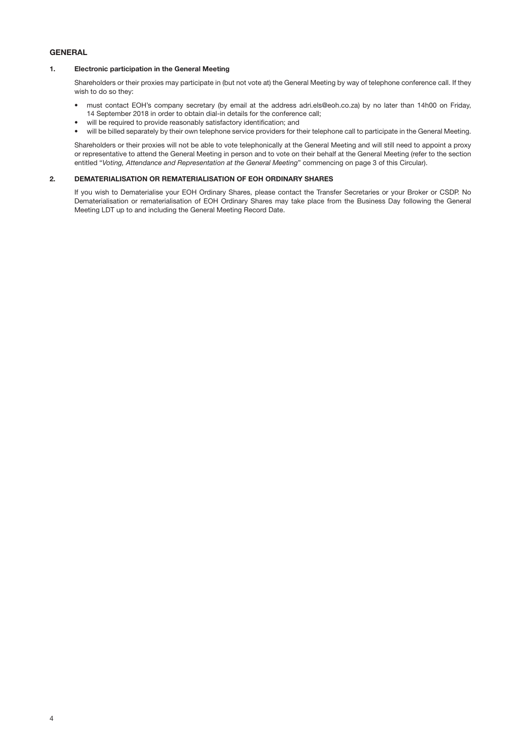## **GENERAL**

## 1. Electronic participation in the General Meeting

Shareholders or their proxies may participate in (but not vote at) the General Meeting by way of telephone conference call. If they wish to do so they:

- must contact EOH's company secretary (by email at the address [adri.els@eoh.co.za](mailto:adri.els@eoh.co.za)) by no later than 14h00 on Friday, 14 September 2018 in order to obtain dial-in details for the conference call;
- will be required to provide reasonably satisfactory identification; and
- will be billed separately by their own telephone service providers for their telephone call to participate in the General Meeting.

Shareholders or their proxies will not be able to vote telephonically at the General Meeting and will still need to appoint a proxy or representative to attend the General Meeting in person and to vote on their behalf at the General Meeting (refer to the section entitled "*Voting, Attendance and Representation at the General Meeting*" commencing on page 3 of this Circular).

## 2. DEMATERIALISATION OR REMATERIALISATION OF EOH ORDINARY SHARES

If you wish to Dematerialise your EOH Ordinary Shares, please contact the Transfer Secretaries or your Broker or CSDP. No Dematerialisation or rematerialisation of EOH Ordinary Shares may take place from the Business Day following the General Meeting LDT up to and including the General Meeting Record Date.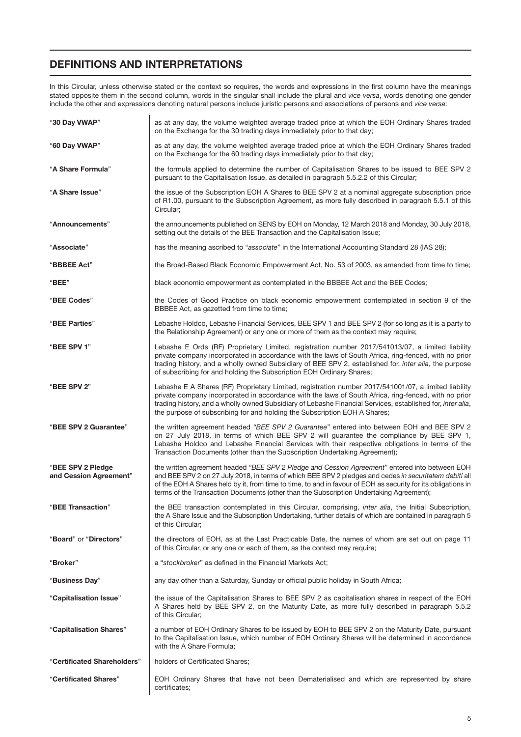# DEFINITIONS AND INTERPRETATIONS

In this Circular, unless otherwise stated or the context so requires, the words and expressions in the first column have the meanings stated opposite them in the second column, words in the singular shall include the plural and *vice versa*, words denoting one gender include the other and expressions denoting natural persons include juristic persons and associations of persons and *vice versa*:

| "30 Day VWAP"                               | as at any day, the volume weighted average traded price at which the EOH Ordinary Shares traded<br>on the Exchange for the 30 trading days immediately prior to that day;                                                                                                                                                                                                                                            |
|---------------------------------------------|----------------------------------------------------------------------------------------------------------------------------------------------------------------------------------------------------------------------------------------------------------------------------------------------------------------------------------------------------------------------------------------------------------------------|
| "60 Day VWAP"                               | as at any day, the volume weighted average traded price at which the EOH Ordinary Shares traded<br>on the Exchange for the 60 trading days immediately prior to that day;                                                                                                                                                                                                                                            |
| "A Share Formula"                           | the formula applied to determine the number of Capitalisation Shares to be issued to BEE SPV 2<br>pursuant to the Capitalisation Issue, as detailed in paragraph 5.5.2.2 of this Circular;                                                                                                                                                                                                                           |
| "A Share Issue"                             | the issue of the Subscription EOH A Shares to BEE SPV 2 at a nominal aggregate subscription price<br>of R1.00, pursuant to the Subscription Agreement, as more fully described in paragraph 5.5.1 of this<br>Circular;                                                                                                                                                                                               |
| "Announcements"                             | the announcements published on SENS by EOH on Monday, 12 March 2018 and Monday, 30 July 2018,<br>setting out the details of the BEE Transaction and the Capitalisation Issue;                                                                                                                                                                                                                                        |
| "Associate"                                 | has the meaning ascribed to "associate" in the International Accounting Standard 28 (IAS 28);                                                                                                                                                                                                                                                                                                                        |
| "BBBEE Act"                                 | the Broad-Based Black Economic Empowerment Act, No. 53 of 2003, as amended from time to time;                                                                                                                                                                                                                                                                                                                        |
| "BEE"                                       | black economic empowerment as contemplated in the BBBEE Act and the BEE Codes;                                                                                                                                                                                                                                                                                                                                       |
| "BEE Codes"                                 | the Codes of Good Practice on black economic empowerment contemplated in section 9 of the<br>BBBEE Act, as gazetted from time to time;                                                                                                                                                                                                                                                                               |
| "BEE Parties"                               | Lebashe Holdco, Lebashe Financial Services, BEE SPV 1 and BEE SPV 2 (for so long as it is a party to<br>the Relationship Agreement) or any one or more of them as the context may require;                                                                                                                                                                                                                           |
| "BEE SPV 1"                                 | Lebashe E Ords (RF) Proprietary Limited, registration number 2017/541013/07, a limited liability<br>private company incorporated in accordance with the laws of South Africa, ring-fenced, with no prior<br>trading history, and a wholly owned Subsidiary of BEE SPV 2, established for, inter alia, the purpose<br>of subscribing for and holding the Subscription EOH Ordinary Shares;                            |
| "BEE SPV 2"                                 | Lebashe E A Shares (RF) Proprietary Limited, registration number 2017/541001/07, a limited liability<br>private company incorporated in accordance with the laws of South Africa, ring-fenced, with no prior<br>trading history, and a wholly owned Subsidiary of Lebashe Financial Services, established for, inter alia,<br>the purpose of subscribing for and holding the Subscription EOH A Shares;              |
| "BEE SPV 2 Guarantee"                       | the written agreement headed "BEE SPV 2 Guarantee" entered into between EOH and BEE SPV 2<br>on 27 July 2018, in terms of which BEE SPV 2 will guarantee the compliance by BEE SPV 1,<br>Lebashe Holdco and Lebashe Financial Services with their respective obligations in terms of the<br>Transaction Documents (other than the Subscription Undertaking Agreement);                                               |
| "BEE SPV 2 Pledge<br>and Cession Agreement" | the written agreement headed "BEE SPV 2 Pledge and Cession Agreement" entered into between EOH<br>and BEE SPV 2 on 27 July 2018, in terms of which BEE SPV 2 pledges and cedes in securitatem debiti all<br>of the EOH A Shares held by it, from time to time, to and in favour of EOH as security for its obligations in<br>terms of the Transaction Documents (other than the Subscription Undertaking Agreement); |
| "BEE Transaction"                           | the BEE transaction contemplated in this Circular, comprising, inter alia, the Initial Subscription,<br>the A Share Issue and the Subscription Undertaking, further details of which are contained in paragraph 5<br>of this Circular:                                                                                                                                                                               |
| "Board" or "Directors"                      | the directors of EOH, as at the Last Practicable Date, the names of whom are set out on page 11<br>of this Circular, or any one or each of them, as the context may require;                                                                                                                                                                                                                                         |
| "Broker"                                    | a "stockbroker" as defined in the Financial Markets Act;                                                                                                                                                                                                                                                                                                                                                             |
| "Business Day"                              | any day other than a Saturday, Sunday or official public holiday in South Africa;                                                                                                                                                                                                                                                                                                                                    |
| "Capitalisation Issue"                      | the issue of the Capitalisation Shares to BEE SPV 2 as capitalisation shares in respect of the EOH<br>A Shares held by BEE SPV 2, on the Maturity Date, as more fully described in paragraph 5.5.2<br>of this Circular;                                                                                                                                                                                              |
| "Capitalisation Shares"                     | a number of EOH Ordinary Shares to be issued by EOH to BEE SPV 2 on the Maturity Date, pursuant<br>to the Capitalisation Issue, which number of EOH Ordinary Shares will be determined in accordance<br>with the A Share Formula;                                                                                                                                                                                    |
| "Certificated Shareholders"                 | holders of Certificated Shares;                                                                                                                                                                                                                                                                                                                                                                                      |
| "Certificated Shares"                       | EOH Ordinary Shares that have not been Dematerialised and which are represented by share<br>certificates;                                                                                                                                                                                                                                                                                                            |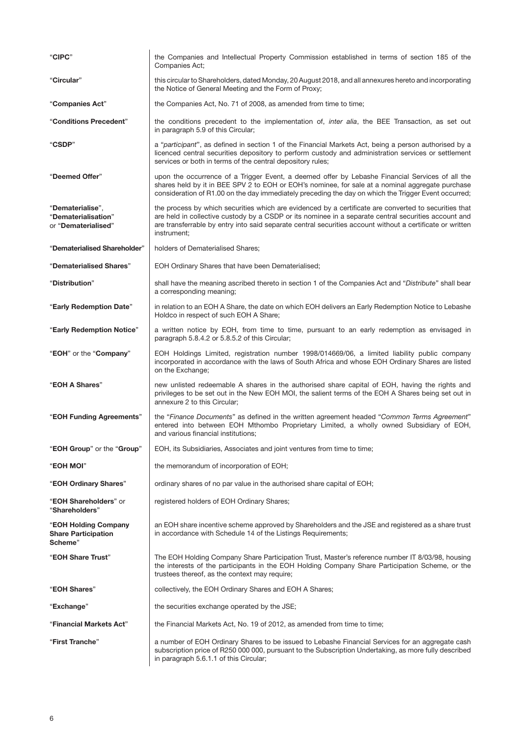| "CIPC"                                                         | the Companies and Intellectual Property Commission established in terms of section 185 of the<br>Companies Act;                                                                                                                                                                                                                           |
|----------------------------------------------------------------|-------------------------------------------------------------------------------------------------------------------------------------------------------------------------------------------------------------------------------------------------------------------------------------------------------------------------------------------|
| "Circular"                                                     | this circular to Shareholders, dated Monday, 20 August 2018, and all annexures hereto and incorporating<br>the Notice of General Meeting and the Form of Proxy;                                                                                                                                                                           |
| "Companies Act"                                                | the Companies Act, No. 71 of 2008, as amended from time to time;                                                                                                                                                                                                                                                                          |
| "Conditions Precedent"                                         | the conditions precedent to the implementation of, inter alia, the BEE Transaction, as set out<br>in paragraph 5.9 of this Circular;                                                                                                                                                                                                      |
| "CSDP"                                                         | a "participant", as defined in section 1 of the Financial Markets Act, being a person authorised by a<br>licenced central securities depository to perform custody and administration services or settlement<br>services or both in terms of the central depository rules;                                                                |
| "Deemed Offer"                                                 | upon the occurrence of a Trigger Event, a deemed offer by Lebashe Financial Services of all the<br>shares held by it in BEE SPV 2 to EOH or EOH's nominee, for sale at a nominal aggregate purchase<br>consideration of R1.00 on the day immediately preceding the day on which the Trigger Event occurred;                               |
| "Dematerialise",<br>"Dematerialisation"<br>or "Dematerialised" | the process by which securities which are evidenced by a certificate are converted to securities that<br>are held in collective custody by a CSDP or its nominee in a separate central securities account and<br>are transferrable by entry into said separate central securities account without a certificate or written<br>instrument; |
| "Dematerialised Shareholder"                                   | holders of Dematerialised Shares;                                                                                                                                                                                                                                                                                                         |
| "Dematerialised Shares"                                        | EOH Ordinary Shares that have been Dematerialised;                                                                                                                                                                                                                                                                                        |
| "Distribution"                                                 | shall have the meaning ascribed thereto in section 1 of the Companies Act and "Distribute" shall bear<br>a corresponding meaning;                                                                                                                                                                                                         |
| "Early Redemption Date"                                        | in relation to an EOH A Share, the date on which EOH delivers an Early Redemption Notice to Lebashe<br>Holdco in respect of such EOH A Share;                                                                                                                                                                                             |
| "Early Redemption Notice"                                      | a written notice by EOH, from time to time, pursuant to an early redemption as envisaged in<br>paragraph 5.8.4.2 or 5.8.5.2 of this Circular;                                                                                                                                                                                             |
| "EOH" or the "Company"                                         | EOH Holdings Limited, registration number 1998/014669/06, a limited liability public company<br>incorporated in accordance with the laws of South Africa and whose EOH Ordinary Shares are listed<br>on the Exchange;                                                                                                                     |
| "EOH A Shares"                                                 | new unlisted redeemable A shares in the authorised share capital of EOH, having the rights and<br>privileges to be set out in the New EOH MOI, the salient terms of the EOH A Shares being set out in<br>annexure 2 to this Circular;                                                                                                     |
| "EOH Funding Agreements"                                       | the "Finance Documents" as defined in the written agreement headed "Common Terms Agreement"<br>entered into between EOH Mthombo Proprietary Limited, a wholly owned Subsidiary of EOH,<br>and various financial institutions;                                                                                                             |
| "EOH Group" or the "Group"                                     | EOH, its Subsidiaries, Associates and joint ventures from time to time;                                                                                                                                                                                                                                                                   |
| "EOH MOI"                                                      | the memorandum of incorporation of EOH;                                                                                                                                                                                                                                                                                                   |
| "EOH Ordinary Shares"                                          | ordinary shares of no par value in the authorised share capital of EOH;                                                                                                                                                                                                                                                                   |
| "EOH Shareholders" or<br>"Shareholders"                        | registered holders of EOH Ordinary Shares;                                                                                                                                                                                                                                                                                                |
| "EOH Holding Company<br><b>Share Participation</b><br>Scheme"  | an EOH share incentive scheme approved by Shareholders and the JSE and registered as a share trust<br>in accordance with Schedule 14 of the Listings Requirements;                                                                                                                                                                        |
| "EOH Share Trust"                                              | The EOH Holding Company Share Participation Trust, Master's reference number IT 8/03/98, housing<br>the interests of the participants in the EOH Holding Company Share Participation Scheme, or the<br>trustees thereof, as the context may require;                                                                                      |
| "EOH Shares"                                                   | collectively, the EOH Ordinary Shares and EOH A Shares;                                                                                                                                                                                                                                                                                   |
| "Exchange"                                                     | the securities exchange operated by the JSE;                                                                                                                                                                                                                                                                                              |
| "Financial Markets Act"                                        | the Financial Markets Act, No. 19 of 2012, as amended from time to time;                                                                                                                                                                                                                                                                  |
| "First Tranche"                                                | a number of EOH Ordinary Shares to be issued to Lebashe Financial Services for an aggregate cash<br>subscription price of R250 000 000, pursuant to the Subscription Undertaking, as more fully described<br>in paragraph 5.6.1.1 of this Circular;                                                                                       |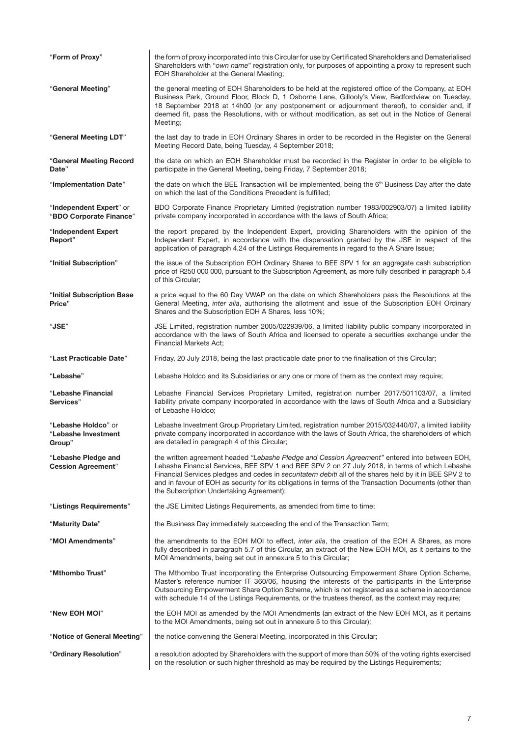| "Form of Proxy"                                               | the form of proxy incorporated into this Circular for use by Certificated Shareholders and Dematerialised<br>Shareholders with "own name" registration only, for purposes of appointing a proxy to represent such<br>EOH Shareholder at the General Meeting;                                                                                                                                                                                                     |
|---------------------------------------------------------------|------------------------------------------------------------------------------------------------------------------------------------------------------------------------------------------------------------------------------------------------------------------------------------------------------------------------------------------------------------------------------------------------------------------------------------------------------------------|
| "General Meeting"                                             | the general meeting of EOH Shareholders to be held at the registered office of the Company, at EOH<br>Business Park, Ground Floor, Block D, 1 Osborne Lane, Gillooly's View, Bedfordview on Tuesday,<br>18 September 2018 at 14h00 (or any postponement or adjournment thereof), to consider and, if<br>deemed fit, pass the Resolutions, with or without modification, as set out in the Notice of General<br>Meeting;                                          |
| "General Meeting LDT"                                         | the last day to trade in EOH Ordinary Shares in order to be recorded in the Register on the General<br>Meeting Record Date, being Tuesday, 4 September 2018;                                                                                                                                                                                                                                                                                                     |
| "General Meeting Record<br>Date"                              | the date on which an EOH Shareholder must be recorded in the Register in order to be eligible to<br>participate in the General Meeting, being Friday, 7 September 2018;                                                                                                                                                                                                                                                                                          |
| "Implementation Date"                                         | the date on which the BEE Transaction will be implemented, being the 6 <sup>th</sup> Business Day after the date<br>on which the last of the Conditions Precedent is fulfilled;                                                                                                                                                                                                                                                                                  |
| "Independent Expert" or<br>"BDO Corporate Finance"            | BDO Corporate Finance Proprietary Limited (registration number 1983/002903/07) a limited liability<br>private company incorporated in accordance with the laws of South Africa;                                                                                                                                                                                                                                                                                  |
| "Independent Expert<br>Report"                                | the report prepared by the Independent Expert, providing Shareholders with the opinion of the<br>Independent Expert, in accordance with the dispensation granted by the JSE in respect of the<br>application of paragraph 4.24 of the Listings Requirements in regard to the A Share Issue;                                                                                                                                                                      |
| "Initial Subscription"                                        | the issue of the Subscription EOH Ordinary Shares to BEE SPV 1 for an aggregate cash subscription<br>price of R250 000 000, pursuant to the Subscription Agreement, as more fully described in paragraph 5.4<br>of this Circular:                                                                                                                                                                                                                                |
| "Initial Subscription Base<br>Price"                          | a price equal to the 60 Day VWAP on the date on which Shareholders pass the Resolutions at the<br>General Meeting, inter alia, authorising the allotment and issue of the Subscription EOH Ordinary<br>Shares and the Subscription EOH A Shares, less 10%;                                                                                                                                                                                                       |
| "JSE"                                                         | JSE Limited, registration number 2005/022939/06, a limited liability public company incorporated in<br>accordance with the laws of South Africa and licensed to operate a securities exchange under the<br>Financial Markets Act;                                                                                                                                                                                                                                |
| "Last Practicable Date"                                       | Friday, 20 July 2018, being the last practicable date prior to the finalisation of this Circular;                                                                                                                                                                                                                                                                                                                                                                |
| "Lebashe"                                                     | Lebashe Holdco and its Subsidiaries or any one or more of them as the context may require;                                                                                                                                                                                                                                                                                                                                                                       |
| "Lebashe Financial<br>Services"                               | Lebashe Financial Services Proprietary Limited, registration number 2017/501103/07, a limited<br>liability private company incorporated in accordance with the laws of South Africa and a Subsidiary<br>of Lebashe Holdco;                                                                                                                                                                                                                                       |
| " <b>Lebashe Holdco</b> " or<br>"Lebashe Investment<br>Group" | Lebashe Investment Group Proprietary Limited, registration number 2015/032440/07, a limited liability<br>private company incorporated in accordance with the laws of South Africa, the shareholders of which<br>are detailed in paragraph 4 of this Circular;                                                                                                                                                                                                    |
| "Lebashe Pledge and<br><b>Cession Agreement"</b>              | the written agreement headed "Lebashe Pledge and Cession Agreement" entered into between EOH,<br>Lebashe Financial Services, BEE SPV 1 and BEE SPV 2 on 27 July 2018, in terms of which Lebashe<br>Financial Services pledges and cedes in securitatem debiti all of the shares held by it in BEE SPV 2 to<br>and in favour of EOH as security for its obligations in terms of the Transaction Documents (other than<br>the Subscription Undertaking Agreement); |
| "Listings Requirements"                                       | the JSE Limited Listings Requirements, as amended from time to time;                                                                                                                                                                                                                                                                                                                                                                                             |
| "Maturity Date"                                               | the Business Day immediately succeeding the end of the Transaction Term;                                                                                                                                                                                                                                                                                                                                                                                         |
| "MOI Amendments"                                              | the amendments to the EOH MOI to effect, <i>inter alia</i> , the creation of the EOH A Shares, as more<br>fully described in paragraph 5.7 of this Circular, an extract of the New EOH MOI, as it pertains to the<br>MOI Amendments, being set out in annexure 5 to this Circular;                                                                                                                                                                               |
| "Mthombo Trust"                                               | The Mthombo Trust incorporating the Enterprise Outsourcing Empowerment Share Option Scheme,<br>Master's reference number IT 360/06, housing the interests of the participants in the Enterprise<br>Outsourcing Empowerment Share Option Scheme, which is not registered as a scheme in accordance<br>with schedule 14 of the Listings Requirements, or the trustees thereof, as the context may require;                                                         |
| "New EOH MOI"                                                 | the EOH MOI as amended by the MOI Amendments (an extract of the New EOH MOI, as it pertains<br>to the MOI Amendments, being set out in annexure 5 to this Circular);                                                                                                                                                                                                                                                                                             |
| "Notice of General Meeting"                                   | the notice convening the General Meeting, incorporated in this Circular;                                                                                                                                                                                                                                                                                                                                                                                         |
| "Ordinary Resolution"                                         | a resolution adopted by Shareholders with the support of more than 50% of the voting rights exercised<br>on the resolution or such higher threshold as may be required by the Listings Requirements;                                                                                                                                                                                                                                                             |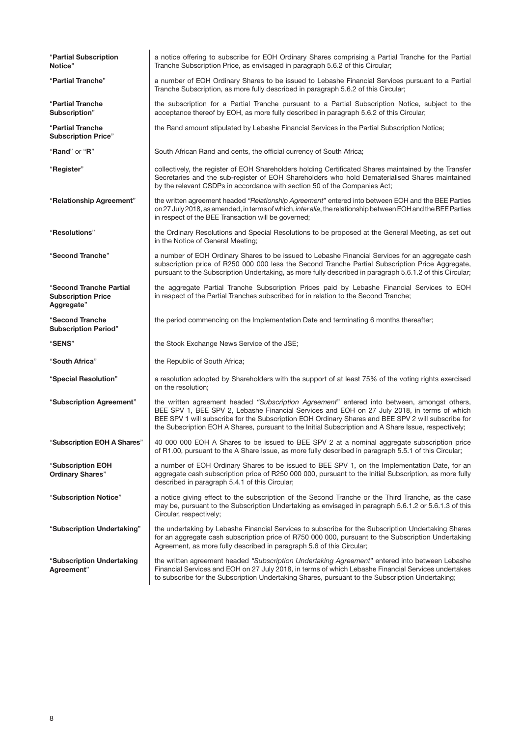| "Partial Subscription<br>Notice"                                   | a notice offering to subscribe for EOH Ordinary Shares comprising a Partial Tranche for the Partial<br>Tranche Subscription Price, as envisaged in paragraph 5.6.2 of this Circular;                                                                                                                                                                                                                     |
|--------------------------------------------------------------------|----------------------------------------------------------------------------------------------------------------------------------------------------------------------------------------------------------------------------------------------------------------------------------------------------------------------------------------------------------------------------------------------------------|
| "Partial Tranche"                                                  | a number of EOH Ordinary Shares to be issued to Lebashe Financial Services pursuant to a Partial<br>Tranche Subscription, as more fully described in paragraph 5.6.2 of this Circular;                                                                                                                                                                                                                   |
| <b>"Partial Tranche</b><br>Subscription"                           | the subscription for a Partial Tranche pursuant to a Partial Subscription Notice, subject to the<br>acceptance thereof by EOH, as more fully described in paragraph 5.6.2 of this Circular;                                                                                                                                                                                                              |
| "Partial Tranche<br><b>Subscription Price"</b>                     | the Rand amount stipulated by Lebashe Financial Services in the Partial Subscription Notice;                                                                                                                                                                                                                                                                                                             |
| " <b>Rand</b> " or " <b>R</b> "                                    | South African Rand and cents, the official currency of South Africa;                                                                                                                                                                                                                                                                                                                                     |
| "Register"                                                         | collectively, the register of EOH Shareholders holding Certificated Shares maintained by the Transfer<br>Secretaries and the sub-register of EOH Shareholders who hold Dematerialised Shares maintained<br>by the relevant CSDPs in accordance with section 50 of the Companies Act;                                                                                                                     |
| "Relationship Agreement"                                           | the written agreement headed "Relationship Agreement" entered into between EOH and the BEE Parties<br>on 27 July 2018, as amended, in terms of which, interalia, the relationship between EOH and the BEE Parties<br>in respect of the BEE Transaction will be governed;                                                                                                                                 |
| "Resolutions"                                                      | the Ordinary Resolutions and Special Resolutions to be proposed at the General Meeting, as set out<br>in the Notice of General Meeting;                                                                                                                                                                                                                                                                  |
| "Second Tranche"                                                   | a number of EOH Ordinary Shares to be issued to Lebashe Financial Services for an aggregate cash<br>subscription price of R250 000 000 less the Second Tranche Partial Subscription Price Aggregate,<br>pursuant to the Subscription Undertaking, as more fully described in paragraph 5.6.1.2 of this Circular;                                                                                         |
| "Second Tranche Partial<br><b>Subscription Price</b><br>Aggregate" | the aggregate Partial Tranche Subscription Prices paid by Lebashe Financial Services to EOH<br>in respect of the Partial Tranches subscribed for in relation to the Second Tranche;                                                                                                                                                                                                                      |
|                                                                    |                                                                                                                                                                                                                                                                                                                                                                                                          |
| "Second Tranche<br><b>Subscription Period"</b>                     | the period commencing on the Implementation Date and terminating 6 months thereafter;                                                                                                                                                                                                                                                                                                                    |
| "SENS"                                                             | the Stock Exchange News Service of the JSE;                                                                                                                                                                                                                                                                                                                                                              |
| "South Africa"                                                     | the Republic of South Africa;                                                                                                                                                                                                                                                                                                                                                                            |
| "Special Resolution"                                               | a resolution adopted by Shareholders with the support of at least 75% of the voting rights exercised<br>on the resolution;                                                                                                                                                                                                                                                                               |
| "Subscription Agreement"                                           | the written agreement headed "Subscription Agreement" entered into between, amongst others,<br>BEE SPV 1, BEE SPV 2, Lebashe Financial Services and EOH on 27 July 2018, in terms of which<br>BEE SPV 1 will subscribe for the Subscription EOH Ordinary Shares and BEE SPV 2 will subscribe for<br>the Subscription EOH A Shares, pursuant to the Initial Subscription and A Share Issue, respectively; |
| "Subscription EOH A Shares"                                        | 40 000 000 EOH A Shares to be issued to BEE SPV 2 at a nominal aggregate subscription price<br>of R1.00, pursuant to the A Share Issue, as more fully described in paragraph 5.5.1 of this Circular;                                                                                                                                                                                                     |
| <b>"Subscription EOH</b><br><b>Ordinary Shares"</b>                | a number of EOH Ordinary Shares to be issued to BEE SPV 1, on the Implementation Date, for an<br>aggregate cash subscription price of R250 000 000, pursuant to the Initial Subscription, as more fully<br>described in paragraph 5.4.1 of this Circular;                                                                                                                                                |
| "Subscription Notice"                                              | a notice giving effect to the subscription of the Second Tranche or the Third Tranche, as the case<br>may be, pursuant to the Subscription Undertaking as envisaged in paragraph 5.6.1.2 or 5.6.1.3 of this<br>Circular, respectively;                                                                                                                                                                   |
| "Subscription Undertaking"                                         | the undertaking by Lebashe Financial Services to subscribe for the Subscription Undertaking Shares<br>for an aggregate cash subscription price of R750 000 000, pursuant to the Subscription Undertaking<br>Agreement, as more fully described in paragraph 5.6 of this Circular;                                                                                                                        |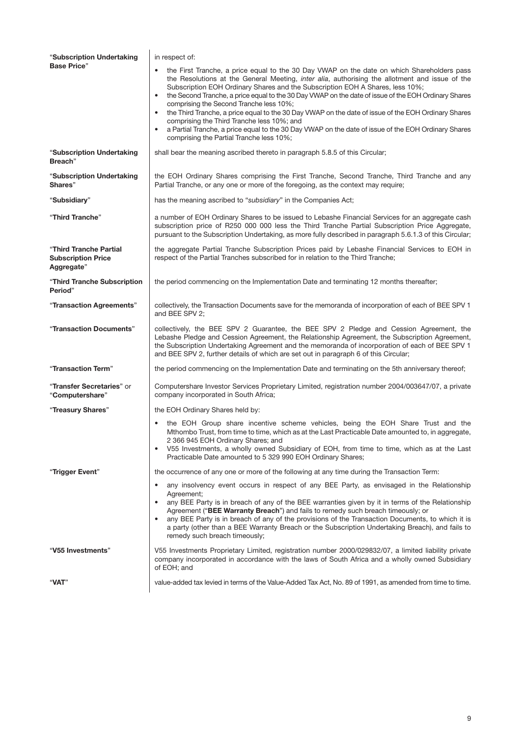| "Subscription Undertaking                                         | in respect of:                                                                                                                                                                                                                                                                                                                                                                                                                                                                                                                                                                                                                                                                                                                                        |
|-------------------------------------------------------------------|-------------------------------------------------------------------------------------------------------------------------------------------------------------------------------------------------------------------------------------------------------------------------------------------------------------------------------------------------------------------------------------------------------------------------------------------------------------------------------------------------------------------------------------------------------------------------------------------------------------------------------------------------------------------------------------------------------------------------------------------------------|
| <b>Base Price"</b>                                                | the First Tranche, a price equal to the 30 Day VWAP on the date on which Shareholders pass<br>the Resolutions at the General Meeting, inter alia, authorising the allotment and issue of the<br>Subscription EOH Ordinary Shares and the Subscription EOH A Shares, less 10%;<br>the Second Tranche, a price equal to the 30 Day VWAP on the date of issue of the EOH Ordinary Shares<br>$\bullet$<br>comprising the Second Tranche less 10%;<br>the Third Tranche, a price equal to the 30 Day VWAP on the date of issue of the EOH Ordinary Shares<br>comprising the Third Tranche less 10%; and<br>a Partial Tranche, a price equal to the 30 Day VWAP on the date of issue of the EOH Ordinary Shares<br>comprising the Partial Tranche less 10%; |
| "Subscription Undertaking<br>Breach"                              | shall bear the meaning ascribed thereto in paragraph 5.8.5 of this Circular;                                                                                                                                                                                                                                                                                                                                                                                                                                                                                                                                                                                                                                                                          |
| "Subscription Undertaking<br>Shares"                              | the EOH Ordinary Shares comprising the First Tranche, Second Tranche, Third Tranche and any<br>Partial Tranche, or any one or more of the foregoing, as the context may require;                                                                                                                                                                                                                                                                                                                                                                                                                                                                                                                                                                      |
| "Subsidiary"                                                      | has the meaning ascribed to "subsidiary" in the Companies Act;                                                                                                                                                                                                                                                                                                                                                                                                                                                                                                                                                                                                                                                                                        |
| "Third Tranche"                                                   | a number of EOH Ordinary Shares to be issued to Lebashe Financial Services for an aggregate cash<br>subscription price of R250 000 000 less the Third Tranche Partial Subscription Price Aggregate,<br>pursuant to the Subscription Undertaking, as more fully described in paragraph 5.6.1.3 of this Circular;                                                                                                                                                                                                                                                                                                                                                                                                                                       |
| "Third Tranche Partial<br><b>Subscription Price</b><br>Aggregate" | the aggregate Partial Tranche Subscription Prices paid by Lebashe Financial Services to EOH in<br>respect of the Partial Tranches subscribed for in relation to the Third Tranche;                                                                                                                                                                                                                                                                                                                                                                                                                                                                                                                                                                    |
| "Third Tranche Subscription<br>Period"                            | the period commencing on the Implementation Date and terminating 12 months thereafter;                                                                                                                                                                                                                                                                                                                                                                                                                                                                                                                                                                                                                                                                |
| "Transaction Agreements"                                          | collectively, the Transaction Documents save for the memoranda of incorporation of each of BEE SPV 1<br>and BEE SPV 2:                                                                                                                                                                                                                                                                                                                                                                                                                                                                                                                                                                                                                                |
| "Transaction Documents"                                           | collectively, the BEE SPV 2 Guarantee, the BEE SPV 2 Pledge and Cession Agreement, the<br>Lebashe Pledge and Cession Agreement, the Relationship Agreement, the Subscription Agreement,<br>the Subscription Undertaking Agreement and the memoranda of incorporation of each of BEE SPV 1<br>and BEE SPV 2, further details of which are set out in paragraph 6 of this Circular;                                                                                                                                                                                                                                                                                                                                                                     |
| "Transaction Term"                                                | the period commencing on the Implementation Date and terminating on the 5th anniversary thereof;                                                                                                                                                                                                                                                                                                                                                                                                                                                                                                                                                                                                                                                      |
| "Transfer Secretaries" or<br>"Computershare"                      | Computershare Investor Services Proprietary Limited, registration number 2004/003647/07, a private<br>company incorporated in South Africa;                                                                                                                                                                                                                                                                                                                                                                                                                                                                                                                                                                                                           |
| "Treasury Shares"                                                 | the EOH Ordinary Shares held by:                                                                                                                                                                                                                                                                                                                                                                                                                                                                                                                                                                                                                                                                                                                      |
|                                                                   | the EOH Group share incentive scheme vehicles, being the EOH Share Trust and the<br>Mthombo Trust, from time to time, which as at the Last Practicable Date amounted to, in aggregate,<br>2 366 945 EOH Ordinary Shares; and<br>V55 Investments, a wholly owned Subsidiary of EOH, from time to time, which as at the Last<br>Practicable Date amounted to 5 329 990 EOH Ordinary Shares;                                                                                                                                                                                                                                                                                                                                                             |
| "Trigger Event"                                                   | the occurrence of any one or more of the following at any time during the Transaction Term:                                                                                                                                                                                                                                                                                                                                                                                                                                                                                                                                                                                                                                                           |
|                                                                   | any insolvency event occurs in respect of any BEE Party, as envisaged in the Relationship<br>٠<br>Agreement;<br>any BEE Party is in breach of any of the BEE warranties given by it in terms of the Relationship<br>$\bullet$<br>Agreement ("BEE Warranty Breach") and fails to remedy such breach timeously; or<br>any BEE Party is in breach of any of the provisions of the Transaction Documents, to which it is<br>$\bullet$<br>a party (other than a BEE Warranty Breach or the Subscription Undertaking Breach), and fails to<br>remedy such breach timeously;                                                                                                                                                                                 |
| "V55 Investments"                                                 | V55 Investments Proprietary Limited, registration number 2000/029832/07, a limited liability private<br>company incorporated in accordance with the laws of South Africa and a wholly owned Subsidiary<br>of EOH; and                                                                                                                                                                                                                                                                                                                                                                                                                                                                                                                                 |
| "VAT"                                                             | value-added tax levied in terms of the Value-Added Tax Act, No. 89 of 1991, as amended from time to time.                                                                                                                                                                                                                                                                                                                                                                                                                                                                                                                                                                                                                                             |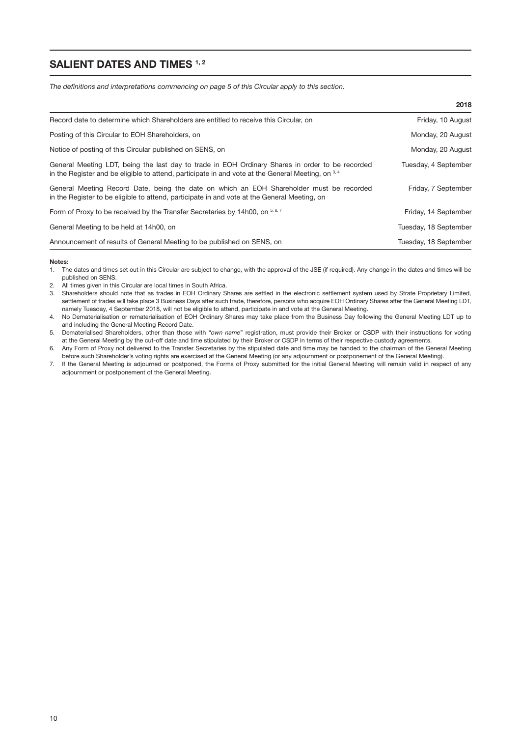## SALIENT DATES AND TIMES 1, 2

*The definitions and interpretations commencing on page 5 of this Circular apply to this section.*

|                                                                                                                                                                                                        | 2018                  |
|--------------------------------------------------------------------------------------------------------------------------------------------------------------------------------------------------------|-----------------------|
| Record date to determine which Shareholders are entitled to receive this Circular, on                                                                                                                  | Friday, 10 August     |
| Posting of this Circular to EOH Shareholders, on                                                                                                                                                       | Monday, 20 August     |
| Notice of posting of this Circular published on SENS, on                                                                                                                                               | Monday, 20 August     |
| General Meeting LDT, being the last day to trade in EOH Ordinary Shares in order to be recorded<br>in the Register and be eligible to attend, participate in and vote at the General Meeting, on $3,4$ | Tuesday, 4 September  |
| General Meeting Record Date, being the date on which an EOH Shareholder must be recorded<br>in the Register to be eligible to attend, participate in and vote at the General Meeting, on               | Friday, 7 September   |
| Form of Proxy to be received by the Transfer Secretaries by 14h00, on 5,6,7                                                                                                                            | Friday, 14 September  |
| General Meeting to be held at 14h00, on                                                                                                                                                                | Tuesday, 18 September |
| Announcement of results of General Meeting to be published on SENS, on                                                                                                                                 | Tuesday, 18 September |

Notes:

- 1. The dates and times set out in this Circular are subject to change, with the approval of the JSE (if required). Any change in the dates and times will be published on SENS.
- 2. All times given in this Circular are local times in South Africa.
- 3. Shareholders should note that as trades in EOH Ordinary Shares are settled in the electronic settlement system used by Strate Proprietary Limited, settlement of trades will take place 3 Business Days after such trade, therefore, persons who acquire EOH Ordinary Shares after the General Meeting LDT, namely Tuesday, 4 September 2018, will not be eligible to attend, participate in and vote at the General Meeting.

4. No Dematerialisation or rematerialisation of EOH Ordinary Shares may take place from the Business Day following the General Meeting LDT up to and including the General Meeting Record Date.

5. Dematerialised Shareholders, other than those with "*own name*" registration, must provide their Broker or CSDP with their instructions for voting at the General Meeting by the cut-off date and time stipulated by their Broker or CSDP in terms of their respective custody agreements.

6. Any Form of Proxy not delivered to the Transfer Secretaries by the stipulated date and time may be handed to the chairman of the General Meeting before such Shareholder's voting rights are exercised at the General Meeting (or any adjournment or postponement of the General Meeting).

7. If the General Meeting is adjourned or postponed, the Forms of Proxy submitted for the initial General Meeting will remain valid in respect of any adjournment or postponement of the General Meeting.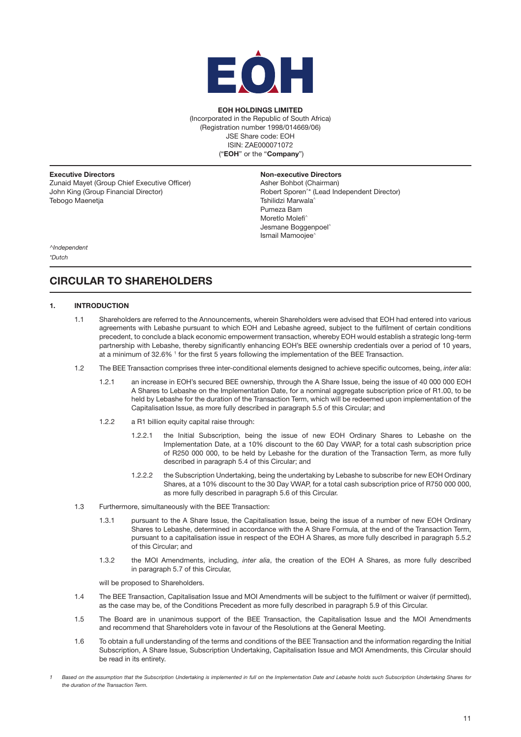

## EOH HOLDINGS LIMITED

(Incorporated in the Republic of South Africa) (Registration number 1998/014669/06) JSE Share code: EOH ISIN: ZAE000071072 ("EOH" or the "Company")

Executive Directors Zunaid Mayet (Group Chief Executive Officer) John King (Group Financial Director) Tebogo Maenetja

#### Non-executive Directors

Asher Bohbot (Chairman) Robert Sporen^\* (Lead Independent Director) Tshilidzi Marwala^ Pumeza Bam Moretlo Molefi^ Jesmane Boggenpoel<sup>®</sup> Ismail Mamoojee^

*^Independent \*Dutch*

# CIRCULAR TO SHAREHOLDERS

## 1. INTRODUCTION

- 1.1 Shareholders are referred to the Announcements, wherein Shareholders were advised that EOH had entered into various agreements with Lebashe pursuant to which EOH and Lebashe agreed, subject to the fulfilment of certain conditions precedent, to conclude a black economic empowerment transaction, whereby EOH would establish a strategic long-term partnership with Lebashe, thereby significantly enhancing EOH's BEE ownership credentials over a period of 10 years, at a minimum of 32.6%  $1$  for the first 5 years following the implementation of the BEE Transaction.
- 1.2 The BEE Transaction comprises three inter-conditional elements designed to achieve specific outcomes, being, *inter alia*:
	- 1.2.1 an increase in EOH's secured BEE ownership, through the A Share Issue, being the issue of 40 000 000 EOH A Shares to Lebashe on the Implementation Date, for a nominal aggregate subscription price of R1.00, to be held by Lebashe for the duration of the Transaction Term, which will be redeemed upon implementation of the Capitalisation Issue, as more fully described in paragraph 5.5 of this Circular; and
	- 1.2.2 a R1 billion equity capital raise through:
		- 1.2.2.1 the Initial Subscription, being the issue of new EOH Ordinary Shares to Lebashe on the Implementation Date, at a 10% discount to the 60 Day VWAP, for a total cash subscription price of R250 000 000, to be held by Lebashe for the duration of the Transaction Term, as more fully described in paragraph 5.4 of this Circular; and
		- 1.2.2.2 the Subscription Undertaking, being the undertaking by Lebashe to subscribe for new EOH Ordinary Shares, at a 10% discount to the 30 Day VWAP, for a total cash subscription price of R750 000 000, as more fully described in paragraph 5.6 of this Circular.
- 1.3 Furthermore, simultaneously with the BEE Transaction:
	- 1.3.1 pursuant to the A Share Issue, the Capitalisation Issue, being the issue of a number of new EOH Ordinary Shares to Lebashe, determined in accordance with the A Share Formula, at the end of the Transaction Term, pursuant to a capitalisation issue in respect of the EOH A Shares, as more fully described in paragraph 5.5.2 of this Circular; and
	- 1.3.2 the MOI Amendments, including, *inter alia*, the creation of the EOH A Shares, as more fully described in paragraph 5.7 of this Circular,

will be proposed to Shareholders.

- 1.4 The BEE Transaction, Capitalisation Issue and MOI Amendments will be subject to the fulfilment or waiver (if permitted), as the case may be, of the Conditions Precedent as more fully described in paragraph 5.9 of this Circular.
- 1.5 The Board are in unanimous support of the BEE Transaction, the Capitalisation Issue and the MOI Amendments and recommend that Shareholders vote in favour of the Resolutions at the General Meeting.
- 1.6 To obtain a full understanding of the terms and conditions of the BEE Transaction and the information regarding the Initial Subscription, A Share Issue, Subscription Undertaking, Capitalisation Issue and MOI Amendments, this Circular should be read in its entirety.
- *1 Based on the assumption that the Subscription Undertaking is implemented in full on the Implementation Date and Lebashe holds such Subscription Undertaking Shares for the duration of the Transaction Term.*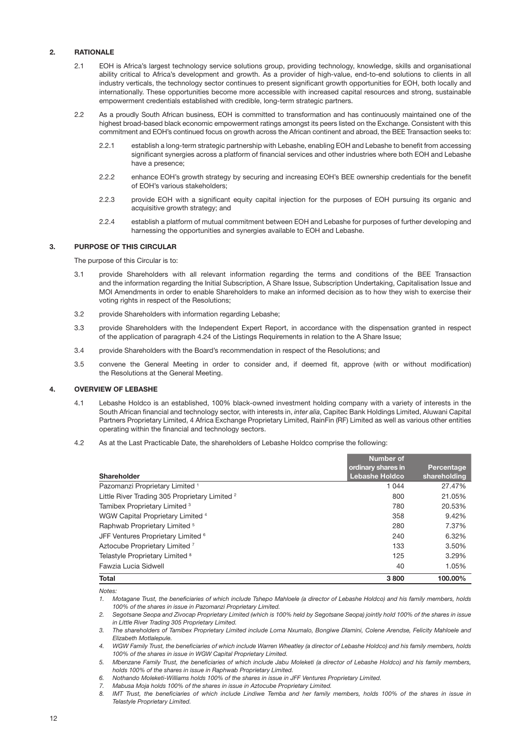## 2. RATIONALE

- 2.1 EOH is Africa's largest technology service solutions group, providing technology, knowledge, skills and organisational ability critical to Africa's development and growth. As a provider of high-value, end-to-end solutions to clients in all industry verticals, the technology sector continues to present significant growth opportunities for EOH, both locally and internationally. These opportunities become more accessible with increased capital resources and strong, sustainable empowerment credentials established with credible, long-term strategic partners.
- 2.2 As a proudly South African business, EOH is committed to transformation and has continuously maintained one of the highest broad-based black economic empowerment ratings amongst its peers listed on the Exchange. Consistent with this commitment and EOH's continued focus on growth across the African continent and abroad, the BEE Transaction seeks to:
	- 2.2.1 establish a long-term strategic partnership with Lebashe, enabling EOH and Lebashe to benefit from accessing significant synergies across a platform of financial services and other industries where both EOH and Lebashe have a presence;
	- 2.2.2 enhance EOH's growth strategy by securing and increasing EOH's BEE ownership credentials for the benefit of EOH's various stakeholders;
	- 2.2.3 provide EOH with a significant equity capital injection for the purposes of EOH pursuing its organic and acquisitive growth strategy; and
	- 2.2.4 establish a platform of mutual commitment between EOH and Lebashe for purposes of further developing and harnessing the opportunities and synergies available to EOH and Lebashe.

## 3. PURPOSE OF THIS CIRCULAR

The purpose of this Circular is to:

- 3.1 provide Shareholders with all relevant information regarding the terms and conditions of the BEE Transaction and the information regarding the Initial Subscription, A Share Issue, Subscription Undertaking, Capitalisation Issue and MOI Amendments in order to enable Shareholders to make an informed decision as to how they wish to exercise their voting rights in respect of the Resolutions;
- 3.2 provide Shareholders with information regarding Lebashe;
- 3.3 provide Shareholders with the Independent Expert Report, in accordance with the dispensation granted in respect of the application of paragraph 4.24 of the Listings Requirements in relation to the A Share Issue;
- 3.4 provide Shareholders with the Board's recommendation in respect of the Resolutions; and
- 3.5 convene the General Meeting in order to consider and, if deemed fit, approve (with or without modification) the Resolutions at the General Meeting.

## 4. OVERVIEW OF LEBASHE

- 4.1 Lebashe Holdco is an established, 100% black-owned investment holding company with a variety of interests in the South African financial and technology sector, with interests in, *inter alia*, Capitec Bank Holdings Limited, Aluwani Capital Partners Proprietary Limited, 4 Africa Exchange Proprietary Limited, RainFin (RF) Limited as well as various other entities operating within the financial and technology sectors.
- 4.2 As at the Last Practicable Date, the shareholders of Lebashe Holdco comprise the following:

|                                                           | <b>Number of</b>                            |                            |
|-----------------------------------------------------------|---------------------------------------------|----------------------------|
| Shareholder                                               | ordinary shares in<br><b>Lebashe Holdco</b> | Percentage<br>shareholding |
| Pazomanzi Proprietary Limited <sup>1</sup>                | 1 0 4 4                                     | 27.47%                     |
| Little River Trading 305 Proprietary Limited <sup>2</sup> | 800                                         | 21.05%                     |
| Tamibex Proprietary Limited <sup>3</sup>                  | 780                                         | 20.53%                     |
| WGW Capital Proprietary Limited <sup>4</sup>              | 358                                         | 9.42%                      |
| Raphwab Proprietary Limited <sup>5</sup>                  | 280                                         | 7.37%                      |
| JFF Ventures Proprietary Limited <sup>6</sup>             | 240                                         | 6.32%                      |
| Aztocube Proprietary Limited <sup>7</sup>                 | 133                                         | 3.50%                      |
| Telastyle Proprietary Limited 8                           | 125                                         | 3.29%                      |
| Fawzia Lucia Sidwell                                      | 40                                          | 1.05%                      |
| <b>Total</b>                                              | 3800                                        | 100.00%                    |

*Notes:*

*1. Motagane Trust, the beneficiaries of which include Tshepo Mahloele (a director of Lebashe Holdco) and his family members, holds 100% of the shares in issue in Pazomanzi Proprietary Limited.*

*2. Segotsane Seopa and Zivocap Proprietary Limited (which is 100% held by Segotsane Seopa) jointly hold 100% of the shares in issue in Little River Trading 305 Proprietary Limited.*

*3. The shareholders of Tamibex Proprietary Limited include Lorna Nxumalo, Bongiwe Dlamini, Colene Arendse, Felicity Mahloele and Elizabeth Motlalepule.*

*4. WGW Family Trust, the beneficiaries of which include Warren Wheatley (a director of Lebashe Holdco) and his family members, holds 100% of the shares in issue in WGW Capital Proprietary Limited.*

*5. Mbenzane Family Trust, the beneficiaries of which include Jabu Moleketi (a director of Lebashe Holdco) and his family members, holds 100% of the shares in issue in Raphwab Proprietary Limited.*

*6. Nothando Moleketi-Williams holds 100% of the shares in issue in JFF Ventures Proprietary Limited.*

*7. Mabusa Moja holds 100% of the shares in issue in Aztocube Proprietary Limited.*

8. *IMT Trust, the beneficiaries of which include Lindiwe Temba and her family members, holds 100% of the shares in issue in Telastyle Proprietary Limited.*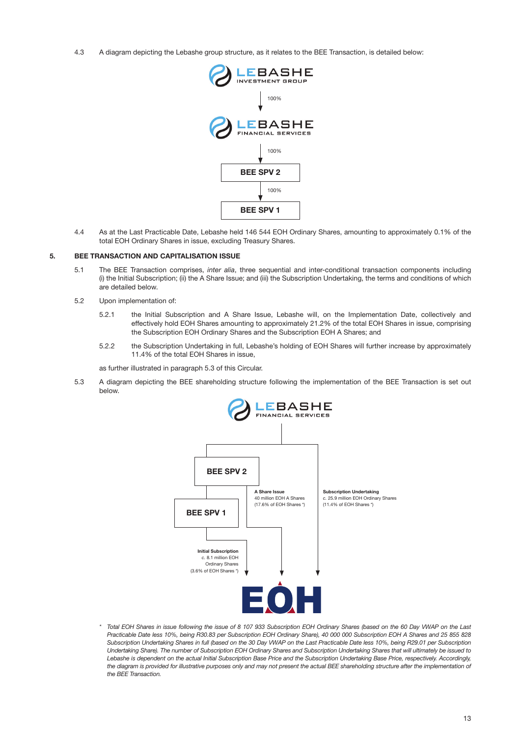4.3 A diagram depicting the Lebashe group structure, as it relates to the BEE Transaction, is detailed below:



4.4 As at the Last Practicable Date, Lebashe held 146 544 EOH Ordinary Shares, amounting to approximately 0.1% of the total EOH Ordinary Shares in issue, excluding Treasury Shares.

## 5. BEE TRANSACTION AND CAPITALISATION ISSUE

- 5.1 The BEE Transaction comprises, *inter alia*, three sequential and inter-conditional transaction components including (i) the Initial Subscription; (ii) the A Share Issue; and (iii) the Subscription Undertaking, the terms and conditions of which are detailed below.
- 5.2 Upon implementation of:
	- 5.2.1 the Initial Subscription and A Share Issue, Lebashe will, on the Implementation Date, collectively and effectively hold EOH Shares amounting to approximately 21.2% of the total EOH Shares in issue, comprising the Subscription EOH Ordinary Shares and the Subscription EOH A Shares; and
	- 5.2.2 the Subscription Undertaking in full, Lebashe's holding of EOH Shares will further increase by approximately 11.4% of the total EOH Shares in issue,

as further illustrated in paragraph [5.3](#page-14-0) of this Circular.

5.3 A diagram depicting the BEE shareholding structure following the implementation of the BEE Transaction is set out below.

<span id="page-14-0"></span>

*\* Total EOH Shares in issue following the issue of 8 107 933 Subscription EOH Ordinary Shares (based on the 60 Day VWAP on the Last Practicable Date less 10%, being R30.83 per Subscription EOH Ordinary Share), 40 000 000 Subscription EOH A Shares and 25 855 828 Subscription Undertaking Shares in full (based on the 30 Day VWAP on the Last Practicable Date less 10%, being R29.01 per Subscription Undertaking Share). The number of Subscription EOH Ordinary Shares and Subscription Undertaking Shares that will ultimately be issued to Lebashe is dependent on the actual Initial Subscription Base Price and the Subscription Undertaking Base Price, respectively. Accordingly,*  the diagram is provided for illustrative purposes only and may not present the actual BEE shareholding structure after the implementation of *the BEE Transaction.*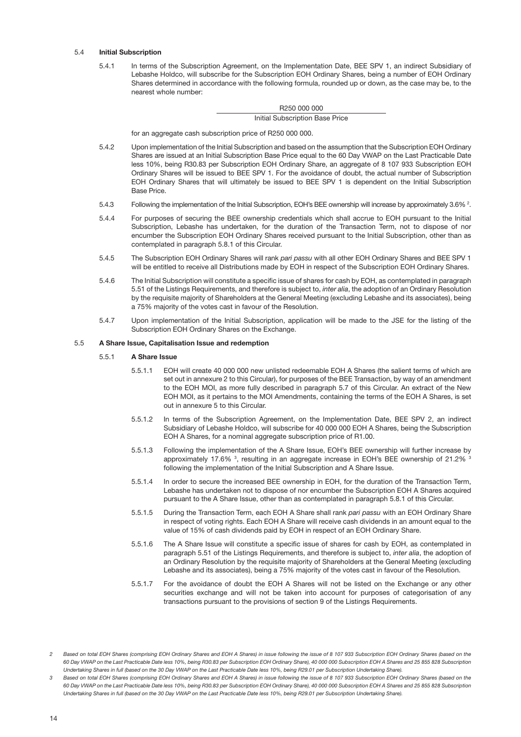## 5.4 Initial Subscription

<span id="page-15-1"></span>5.4.1 In terms of the Subscription Agreement, on the Implementation Date, BEE SPV 1, an indirect Subsidiary of Lebashe Holdco, will subscribe for the Subscription EOH Ordinary Shares, being a number of EOH Ordinary Shares determined in accordance with the following formula, rounded up or down, as the case may be, to the nearest whole number:

#### R250 000 000

Initial Subscription Base Price

for an aggregate cash subscription price of R250 000 000.

- 5.4.2 Upon implementation of the Initial Subscription and based on the assumption that the Subscription EOH Ordinary Shares are issued at an Initial Subscription Base Price equal to the 60 Day VWAP on the Last Practicable Date less 10%, being R30.83 per Subscription EOH Ordinary Share, an aggregate of 8 107 933 Subscription EOH Ordinary Shares will be issued to BEE SPV 1. For the avoidance of doubt, the actual number of Subscription EOH Ordinary Shares that will ultimately be issued to BEE SPV 1 is dependent on the Initial Subscription Base Price.
- 5.4.3 Following the implementation of the Initial Subscription, EOH's BEE ownership will increase by approximately 3.6%  $^2$ .
- 5.4.4 For purposes of securing the BEE ownership credentials which shall accrue to EOH pursuant to the Initial Subscription, Lebashe has undertaken, for the duration of the Transaction Term, not to dispose of nor encumber the Subscription EOH Ordinary Shares received pursuant to the Initial Subscription, other than as contemplated in paragraph 5.8.1 of this Circular.
- 5.4.5 The Subscription EOH Ordinary Shares will rank *pari passu* with all other EOH Ordinary Shares and BEE SPV 1 will be entitled to receive all Distributions made by EOH in respect of the Subscription EOH Ordinary Shares.
- 5.4.6 The Initial Subscription will constitute a specific issue of shares for cash by EOH, as contemplated in paragraph 5.51 of the Listings Requirements, and therefore is subject to, *inter alia*, the adoption of an Ordinary Resolution by the requisite majority of Shareholders at the General Meeting (excluding Lebashe and its associates), being a 75% majority of the votes cast in favour of the Resolution.
- 5.4.7 Upon implementation of the Initial Subscription, application will be made to the JSE for the listing of the Subscription EOH Ordinary Shares on the Exchange.

#### 5.5 A Share Issue, Capitalisation Issue and redemption

#### 5.5.1 A Share Issue

- <span id="page-15-0"></span>5.5.1.1 EOH will create 40 000 000 new unlisted redeemable EOH A Shares (the salient terms of which are set out in annexure 2 to this Circular), for purposes of the BEE Transaction, by way of an amendment to the EOH MOI, as more fully described in paragraph 5.7 of this Circular. An extract of the New EOH MOI, as it pertains to the MOI Amendments, containing the terms of the EOH A Shares, is set out in annexure 5 to this Circular.
- 5.5.1.2 In terms of the Subscription Agreement, on the Implementation Date, BEE SPV 2, an indirect Subsidiary of Lebashe Holdco, will subscribe for 40 000 000 EOH A Shares, being the Subscription EOH A Shares, for a nominal aggregate subscription price of R1.00.
- 5.5.1.3 Following the implementation of the A Share Issue, EOH's BEE ownership will further increase by approximately 17.6%  $3$ , resulting in an aggregate increase in EOH's BEE ownership of 21.2%  $3$ following the implementation of the Initial Subscription and A Share Issue.
- 5.5.1.4 In order to secure the increased BEE ownership in EOH, for the duration of the Transaction Term, Lebashe has undertaken not to dispose of nor encumber the Subscription EOH A Shares acquired pursuant to the A Share Issue, other than as contemplated in paragraph 5.8.1 of this Circular.
- 5.5.1.5 During the Transaction Term, each EOH A Share shall rank *pari passu* with an EOH Ordinary Share in respect of voting rights. Each EOH A Share will receive cash dividends in an amount equal to the value of 15% of cash dividends paid by EOH in respect of an EOH Ordinary Share.
- 5.5.1.6 The A Share Issue will constitute a specific issue of shares for cash by EOH, as contemplated in paragraph 5.51 of the Listings Requirements, and therefore is subject to, *inter alia*, the adoption of an Ordinary Resolution by the requisite majority of Shareholders at the General Meeting (excluding Lebashe and its associates), being a 75% majority of the votes cast in favour of the Resolution.
- 5.5.1.7 For the avoidance of doubt the EOH A Shares will not be listed on the Exchange or any other securities exchange and will not be taken into account for purposes of categorisation of any transactions pursuant to the provisions of section 9 of the Listings Requirements.

*<sup>2</sup> Based on total EOH Shares (comprising EOH Ordinary Shares and EOH A Shares) in issue following the issue of 8 107 933 Subscription EOH Ordinary Shares (based on the 60 Day VWAP on the Last Practicable Date less 10%, being R30.83 per Subscription EOH Ordinary Share), 40 000 000 Subscription EOH A Shares and 25 855 828 Subscription Undertaking Shares in full (based on the 30 Day VWAP on the Last Practicable Date less 10%, being R29.01 per Subscription Undertaking Share).*

*<sup>3</sup> Based on total EOH Shares (comprising EOH Ordinary Shares and EOH A Shares) in issue following the issue of 8 107 933 Subscription EOH Ordinary Shares (based on the 60 Day VWAP on the Last Practicable Date less 10%, being R30.83 per Subscription EOH Ordinary Share), 40 000 000 Subscription EOH A Shares and 25 855 828 Subscription Undertaking Shares in full (based on the 30 Day VWAP on the Last Practicable Date less 10%, being R29.01 per Subscription Undertaking Share).*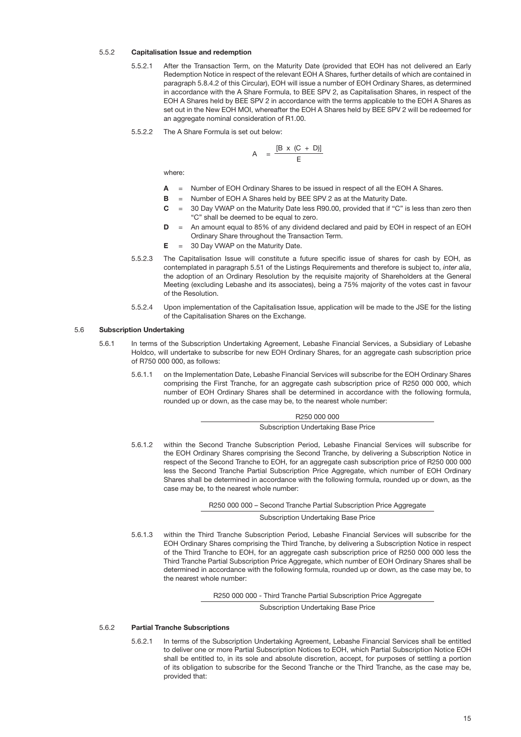#### 5.5.2 Capitalisation Issue and redemption

- 5.5.2.1 After the Transaction Term, on the Maturity Date (provided that EOH has not delivered an Early Redemption Notice in respect of the relevant EOH A Shares, further details of which are contained in paragraph 5.8.4.2 of this Circular), EOH will issue a number of EOH Ordinary Shares, as determined in accordance with the A Share Formula, to BEE SPV 2, as Capitalisation Shares, in respect of the EOH A Shares held by BEE SPV 2 in accordance with the terms applicable to the EOH A Shares as set out in the New EOH MOI, whereafter the EOH A Shares held by BEE SPV 2 will be redeemed for an aggregate nominal consideration of R1.00.
- 5.5.2.2 The A Share Formula is set out below:

$$
A = \frac{[B \times (C + D)]}{E}
$$

where:

- $A =$  Number of EOH Ordinary Shares to be issued in respect of all the EOH A Shares.
- $\mathbf{B}$  = Number of EOH A Shares held by BEE SPV 2 as at the Maturity Date.
- $C = 30$  Day VWAP on the Maturity Date less R90.00, provided that if "C" is less than zero then "C" shall be deemed to be equal to zero.
- $D = An$  amount equal to 85% of any dividend declared and paid by EOH in respect of an EOH Ordinary Share throughout the Transaction Term.
- $E = 30$  Day VWAP on the Maturity Date.
- 5.5.2.3 The Capitalisation Issue will constitute a future specific issue of shares for cash by EOH, as contemplated in paragraph 5.51 of the Listings Requirements and therefore is subject to, *inter alia*, the adoption of an Ordinary Resolution by the requisite majority of Shareholders at the General Meeting (excluding Lebashe and its associates), being a 75% majority of the votes cast in favour of the Resolution.
- <span id="page-16-2"></span>5.5.2.4 Upon implementation of the Capitalisation Issue, application will be made to the JSE for the listing of the Capitalisation Shares on the Exchange.

#### 5.6 Subscription Undertaking

- 5.6.1 In terms of the Subscription Undertaking Agreement, Lebashe Financial Services, a Subsidiary of Lebashe Holdco, will undertake to subscribe for new EOH Ordinary Shares, for an aggregate cash subscription price of R750 000 000, as follows:
	- 5.6.1.1 on the Implementation Date, Lebashe Financial Services will subscribe for the EOH Ordinary Shares comprising the First Tranche, for an aggregate cash subscription price of R250 000 000, which number of EOH Ordinary Shares shall be determined in accordance with the following formula, rounded up or down, as the case may be, to the nearest whole number:

## R250 000 000

<span id="page-16-0"></span>Subscription Undertaking Base Price

5.6.1.2 within the Second Tranche Subscription Period, Lebashe Financial Services will subscribe for the EOH Ordinary Shares comprising the Second Tranche, by delivering a Subscription Notice in respect of the Second Tranche to EOH, for an aggregate cash subscription price of R250 000 000 less the Second Tranche Partial Subscription Price Aggregate, which number of EOH Ordinary Shares shall be determined in accordance with the following formula, rounded up or down, as the case may be, to the nearest whole number:

R250 000 000 – Second Tranche Partial Subscription Price Aggregate

<span id="page-16-1"></span>Subscription Undertaking Base Price

5.6.1.3 within the Third Tranche Subscription Period, Lebashe Financial Services will subscribe for the EOH Ordinary Shares comprising the Third Tranche, by delivering a Subscription Notice in respect of the Third Tranche to EOH, for an aggregate cash subscription price of R250 000 000 less the Third Tranche Partial Subscription Price Aggregate, which number of EOH Ordinary Shares shall be determined in accordance with the following formula, rounded up or down, as the case may be, to the nearest whole number:

R250 000 000 - Third Tranche Partial Subscription Price Aggregate

Subscription Undertaking Base Price

## 5.6.2 Partial Tranche Subscriptions

5.6.2.1 In terms of the Subscription Undertaking Agreement, Lebashe Financial Services shall be entitled to deliver one or more Partial Subscription Notices to EOH, which Partial Subscription Notice EOH shall be entitled to, in its sole and absolute discretion, accept, for purposes of settling a portion of its obligation to subscribe for the Second Tranche or the Third Tranche, as the case may be, provided that: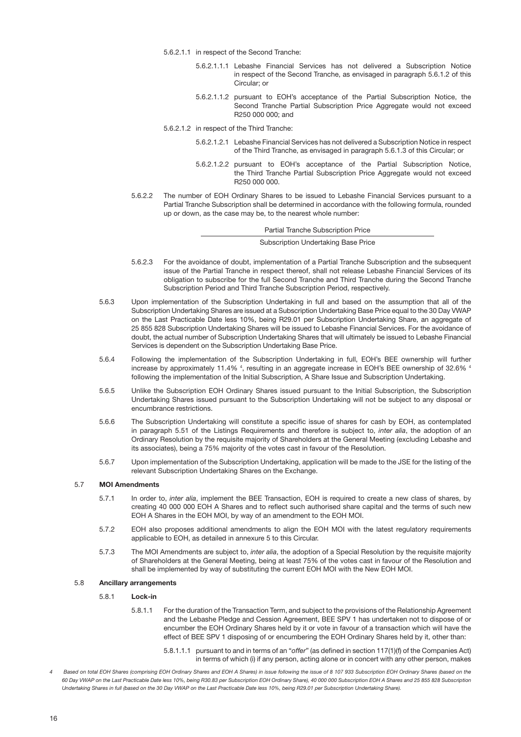- 5.6.2.1.1 in respect of the Second Tranche:
	- 5.6.2.1.1.1 Lebashe Financial Services has not delivered a Subscription Notice in respect of the Second Tranche, as envisaged in paragraph [5.6.1.2](#page-16-0) of this Circular; or
	- 5.6.2.1.1.2 pursuant to EOH's acceptance of the Partial Subscription Notice, the Second Tranche Partial Subscription Price Aggregate would not exceed R250 000 000; and
- 5.6.2.1.2 in respect of the Third Tranche:
	- 5.6.2.1.2.1 Lebashe Financial Services has not delivered a Subscription Notice in respect of the Third Tranche, as envisaged in paragraph [5.6.1.3](#page-16-1) of this Circular; or
	- 5.6.2.1.2.2 pursuant to EOH's acceptance of the Partial Subscription Notice, the Third Tranche Partial Subscription Price Aggregate would not exceed R250 000 000.
- 5.6.2.2 The number of EOH Ordinary Shares to be issued to Lebashe Financial Services pursuant to a Partial Tranche Subscription shall be determined in accordance with the following formula, rounded up or down, as the case may be, to the nearest whole number:

Partial Tranche Subscription Price

Subscription Undertaking Base Price

- 5.6.2.3 For the avoidance of doubt, implementation of a Partial Tranche Subscription and the subsequent issue of the Partial Tranche in respect thereof, shall not release Lebashe Financial Services of its obligation to subscribe for the full Second Tranche and Third Tranche during the Second Tranche Subscription Period and Third Tranche Subscription Period, respectively.
- 5.6.3 Upon implementation of the Subscription Undertaking in full and based on the assumption that all of the Subscription Undertaking Shares are issued at a Subscription Undertaking Base Price equal to the 30 Day VWAP on the Last Practicable Date less 10%, being R29.01 per Subscription Undertaking Share, an aggregate of 25 855 828 Subscription Undertaking Shares will be issued to Lebashe Financial Services. For the avoidance of doubt, the actual number of Subscription Undertaking Shares that will ultimately be issued to Lebashe Financial Services is dependent on the Subscription Undertaking Base Price.
- 5.6.4 Following the implementation of the Subscription Undertaking in full, EOH's BEE ownership will further increase by approximately 11.4% <sup>4</sup>, resulting in an aggregate increase in EOH's BEE ownership of 32.6% 4 following the implementation of the Initial Subscription, A Share Issue and Subscription Undertaking.
- 5.6.5 Unlike the Subscription EOH Ordinary Shares issued pursuant to the Initial Subscription, the Subscription Undertaking Shares issued pursuant to the Subscription Undertaking will not be subject to any disposal or encumbrance restrictions.
- 5.6.6 The Subscription Undertaking will constitute a specific issue of shares for cash by EOH, as contemplated in paragraph 5.51 of the Listings Requirements and therefore is subject to, *inter alia*, the adoption of an Ordinary Resolution by the requisite majority of Shareholders at the General Meeting (excluding Lebashe and its associates), being a 75% majority of the votes cast in favour of the Resolution.
- 5.6.7 Upon implementation of the Subscription Undertaking, application will be made to the JSE for the listing of the relevant Subscription Undertaking Shares on the Exchange.

## 5.7 MOI Amendments

- <span id="page-17-1"></span>5.7.1 In order to, *inter alia*, implement the BEE Transaction, EOH is required to create a new class of shares, by creating 40 000 000 EOH A Shares and to reflect such authorised share capital and the terms of such new EOH A Shares in the EOH MOI, by way of an amendment to the EOH MOI.
- 5.7.2 EOH also proposes additional amendments to align the EOH MOI with the latest regulatory requirements applicable to EOH, as detailed in annexure 5 to this Circular.
- 5.7.3 The MOI Amendments are subject to, *inter alia*, the adoption of a Special Resolution by the requisite majority of Shareholders at the General Meeting, being at least 75% of the votes cast in favour of the Resolution and shall be implemented by way of substituting the current EOH MOI with the New EOH MOI.

#### 5.8 Ancillary arrangements

- <span id="page-17-0"></span>5.8.1 Lock-in
	- 5.8.1.1 For the duration of the Transaction Term, and subject to the provisions of the Relationship Agreement and the Lebashe Pledge and Cession Agreement, BEE SPV 1 has undertaken not to dispose of or encumber the EOH Ordinary Shares held by it or vote in favour of a transaction which will have the effect of BEE SPV 1 disposing of or encumbering the EOH Ordinary Shares held by it, other than:
		- 5.8.1.1.1 pursuant to and in terms of an "*offer*" (as defined in section 117(1)(f) of the Companies Act) in terms of which (i) if any person, acting alone or in concert with any other person, makes
- *4 Based on total EOH Shares (comprising EOH Ordinary Shares and EOH A Shares) in issue following the issue of 8 107 933 Subscription EOH Ordinary Shares (based on the 60 Day VWAP on the Last Practicable Date less 10%, being R30.83 per Subscription EOH Ordinary Share), 40 000 000 Subscription EOH A Shares and 25 855 828 Subscription Undertaking Shares in full (based on the 30 Day VWAP on the Last Practicable Date less 10%, being R29.01 per Subscription Undertaking Share).*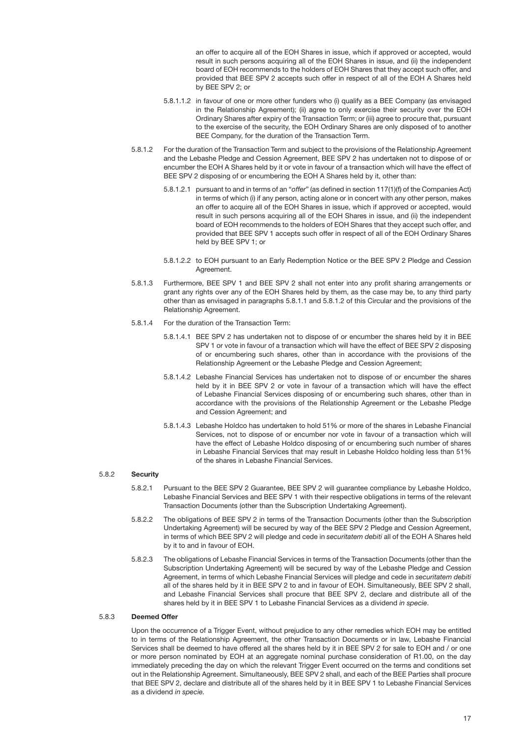an offer to acquire all of the EOH Shares in issue, which if approved or accepted, would result in such persons acquiring all of the EOH Shares in issue, and (ii) the independent board of EOH recommends to the holders of EOH Shares that they accept such offer, and provided that BEE SPV 2 accepts such offer in respect of all of the EOH A Shares held by BEE SPV 2; or

- <span id="page-18-0"></span>5.8.1.1.2 in favour of one or more other funders who (i) qualify as a BEE Company (as envisaged in the Relationship Agreement); (ii) agree to only exercise their security over the EOH Ordinary Shares after expiry of the Transaction Term; or (iii) agree to procure that, pursuant to the exercise of the security, the EOH Ordinary Shares are only disposed of to another BEE Company, for the duration of the Transaction Term.
- 5.8.1.2 For the duration of the Transaction Term and subject to the provisions of the Relationship Agreement and the Lebashe Pledge and Cession Agreement, BEE SPV 2 has undertaken not to dispose of or encumber the EOH A Shares held by it or vote in favour of a transaction which will have the effect of BEE SPV 2 disposing of or encumbering the EOH A Shares held by it, other than:
	- 5.8.1.2.1 pursuant to and in terms of an "*offer*" (as defined in section 117(1)(f) of the Companies Act) in terms of which (i) if any person, acting alone or in concert with any other person, makes an offer to acquire all of the EOH Shares in issue, which if approved or accepted, would result in such persons acquiring all of the EOH Shares in issue, and (ii) the independent board of EOH recommends to the holders of EOH Shares that they accept such offer, and provided that BEE SPV 1 accepts such offer in respect of all of the EOH Ordinary Shares held by BEE SPV 1; or
	- 5.8.1.2.2 to EOH pursuant to an Early Redemption Notice or the BEE SPV 2 Pledge and Cession Agreement.
- 5.8.1.3 Furthermore, BEE SPV 1 and BEE SPV 2 shall not enter into any profit sharing arrangements or grant any rights over any of the EOH Shares held by them, as the case may be, to any third party other than as envisaged in paragraphs [5.8.1.1](#page-17-0) and [5.8.1.2](#page-18-0) of this Circular and the provisions of the Relationship Agreement.
- 5.8.1.4 For the duration of the Transaction Term:
	- 5.8.1.4.1 BEE SPV 2 has undertaken not to dispose of or encumber the shares held by it in BEE SPV 1 or vote in favour of a transaction which will have the effect of BEE SPV 2 disposing of or encumbering such shares, other than in accordance with the provisions of the Relationship Agreement or the Lebashe Pledge and Cession Agreement;
	- 5.8.1.4.2 Lebashe Financial Services has undertaken not to dispose of or encumber the shares held by it in BEE SPV 2 or vote in favour of a transaction which will have the effect of Lebashe Financial Services disposing of or encumbering such shares, other than in accordance with the provisions of the Relationship Agreement or the Lebashe Pledge and Cession Agreement; and
	- 5.8.1.4.3 Lebashe Holdco has undertaken to hold 51% or more of the shares in Lebashe Financial Services, not to dispose of or encumber nor vote in favour of a transaction which will have the effect of Lebashe Holdco disposing of or encumbering such number of shares in Lebashe Financial Services that may result in Lebashe Holdco holding less than 51% of the shares in Lebashe Financial Services.

## 5.8.2 Security

- 5.8.2.1 Pursuant to the BEE SPV 2 Guarantee, BEE SPV 2 will guarantee compliance by Lebashe Holdco, Lebashe Financial Services and BEE SPV 1 with their respective obligations in terms of the relevant Transaction Documents (other than the Subscription Undertaking Agreement).
- 5.8.2.2 The obligations of BEE SPV 2 in terms of the Transaction Documents (other than the Subscription Undertaking Agreement) will be secured by way of the BEE SPV 2 Pledge and Cession Agreement, in terms of which BEE SPV 2 will pledge and cede in *securitatem debiti* all of the EOH A Shares held by it to and in favour of EOH.
- 5.8.2.3 The obligations of Lebashe Financial Services in terms of the Transaction Documents (other than the Subscription Undertaking Agreement) will be secured by way of the Lebashe Pledge and Cession Agreement, in terms of which Lebashe Financial Services will pledge and cede in *securitatem debiti* all of the shares held by it in BEE SPV 2 to and in favour of EOH. Simultaneously, BEE SPV 2 shall, and Lebashe Financial Services shall procure that BEE SPV 2, declare and distribute all of the shares held by it in BEE SPV 1 to Lebashe Financial Services as a dividend *in specie*.

## 5.8.3 Deemed Offer

Upon the occurrence of a Trigger Event, without prejudice to any other remedies which EOH may be entitled to in terms of the Relationship Agreement, the other Transaction Documents or in law, Lebashe Financial Services shall be deemed to have offered all the shares held by it in BEE SPV 2 for sale to EOH and / or one or more person nominated by EOH at an aggregate nominal purchase consideration of R1.00, on the day immediately preceding the day on which the relevant Trigger Event occurred on the terms and conditions set out in the Relationship Agreement. Simultaneously, BEE SPV 2 shall, and each of the BEE Parties shall procure that BEE SPV 2, declare and distribute all of the shares held by it in BEE SPV 1 to Lebashe Financial Services as a dividend *in specie.*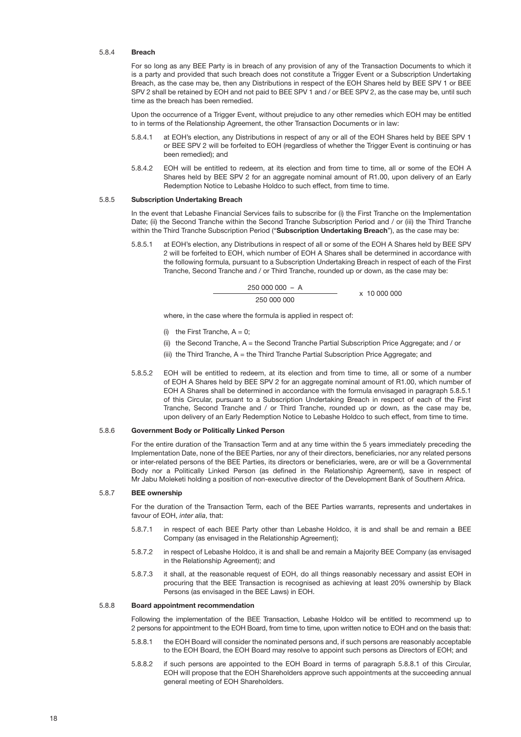#### 5.8.4 Breach

For so long as any BEE Party is in breach of any provision of any of the Transaction Documents to which it is a party and provided that such breach does not constitute a Trigger Event or a Subscription Undertaking Breach, as the case may be, then any Distributions in respect of the EOH Shares held by BEE SPV 1 or BEE SPV 2 shall be retained by EOH and not paid to BEE SPV 1 and / or BEE SPV 2, as the case may be, until such time as the breach has been remedied.

Upon the occurrence of a Trigger Event, without prejudice to any other remedies which EOH may be entitled to in terms of the Relationship Agreement, the other Transaction Documents or in law:

- at EOH's election, any Distributions in respect of any or all of the EOH Shares held by BEE SPV 1 or BEE SPV 2 will be forfeited to EOH (regardless of whether the Trigger Event is continuing or has been remedied); and
- 5.8.4.2 EOH will be entitled to redeem, at its election and from time to time, all or some of the EOH A Shares held by BEE SPV 2 for an aggregate nominal amount of R1.00, upon delivery of an Early Redemption Notice to Lebashe Holdco to such effect, from time to time.

#### 5.8.5 Subscription Undertaking Breach

In the event that Lebashe Financial Services fails to subscribe for (i) the First Tranche on the Implementation Date; (ii) the Second Tranche within the Second Tranche Subscription Period and / or (iii) the Third Tranche within the Third Tranche Subscription Period ("Subscription Undertaking Breach"), as the case may be:

5.8.5.1 at EOH's election, any Distributions in respect of all or some of the EOH A Shares held by BEE SPV 2 will be forfeited to EOH, which number of EOH A Shares shall be determined in accordance with the following formula, pursuant to a Subscription Undertaking Breach in respect of each of the First Tranche, Second Tranche and / or Third Tranche, rounded up or down, as the case may be:

> <span id="page-19-0"></span> $25000000 - A$ 250 000 000

 $x 10,000,000$ 

where, in the case where the formula is applied in respect of:

- (i) the First Tranche,  $A = 0$ :
- (ii) the Second Tranche, A = the Second Tranche Partial Subscription Price Aggregate; and / or
- (iii) the Third Tranche, A = the Third Tranche Partial Subscription Price Aggregate; and
- 5.8.5.2 EOH will be entitled to redeem, at its election and from time to time, all or some of a number of EOH A Shares held by BEE SPV 2 for an aggregate nominal amount of R1.00, which number of EOH A Shares shall be determined in accordance with the formula envisaged in paragraph [5.8.5.1](#page-19-0)  of this Circular, pursuant to a Subscription Undertaking Breach in respect of each of the First Tranche, Second Tranche and / or Third Tranche, rounded up or down, as the case may be, upon delivery of an Early Redemption Notice to Lebashe Holdco to such effect, from time to time.

## 5.8.6 Government Body or Politically Linked Person

For the entire duration of the Transaction Term and at any time within the 5 years immediately preceding the Implementation Date, none of the BEE Parties, nor any of their directors, beneficiaries, nor any related persons or inter-related persons of the BEE Parties, its directors or beneficiaries, were, are or will be a Governmental Body nor a Politically Linked Person (as defined in the Relationship Agreement), save in respect of Mr Jabu Moleketi holding a position of non-executive director of the Development Bank of Southern Africa.

#### 5.8.7 BEE ownership

For the duration of the Transaction Term, each of the BEE Parties warrants, represents and undertakes in favour of EOH, *inter alia*, that:

- 5.8.7.1 in respect of each BEE Party other than Lebashe Holdco, it is and shall be and remain a BEE Company (as envisaged in the Relationship Agreement);
- 5.8.7.2 in respect of Lebashe Holdco, it is and shall be and remain a Majority BEE Company (as envisaged in the Relationship Agreement); and
- 5.8.7.3 it shall, at the reasonable request of EOH, do all things reasonably necessary and assist EOH in procuring that the BEE Transaction is recognised as achieving at least 20% ownership by Black Persons (as envisaged in the BEE Laws) in EOH.

## 5.8.8 Board appointment recommendation

Following the implementation of the BEE Transaction, Lebashe Holdco will be entitled to recommend up to 2 persons for appointment to the EOH Board, from time to time, upon written notice to EOH and on the basis that:

- <span id="page-19-1"></span>5.8.8.1 the EOH Board will consider the nominated persons and, if such persons are reasonably acceptable to the EOH Board, the EOH Board may resolve to appoint such persons as Directors of EOH; and
- 5.8.8.2 if such persons are appointed to the EOH Board in terms of paragraph [5.8.8.1](#page-19-1) of this Circular, EOH will propose that the EOH Shareholders approve such appointments at the succeeding annual general meeting of EOH Shareholders.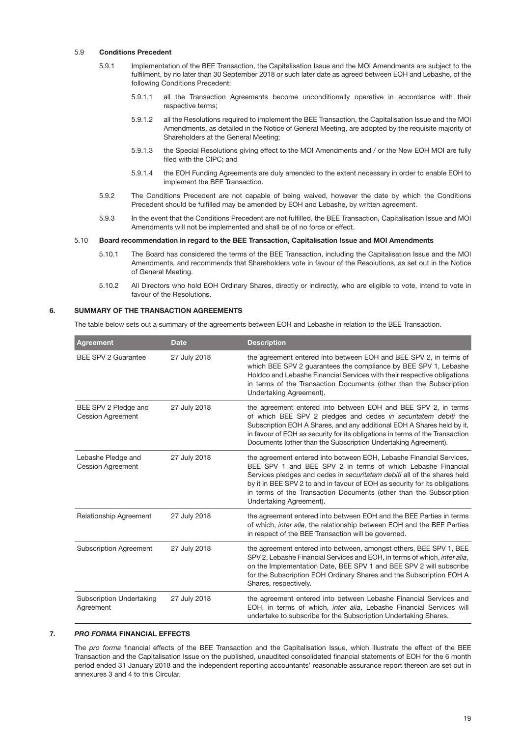## 5.9 Conditions Precedent

- 5.9.1 Implementation of the BEE Transaction, the Capitalisation Issue and the MOI Amendments are subject to the fulfilment, by no later than 30 September 2018 or such later date as agreed between EOH and Lebashe, of the following Conditions Precedent:
	- 5.9.1.1 all the Transaction Agreements become unconditionally operative in accordance with their respective terms;
	- 5.9.1.2 all the Resolutions required to implement the BEE Transaction, the Capitalisation Issue and the MOI Amendments, as detailed in the Notice of General Meeting, are adopted by the requisite majority of Shareholders at the General Meeting;
	- 5.9.1.3 the Special Resolutions giving effect to the MOI Amendments and / or the New EOH MOI are fully filed with the CIPC; and
	- 5.9.1.4 the EOH Funding Agreements are duly amended to the extent necessary in order to enable EOH to implement the BEE Transaction.
- 5.9.2 The Conditions Precedent are not capable of being waived, however the date by which the Conditions Precedent should be fulfilled may be amended by EOH and Lebashe, by written agreement.
- 5.9.3 In the event that the Conditions Precedent are not fulfilled, the BEE Transaction, Capitalisation Issue and MOI Amendments will not be implemented and shall be of no force or effect.

#### 5.10 Board recommendation in regard to the BEE Transaction, Capitalisation Issue and MOI Amendments

- 5.10.1 The Board has considered the terms of the BEE Transaction, including the Capitalisation Issue and the MOI Amendments, and recommends that Shareholders vote in favour of the Resolutions, as set out in the Notice of General Meeting.
- 5.10.2 All Directors who hold EOH Ordinary Shares, directly or indirectly, who are eligible to vote, intend to vote in favour of the Resolutions.

## 6. SUMMARY OF THE TRANSACTION AGREEMENTS

The table below sets out a summary of the agreements between EOH and Lebashe in relation to the BEE Transaction.

| <b>Agreement</b>                                 | <b>Date</b>  | <b>Description</b>                                                                                                                                                                                                                                                                                                                                                                           |
|--------------------------------------------------|--------------|----------------------------------------------------------------------------------------------------------------------------------------------------------------------------------------------------------------------------------------------------------------------------------------------------------------------------------------------------------------------------------------------|
| <b>BEE SPV 2 Guarantee</b>                       | 27 July 2018 | the agreement entered into between EOH and BEE SPV 2, in terms of<br>which BEE SPV 2 guarantees the compliance by BEE SPV 1, Lebashe<br>Holdco and Lebashe Financial Services with their respective obligations<br>in terms of the Transaction Documents (other than the Subscription<br>Undertaking Agreement).                                                                             |
| BEE SPV 2 Pledge and<br><b>Cession Agreement</b> | 27 July 2018 | the agreement entered into between EOH and BEE SPV 2, in terms<br>of which BEE SPV 2 pledges and cedes in securitatem debiti the<br>Subscription EOH A Shares, and any additional EOH A Shares held by it,<br>in favour of EOH as security for its obligations in terms of the Transaction<br>Documents (other than the Subscription Undertaking Agreement).                                 |
| Lebashe Pledge and<br><b>Cession Agreement</b>   | 27 July 2018 | the agreement entered into between EOH, Lebashe Financial Services,<br>BEE SPV 1 and BEE SPV 2 in terms of which Lebashe Financial<br>Services pledges and cedes in securitatem debiti all of the shares held<br>by it in BEE SPV 2 to and in favour of EOH as security for its obligations<br>in terms of the Transaction Documents (other than the Subscription<br>Undertaking Agreement). |
| <b>Relationship Agreement</b>                    | 27 July 2018 | the agreement entered into between EOH and the BEE Parties in terms<br>of which, inter alia, the relationship between EOH and the BEE Parties<br>in respect of the BEE Transaction will be governed.                                                                                                                                                                                         |
| <b>Subscription Agreement</b>                    | 27 July 2018 | the agreement entered into between, amongst others, BEE SPV 1, BEE<br>SPV 2, Lebashe Financial Services and EOH, in terms of which, <i>inter alia</i> ,<br>on the Implementation Date, BEE SPV 1 and BEE SPV 2 will subscribe<br>for the Subscription EOH Ordinary Shares and the Subscription EOH A<br>Shares, respectively.                                                                |
| <b>Subscription Undertaking</b><br>Agreement     | 27 July 2018 | the agreement entered into between Lebashe Financial Services and<br>EOH, in terms of which, inter alia, Lebashe Financial Services will<br>undertake to subscribe for the Subscription Undertaking Shares.                                                                                                                                                                                  |

#### 7. *PRO FORMA* FINANCIAL EFFECTS

The *pro forma* financial effects of the BEE Transaction and the Capitalisation Issue, which illustrate the effect of the BEE Transaction and the Capitalisation Issue on the published, unaudited consolidated financial statements of EOH for the 6 month period ended 31 January 2018 and the independent reporting accountants' reasonable assurance report thereon are set out in annexures 3 and 4 to this Circular.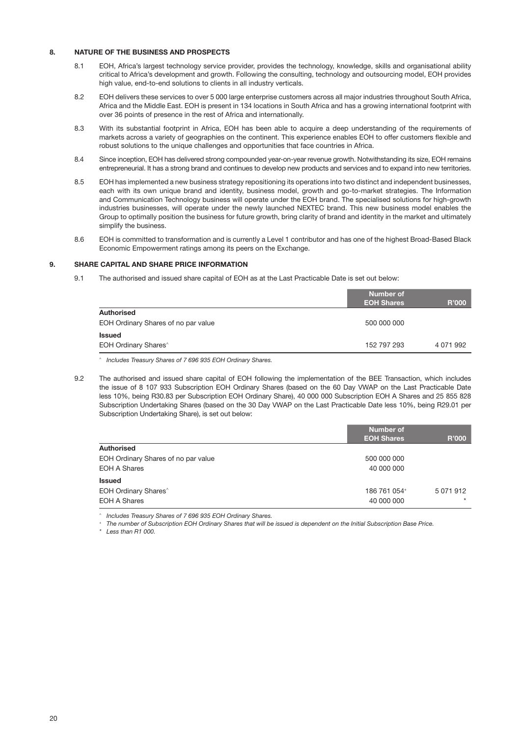## 8. NATURE OF THE BUSINESS AND PROSPECTS

- 8.1 EOH, Africa's largest technology service provider, provides the technology, knowledge, skills and organisational ability critical to Africa's development and growth. Following the consulting, technology and outsourcing model, EOH provides high value, end-to-end solutions to clients in all industry verticals.
- 8.2 EOH delivers these services to over 5 000 large enterprise customers across all major industries throughout South Africa, Africa and the Middle East. EOH is present in 134 locations in South Africa and has a growing international footprint with over 36 points of presence in the rest of Africa and internationally.
- 8.3 With its substantial footprint in Africa, EOH has been able to acquire a deep understanding of the requirements of markets across a variety of geographies on the continent. This experience enables EOH to offer customers flexible and robust solutions to the unique challenges and opportunities that face countries in Africa.
- 8.4 Since inception, EOH has delivered strong compounded year-on-year revenue growth. Notwithstanding its size, EOH remains entrepreneurial. It has a strong brand and continues to develop new products and services and to expand into new territories.
- 8.5 EOH has implemented a new business strategy repositioning its operations into two distinct and independent businesses, each with its own unique brand and identity, business model, growth and go-to-market strategies. The Information and Communication Technology business will operate under the EOH brand. The specialised solutions for high-growth industries businesses, will operate under the newly launched NEXTEC brand. This new business model enables the Group to optimally position the business for future growth, bring clarity of brand and identity in the market and ultimately simplify the business.
- 8.6 EOH is committed to transformation and is currently a Level 1 contributor and has one of the highest Broad-Based Black Economic Empowerment ratings among its peers on the Exchange.

## 9. SHARE CAPITAL AND SHARE PRICE INFORMATION

9.1 The authorised and issued share capital of EOH as at the Last Practicable Date is set out below:

|                                     | <b>Number of</b><br><b>EOH Shares</b> | <b>R'000</b> |
|-------------------------------------|---------------------------------------|--------------|
| <b>Authorised</b>                   |                                       |              |
| EOH Ordinary Shares of no par value | 500 000 000                           |              |
| <b>Issued</b>                       |                                       |              |
| EOH Ordinary Shares <sup>^</sup>    | 152 797 293                           | 4 0 71 9 92  |

*^ Includes Treasury Shares of 7 696 935 EOH Ordinary Shares.* 

9.2 The authorised and issued share capital of EOH following the implementation of the BEE Transaction, which includes the issue of 8 107 933 Subscription EOH Ordinary Shares (based on the 60 Day VWAP on the Last Practicable Date less 10%, being R30.83 per Subscription EOH Ordinary Share), 40 000 000 Subscription EOH A Shares and 25 855 828 Subscription Undertaking Shares (based on the 30 Day VWAP on the Last Practicable Date less 10%, being R29.01 per Subscription Undertaking Share), is set out below:

|                                         | <b>Number of</b>  |               |
|-----------------------------------------|-------------------|---------------|
|                                         | <b>EOH Shares</b> | <b>R'000</b>  |
| <b>Authorised</b>                       |                   |               |
| EOH Ordinary Shares of no par value     | 500 000 000       |               |
| <b>EOH A Shares</b>                     | 40 000 000        |               |
| <b>Issued</b>                           |                   |               |
| <b>EOH Ordinary Shares</b> <sup>^</sup> | 186 761 054+      | 5 0 7 1 9 1 2 |
| <b>EOH A Shares</b>                     | 40 000 000        | $\star$       |

*^ Includes Treasury Shares of 7 696 935 EOH Ordinary Shares. + The number of Subscription EOH Ordinary Shares that will be issued is dependent on the Initial Subscription Base Price.*

*\* Less than R1 000.*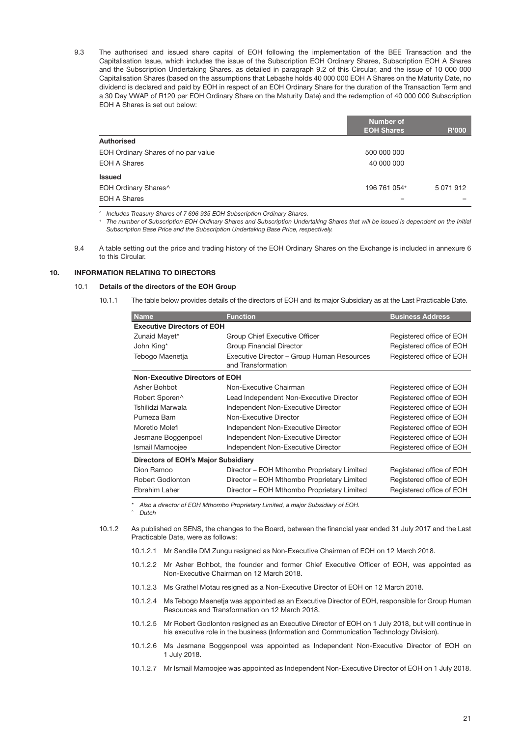9.3 The authorised and issued share capital of EOH following the implementation of the BEE Transaction and the Capitalisation Issue, which includes the issue of the Subscription EOH Ordinary Shares, Subscription EOH A Shares and the Subscription Undertaking Shares, as detailed in paragraph 9.2 of this Circular, and the issue of 10 000 000 Capitalisation Shares (based on the assumptions that Lebashe holds 40 000 000 EOH A Shares on the Maturity Date, no dividend is declared and paid by EOH in respect of an EOH Ordinary Share for the duration of the Transaction Term and a 30 Day VWAP of R120 per EOH Ordinary Share on the Maturity Date) and the redemption of 40 000 000 Subscription EOH A Shares is set out below:

|                                     | <b>Number of</b><br><b>EOH Shares</b> | <b>R'000</b>  |
|-------------------------------------|---------------------------------------|---------------|
| <b>Authorised</b>                   |                                       |               |
| EOH Ordinary Shares of no par value | 500 000 000                           |               |
| <b>EOH A Shares</b>                 | 40 000 000                            |               |
| <b>Issued</b>                       |                                       |               |
| EOH Ordinary Shares^                | 196 761 054+                          | 5 0 7 1 9 1 2 |
| <b>EOH A Shares</b>                 | -                                     |               |

*^ Includes Treasury Shares of 7 696 935 EOH Subscription Ordinary Shares.*

*+ The number of Subscription EOH Ordinary Shares and Subscription Undertaking Shares that will be issued is dependent on the Initial Subscription Base Price and the Subscription Undertaking Base Price, respectively.*

9.4 A table setting out the price and trading history of the EOH Ordinary Shares on the Exchange is included in annexure 6 to this Circular.

## 10. INFORMATION RELATING TO DIRECTORS

#### 10.1 Details of the directors of the EOH Group

10.1.1 The table below provides details of the directors of EOH and its major Subsidiary as at the Last Practicable Date.

| <b>Name</b>                                | <b>Function</b>                                                  | <b>Business Address</b>  |  |  |  |  |  |
|--------------------------------------------|------------------------------------------------------------------|--------------------------|--|--|--|--|--|
| <b>Executive Directors of EOH</b>          |                                                                  |                          |  |  |  |  |  |
| Zunaid Mayet*                              | Group Chief Executive Officer                                    | Registered office of EOH |  |  |  |  |  |
| John King*                                 | <b>Group Financial Director</b>                                  | Registered office of EOH |  |  |  |  |  |
| Tebogo Maenetja                            | Executive Director - Group Human Resources<br>and Transformation | Registered office of EOH |  |  |  |  |  |
| <b>Non-Executive Directors of EOH</b>      |                                                                  |                          |  |  |  |  |  |
| Asher Bohbot                               | Non-Executive Chairman                                           | Registered office of EOH |  |  |  |  |  |
| Robert Sporen^                             | Lead Independent Non-Executive Director                          | Registered office of EOH |  |  |  |  |  |
| Tshilidzi Marwala                          | Independent Non-Executive Director                               | Registered office of EOH |  |  |  |  |  |
| Pumeza Bam                                 | Non-Executive Director                                           | Registered office of EOH |  |  |  |  |  |
| Moretlo Molefi                             | Independent Non-Executive Director                               | Registered office of EOH |  |  |  |  |  |
| Jesmane Boggenpoel                         | Independent Non-Executive Director                               | Registered office of EOH |  |  |  |  |  |
| Ismail Mamoojee                            | Independent Non-Executive Director                               | Registered office of EOH |  |  |  |  |  |
| <b>Directors of EOH's Major Subsidiary</b> |                                                                  |                          |  |  |  |  |  |
| Dion Ramoo                                 | Director – EOH Mthombo Proprietary Limited                       | Registered office of EOH |  |  |  |  |  |
| <b>Robert Godlonton</b>                    | Director - EOH Mthombo Proprietary Limited                       | Registered office of EOH |  |  |  |  |  |
| Ebrahim Laher                              | Director - EOH Mthombo Proprietary Limited                       | Registered office of EOH |  |  |  |  |  |

*\* Also a director of EOH Mthombo Proprietary Limited, a major Subsidiary of EOH.*

*^ Dutch*

- 10.1.2 As published on SENS, the changes to the Board, between the financial year ended 31 July 2017 and the Last Practicable Date, were as follows:
	- 10.1.2.1 Mr Sandile DM Zungu resigned as Non-Executive Chairman of EOH on 12 March 2018.
	- 10.1.2.2 Mr Asher Bohbot, the founder and former Chief Executive Officer of EOH, was appointed as Non-Executive Chairman on 12 March 2018.
	- 10.1.2.3 Ms Grathel Motau resigned as a Non-Executive Director of EOH on 12 March 2018.
	- 10.1.2.4 Ms Tebogo Maenetja was appointed as an Executive Director of EOH, responsible for Group Human Resources and Transformation on 12 March 2018.
	- 10.1.2.5 Mr Robert Godlonton resigned as an Executive Director of EOH on 1 July 2018, but will continue in his executive role in the business (Information and Communication Technology Division).
	- 10.1.2.6 Ms Jesmane Boggenpoel was appointed as Independent Non-Executive Director of EOH on 1 July 2018.
	- 10.1.2.7 Mr Ismail Mamoojee was appointed as Independent Non-Executive Director of EOH on 1 July 2018.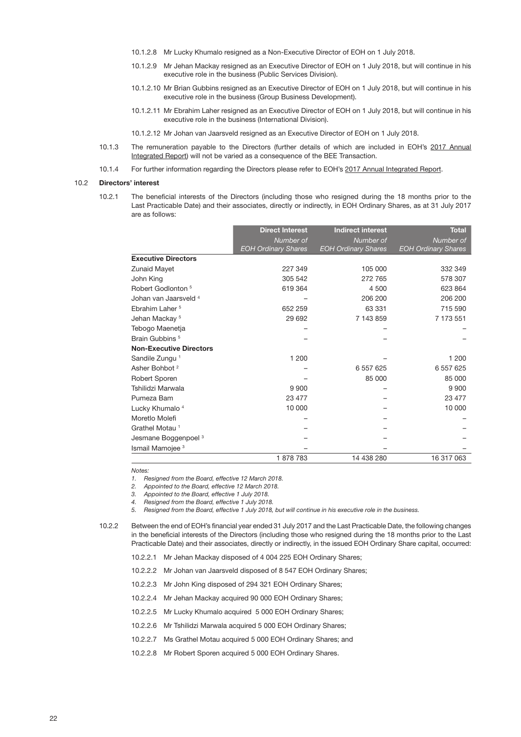- 10.1.2.8 Mr Lucky Khumalo resigned as a Non-Executive Director of EOH on 1 July 2018.
- 10.1.2.9 Mr Jehan Mackay resigned as an Executive Director of EOH on 1 July 2018, but will continue in his executive role in the business (Public Services Division).
- 10.1.2.10 Mr Brian Gubbins resigned as an Executive Director of EOH on 1 July 2018, but will continue in his executive role in the business (Group Business Development).
- 10.1.2.11 Mr Ebrahim Laher resigned as an Executive Director of EOH on 1 July 2018, but will continue in his executive role in the business (International Division).
- 10.1.2.12 Mr Johan van Jaarsveld resigned as an Executive Director of EOH on 1 July 2018.
- 10.1.3 The remuneration payable to the Directors (further details of which are included in EOH's [2017 Annual](http://www.eoh.co.za/wp-content/uploads/2018/01/EOH-Annual-Integrated-Report-31-July-2017.pdf)  [Integrated Report](http://www.eoh.co.za/wp-content/uploads/2018/01/EOH-Annual-Integrated-Report-31-July-2017.pdf)) will not be varied as a consequence of the BEE Transaction.
- 10.1.4 For further information regarding the Directors please refer to EOH's [2017 Annual Integrated Report](http://www.eoh.co.za/wp-content/uploads/2018/01/EOH-Annual-Integrated-Report-31-July-2017.pdf).

#### 10.2 Directors' interest

10.2.1 The beneficial interests of the Directors (including those who resigned during the 18 months prior to the Last Practicable Date) and their associates, directly or indirectly, in EOH Ordinary Shares, as at 31 July 2017 are as follows:

|                                  | <b>Direct Interest</b>     | <b>Indirect interest</b>   | <b>Total</b>               |
|----------------------------------|----------------------------|----------------------------|----------------------------|
|                                  | Number of                  | Number of                  | Number of                  |
|                                  | <b>EOH Ordinary Shares</b> | <b>EOH Ordinary Shares</b> | <b>EOH Ordinary Shares</b> |
| <b>Executive Directors</b>       |                            |                            |                            |
| Zunaid Mayet                     | 227 349                    | 105 000                    | 332 349                    |
| John King                        | 305 542                    | 272 765                    | 578 307                    |
| Robert Godlonton <sup>5</sup>    | 619 364                    | 4 500                      | 623 864                    |
| Johan van Jaarsveld <sup>4</sup> |                            | 206 200                    | 206 200                    |
| Ebrahim Laher <sup>5</sup>       | 652 259                    | 63 331                     | 715 590                    |
| Jehan Mackay <sup>5</sup>        | 29 692                     | 7 143 859                  | 7 173 551                  |
| Tebogo Maenetja                  |                            |                            |                            |
| Brain Gubbins <sup>5</sup>       |                            |                            |                            |
| <b>Non-Executive Directors</b>   |                            |                            |                            |
| Sandile Zungu <sup>1</sup>       | 1 200                      |                            | 1 200                      |
| Asher Bohbot <sup>2</sup>        |                            | 6 557 625                  | 6 557 625                  |
| Robert Sporen                    |                            | 85 000                     | 85 000                     |
| Tshilidzi Marwala                | 9 9 0 0                    |                            | 9 9 0 0                    |
| Pumeza Bam                       | 23 477                     |                            | 23 477                     |
| Lucky Khumalo <sup>4</sup>       | 10 000                     |                            | 10 000                     |
| Moretlo Molefi                   |                            |                            |                            |
| Grathel Motau <sup>1</sup>       |                            |                            |                            |
| Jesmane Boggenpoel <sup>3</sup>  |                            |                            |                            |
| Ismail Mamojee <sup>3</sup>      |                            |                            |                            |
|                                  | 1878783                    | 14 438 280                 | 16 317 063                 |

*Notes:*

*1. Resigned from the Board, effective 12 March 2018.*

*2. Appointed to the Board, effective 12 March 2018.*

*3. Appointed to the Board, effective 1 July 2018.*

*4. Resigned from the Board, effective 1 July 2018.*

*5. Resigned from the Board, effective 1 July 2018, but will continue in his executive role in the business.*

10.2.2 Between the end of EOH's financial year ended 31 July 2017 and the Last Practicable Date, the following changes in the beneficial interests of the Directors (including those who resigned during the 18 months prior to the Last Practicable Date) and their associates, directly or indirectly, in the issued EOH Ordinary Share capital, occurred:

10.2.2.1 Mr Jehan Mackay disposed of 4 004 225 EOH Ordinary Shares;

10.2.2.2 Mr Johan van Jaarsveld disposed of 8 547 EOH Ordinary Shares;

- 10.2.2.3 Mr John King disposed of 294 321 EOH Ordinary Shares;
- 10.2.2.4 Mr Jehan Mackay acquired 90 000 EOH Ordinary Shares;
- 10.2.2.5 Mr Lucky Khumalo acquired 5 000 EOH Ordinary Shares;
- 10.2.2.6 Mr Tshilidzi Marwala acquired 5 000 EOH Ordinary Shares;
- 10.2.2.7 Ms Grathel Motau acquired 5 000 EOH Ordinary Shares; and
- 10.2.2.8 Mr Robert Sporen acquired 5 000 EOH Ordinary Shares.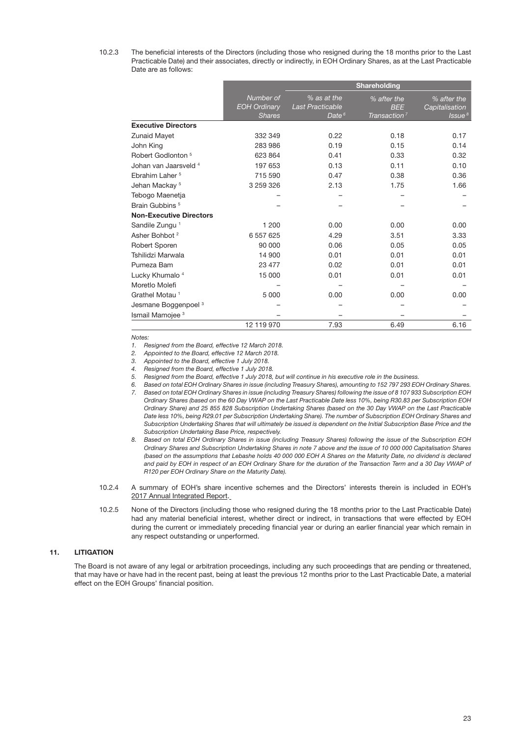10.2.3 The beneficial interests of the Directors (including those who resigned during the 18 months prior to the Last Practicable Date) and their associates, directly or indirectly, in EOH Ordinary Shares, as at the Last Practicable Date are as follows:

|                                  |                     |                         | Shareholding             |                    |
|----------------------------------|---------------------|-------------------------|--------------------------|--------------------|
|                                  | Number of           | % as at the             | % after the              | % after the        |
|                                  | <b>EOH Ordinary</b> | <b>Last Practicable</b> | <b>BEE</b>               | Capitalisation     |
|                                  | <b>Shares</b>       | Date $6$                | Transaction <sup>7</sup> | Issue <sup>8</sup> |
| <b>Executive Directors</b>       |                     |                         |                          |                    |
| <b>Zunaid Mayet</b>              | 332 349             | 0.22                    | 0.18                     | 0.17               |
| John King                        | 283 986             | 0.19                    | 0.15                     | 0.14               |
| Robert Godlonton <sup>5</sup>    | 623 864             | 0.41                    | 0.33                     | 0.32               |
| Johan van Jaarsveld <sup>4</sup> | 197 653             | 0.13                    | 0.11                     | 0.10               |
| Ebrahim Laher <sup>5</sup>       | 715 590             | 0.47                    | 0.38                     | 0.36               |
| Jehan Mackay <sup>5</sup>        | 3 259 326           | 2.13                    | 1.75                     | 1.66               |
| Tebogo Maenetja                  |                     |                         |                          |                    |
| Brain Gubbins <sup>5</sup>       |                     |                         |                          |                    |
| <b>Non-Executive Directors</b>   |                     |                         |                          |                    |
| Sandile Zungu <sup>1</sup>       | 1 200               | 0.00                    | 0.00                     | 0.00               |
| Asher Bohbot <sup>2</sup>        | 6 557 625           | 4.29                    | 3.51                     | 3.33               |
| Robert Sporen                    | 90 000              | 0.06                    | 0.05                     | 0.05               |
| Tshilidzi Marwala                | 14 900              | 0.01                    | 0.01                     | 0.01               |
| Pumeza Bam                       | 23 477              | 0.02                    | 0.01                     | 0.01               |
| Lucky Khumalo <sup>4</sup>       | 15 000              | 0.01                    | 0.01                     | 0.01               |
| Moretlo Molefi                   |                     |                         |                          |                    |
| Grathel Motau <sup>1</sup>       | 5 0 0 0             | 0.00                    | 0.00                     | 0.00               |
| Jesmane Boggenpoel <sup>3</sup>  |                     |                         |                          |                    |
| Ismail Mamojee <sup>3</sup>      |                     |                         |                          |                    |
|                                  | 12 119 970          | 7.93                    | 6.49                     | 6.16               |

*Notes:*

*1. Resigned from the Board, effective 12 March 2018.*

*2. Appointed to the Board, effective 12 March 2018.*

*3. Appointed to the Board, effective 1 July 2018.*

*4. Resigned from the Board, effective 1 July 2018.*

*5. Resigned from the Board, effective 1 July 2018, but will continue in his executive role in the business.*

*6. Based on total EOH Ordinary Shares in issue (including Treasury Shares), amounting to 152 797 293 EOH Ordinary Shares.*

- *7. Based on total EOH Ordinary Shares in issue (including Treasury Shares) following the issue of 8 107 933 Subscription EOH Ordinary Shares (based on the 60 Day VWAP on the Last Practicable Date less 10%, being R30.83 per Subscription EOH Ordinary Share) and 25 855 828 Subscription Undertaking Shares (based on the 30 Day VWAP on the Last Practicable Date less 10%, being R29.01 per Subscription Undertaking Share). The number of Subscription EOH Ordinary Shares and Subscription Undertaking Shares that will ultimately be issued is dependent on the Initial Subscription Base Price and the Subscription Undertaking Base Price, respectively.*
- *8. Based on total EOH Ordinary Shares in issue (including Treasury Shares) following the issue of the Subscription EOH Ordinary Shares and Subscription Undertaking Shares in note 7 above and the issue of 10 000 000 Capitalisation Shares (based on the assumptions that Lebashe holds 40 000 000 EOH A Shares on the Maturity Date, no dividend is declared and paid by EOH in respect of an EOH Ordinary Share for the duration of the Transaction Term and a 30 Day VWAP of R120 per EOH Ordinary Share on the Maturity Date).*
- 10.2.4 A summary of EOH's share incentive schemes and the Directors' interests therein is included in EOH's [2017 Annual Integrated Report](http://www.eoh.co.za/wp-content/uploads/2018/01/EOH-Annual-Integrated-Report-31-July-2017.pdf).
- 10.2.5 None of the Directors (including those who resigned during the 18 months prior to the Last Practicable Date) had any material beneficial interest, whether direct or indirect, in transactions that were effected by EOH during the current or immediately preceding financial year or during an earlier financial year which remain in any respect outstanding or unperformed.

## 11. LITIGATION

The Board is not aware of any legal or arbitration proceedings, including any such proceedings that are pending or threatened, that may have or have had in the recent past, being at least the previous 12 months prior to the Last Practicable Date, a material effect on the EOH Groups' financial position.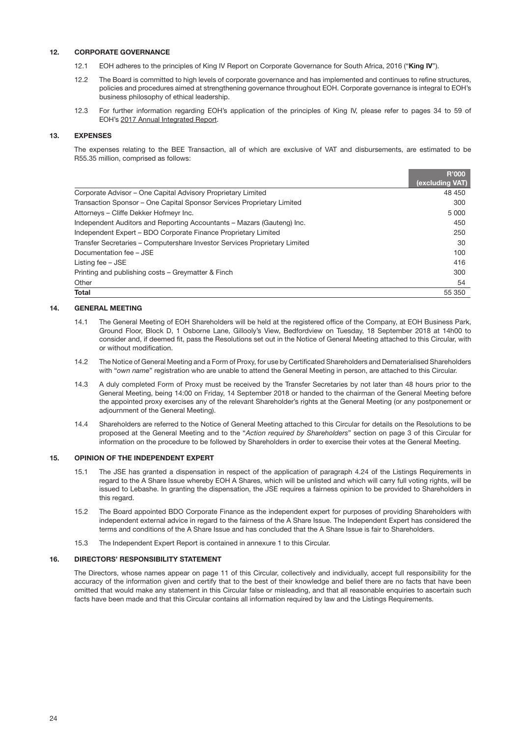## 12. CORPORATE GOVERNANCE

- 12.1 EOH adheres to the principles of King IV Report on Corporate Governance for South Africa, 2016 ("King IV").
- 12.2 The Board is committed to high levels of corporate governance and has implemented and continues to refine structures, policies and procedures aimed at strengthening governance throughout EOH. Corporate governance is integral to EOH's business philosophy of ethical leadership.
- 12.3 For further information regarding EOH's application of the principles of King IV, please refer to pages 34 to 59 of EOH's [2017 Annual Integrated Report.](http://www.eoh.co.za/wp-content/uploads/2018/01/EOH-Annual-Integrated-Report-31-July-2017.pdf)

## 13. EXPENSES

The expenses relating to the BEE Transaction, all of which are exclusive of VAT and disbursements, are estimated to be R55.35 million, comprised as follows:

|                                                                            | <b>R'000</b>    |
|----------------------------------------------------------------------------|-----------------|
|                                                                            | (excluding VAT) |
| Corporate Advisor – One Capital Advisory Proprietary Limited               | 48 450          |
| Transaction Sponsor – One Capital Sponsor Services Proprietary Limited     | 300             |
| Attorneys - Cliffe Dekker Hofmeyr Inc.                                     | 5 0 0 0         |
| Independent Auditors and Reporting Accountants - Mazars (Gauteng) Inc.     | 450             |
| Independent Expert - BDO Corporate Finance Proprietary Limited             | 250             |
| Transfer Secretaries - Computershare Investor Services Proprietary Limited | 30              |
| Documentation fee - JSE                                                    | 100             |
| Listing fee – JSE                                                          | 416             |
| Printing and publishing costs – Greymatter & Finch                         | 300             |
| Other                                                                      | 54              |
| Total                                                                      | 55 350          |

#### 14. GENERAL MEETING

- 14.1 The General Meeting of EOH Shareholders will be held at the registered office of the Company, at EOH Business Park, Ground Floor, Block D, 1 Osborne Lane, Gillooly's View, Bedfordview on Tuesday, 18 September 2018 at 14h00 to consider and, if deemed fit, pass the Resolutions set out in the Notice of General Meeting attached to this Circular, with or without modification.
- 14.2 The Notice of General Meeting and a Form of Proxy, for use by Certificated Shareholders and Dematerialised Shareholders with "*own name*" registration who are unable to attend the General Meeting in person, are attached to this Circular.
- 14.3 A duly completed Form of Proxy must be received by the Transfer Secretaries by not later than 48 hours prior to the General Meeting, being 14:00 on Friday, 14 September 2018 or handed to the chairman of the General Meeting before the appointed proxy exercises any of the relevant Shareholder's rights at the General Meeting (or any postponement or adjournment of the General Meeting).
- 14.4 Shareholders are referred to the Notice of General Meeting attached to this Circular for details on the Resolutions to be proposed at the General Meeting and to the "*Action required by Shareholders*" section on page 3 of this Circular for information on the procedure to be followed by Shareholders in order to exercise their votes at the General Meeting.

## 15. OPINION OF THE INDEPENDENT EXPERT

- 15.1 The JSE has granted a dispensation in respect of the application of paragraph 4.24 of the Listings Requirements in regard to the A Share Issue whereby EOH A Shares, which will be unlisted and which will carry full voting rights, will be issued to Lebashe. In granting the dispensation, the JSE requires a fairness opinion to be provided to Shareholders in this regard.
- 15.2 The Board appointed BDO Corporate Finance as the independent expert for purposes of providing Shareholders with independent external advice in regard to the fairness of the A Share Issue. The Independent Expert has considered the terms and conditions of the A Share Issue and has concluded that the A Share Issue is fair to Shareholders.
- 15.3 The Independent Expert Report is contained in annexure 1 to this Circular.

## 16. DIRECTORS' RESPONSIBILITY STATEMENT

The Directors, whose names appear on page 11 of this Circular, collectively and individually, accept full responsibility for the accuracy of the information given and certify that to the best of their knowledge and belief there are no facts that have been omitted that would make any statement in this Circular false or misleading, and that all reasonable enquiries to ascertain such facts have been made and that this Circular contains all information required by law and the Listings Requirements.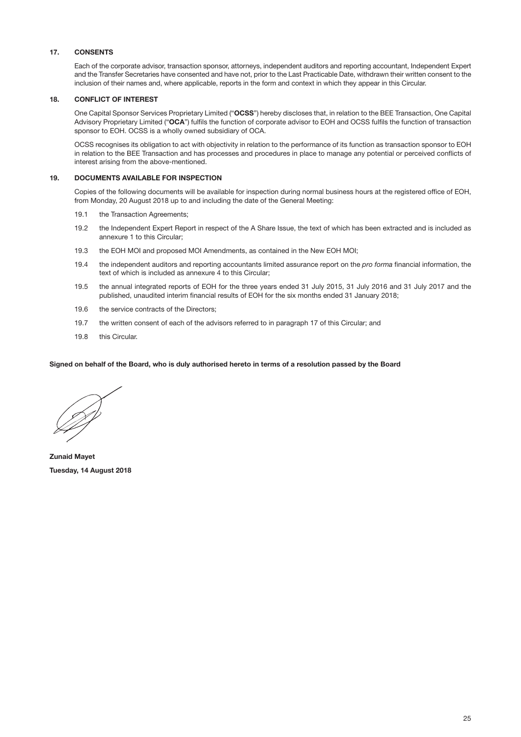## 17. CONSENTS

<span id="page-26-0"></span>Each of the corporate advisor, transaction sponsor, attorneys, independent auditors and reporting accountant, Independent Expert and the Transfer Secretaries have consented and have not, prior to the Last Practicable Date, withdrawn their written consent to the inclusion of their names and, where applicable, reports in the form and context in which they appear in this Circular.

#### 18. CONFLICT OF INTEREST

One Capital Sponsor Services Proprietary Limited ("OCSS") hereby discloses that, in relation to the BEE Transaction, One Capital Advisory Proprietary Limited ("OCA") fulfils the function of corporate advisor to EOH and OCSS fulfils the function of transaction sponsor to EOH. OCSS is a wholly owned subsidiary of OCA.

OCSS recognises its obligation to act with objectivity in relation to the performance of its function as transaction sponsor to EOH in relation to the BEE Transaction and has processes and procedures in place to manage any potential or perceived conflicts of interest arising from the above-mentioned.

### 19. DOCUMENTS AVAILABLE FOR INSPECTION

Copies of the following documents will be available for inspection during normal business hours at the registered office of EOH, from Monday, 20 August 2018 up to and including the date of the General Meeting:

- 19.1 the Transaction Agreements:
- 19.2 the Independent Expert Report in respect of the A Share Issue, the text of which has been extracted and is included as annexure 1 to this Circular;
- 19.3 the EOH MOI and proposed MOI Amendments, as contained in the New EOH MOI;
- 19.4 the independent auditors and reporting accountants limited assurance report on the *pro forma* financial information, the text of which is included as annexure 4 to this Circular;
- 19.5 the annual integrated reports of EOH for the three years ended 31 July 2015, 31 July 2016 and 31 July 2017 and the published, unaudited interim financial results of EOH for the six months ended 31 January 2018;
- 19.6 the service contracts of the Directors;
- 19.7 the written consent of each of the advisors referred to in paragraph [17](#page-26-0) of this Circular; and
- 19.8 this Circular.

#### Signed on behalf of the Board, who is duly authorised hereto in terms of a resolution passed by the Board

Zunaid Mayet Tuesday, 14 August 2018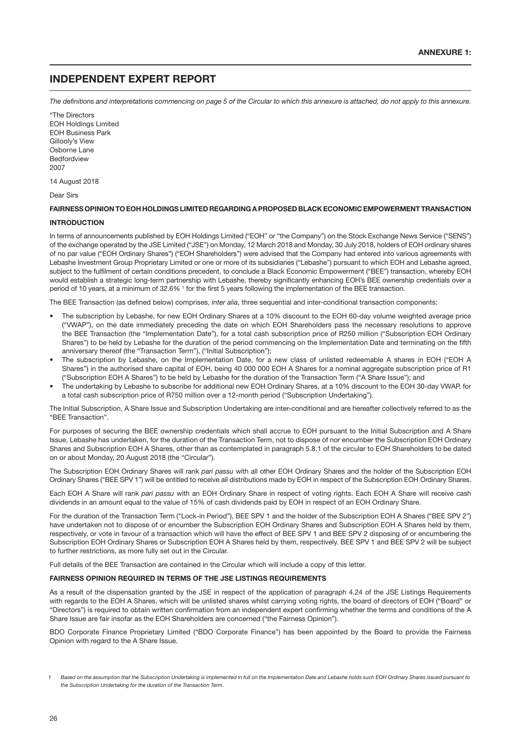## INDEPENDENT EXPERT REPORT

*The definitions and interpretations commencing on page 5 of the Circular to which this annexure is attached, do not apply to this annexure.*

"The Directors EOH Holdings Limited EOH Business Park Gillooly's View Osborne Lane **Bedfordview** 2007

14 August 2018

Dear Sirs

#### FAIRNESS OPINION TO EOH HOLDINGS LIMITED REGARDING A PROPOSED BLACK ECONOMIC EMPOWERMENT TRANSACTION

#### INTRODUCTION

In terms of announcements published by EOH Holdings Limited ("EOH" or "the Company") on the Stock Exchange News Service ("SENS") of the exchange operated by the JSE Limited ("JSE") on Monday, 12 March 2018 and Monday, 30 July 2018, holders of EOH ordinary shares of no par value ("EOH Ordinary Shares") ("EOH Shareholders") were advised that the Company had entered into various agreements with Lebashe Investment Group Proprietary Limited or one or more of its subsidiaries ("Lebashe") pursuant to which EOH and Lebashe agreed, subject to the fulfilment of certain conditions precedent, to conclude a Black Economic Empowerment ("BEE") transaction, whereby EOH would establish a strategic long-term partnership with Lebashe, thereby significantly enhancing EOH's BEE ownership credentials over a period of 10 years, at a minimum of 32.6% <sup>1</sup> for the first 5 years following the implementation of the BEE transaction.

The BEE Transaction (as defined below) comprises, *inter alia*, three sequential and inter-conditional transaction components:

- The subscription by Lebashe, for new EOH Ordinary Shares at a 10% discount to the EOH 60-day volume weighted average price ("VWAP"), on the date immediately preceding the date on which EOH Shareholders pass the necessary resolutions to approve the BEE Transaction (the "Implementation Date"), for a total cash subscription price of R250 million ("Subscription EOH Ordinary Shares") to be held by Lebashe for the duration of the period commencing on the Implementation Date and terminating on the fifth anniversary thereof (the "Transaction Term"), ("Initial Subscription");
- The subscription by Lebashe, on the Implementation Date, for a new class of unlisted redeemable A shares in EOH ("EOH A Shares") in the authorised share capital of EOH, being 40 000 000 EOH A Shares for a nominal aggregate subscription price of R1 ("Subscription EOH A Shares") to be held by Lebashe for the duration of the Transaction Term ("A Share Issue"); and
- The undertaking by Lebashe to subscribe for additional new EOH Ordinary Shares, at a 10% discount to the EOH 30-day VWAP, for a total cash subscription price of R750 million over a 12-month period ("Subscription Undertaking").

The Initial Subscription, A Share Issue and Subscription Undertaking are inter-conditional and are hereafter collectively referred to as the "BEE Transaction".

For purposes of securing the BEE ownership credentials which shall accrue to EOH pursuant to the Initial Subscription and A Share Issue, Lebashe has undertaken, for the duration of the Transaction Term, not to dispose of nor encumber the Subscription EOH Ordinary Shares and Subscription EOH A Shares, other than as contemplated in paragraph 5.8.1 of the circular to EOH Shareholders to be dated on or about Monday, 20 August 2018 (the "Circular").

The Subscription EOH Ordinary Shares will rank *pari passu* with all other EOH Ordinary Shares and the holder of the Subscription EOH Ordinary Shares ("BEE SPV 1") will be entitled to receive all distributions made by EOH in respect of the Subscription EOH Ordinary Shares.

Each EOH A Share will rank *pari passu* with an EOH Ordinary Share in respect of voting rights. Each EOH A Share will receive cash dividends in an amount equal to the value of 15% of cash dividends paid by EOH in respect of an EOH Ordinary Share.

For the duration of the Transaction Term ("Lock-in Period"), BEE SPV 1 and the holder of the Subscription EOH A Shares ("BEE SPV 2") have undertaken not to dispose of or encumber the Subscription EOH Ordinary Shares and Subscription EOH A Shares held by them, respectively, or vote in favour of a transaction which will have the effect of BEE SPV 1 and BEE SPV 2 disposing of or encumbering the Subscription EOH Ordinary Shares or Subscription EOH A Shares held by them, respectively. BEE SPV 1 and BEE SPV 2 will be subject to further restrictions, as more fully set out in the Circular.

Full details of the BEE Transaction are contained in the Circular which will include a copy of this letter.

#### FAIRNESS OPINION REQUIRED IN TERMS OF THE JSE LISTINGS REQUIREMENTS

As a result of the dispensation granted by the JSE in respect of the application of paragraph 4.24 of the JSE Listings Requirements with regards to the EOH A Shares, which will be unlisted shares whilst carrying voting rights, the board of directors of EOH ("Board" or "Directors") is required to obtain written confirmation from an independent expert confirming whether the terms and conditions of the A Share Issue are fair insofar as the EOH Shareholders are concerned ("the Fairness Opinion").

BDO Corporate Finance Proprietary Limited ("BDO Corporate Finance") has been appointed by the Board to provide the Fairness Opinion with regard to the A Share Issue.

Based on the assumption that the Subscription Undertaking is implemented in full on the Implementation Date and Lebashe holds such EOH Ordinary Shares issued pursuant to *the Subscription Undertaking for the duration of the Transaction Term.*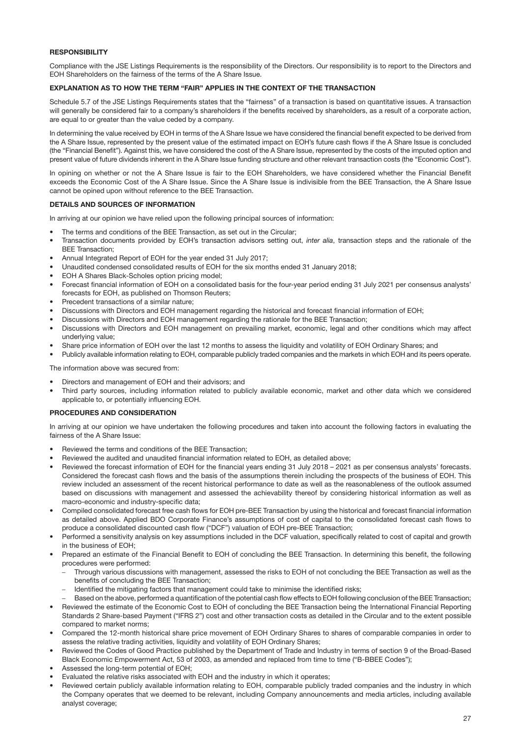## **RESPONSIBILITY**

Compliance with the JSE Listings Requirements is the responsibility of the Directors. Our responsibility is to report to the Directors and EOH Shareholders on the fairness of the terms of the A Share Issue.

## EXPLANATION AS TO HOW THE TERM "FAIR" APPLIES IN THE CONTEXT OF THE TRANSACTION

Schedule 5.7 of the JSE Listings Requirements states that the "fairness" of a transaction is based on quantitative issues. A transaction will generally be considered fair to a company's shareholders if the benefits received by shareholders, as a result of a corporate action, are equal to or greater than the value ceded by a company.

In determining the value received by EOH in terms of the A Share Issue we have considered the financial benefit expected to be derived from the A Share Issue, represented by the present value of the estimated impact on EOH's future cash flows if the A Share Issue is concluded (the "Financial Benefit"). Against this, we have considered the cost of the A Share Issue, represented by the costs of the imputed option and present value of future dividends inherent in the A Share Issue funding structure and other relevant transaction costs (the "Economic Cost").

In opining on whether or not the A Share Issue is fair to the EOH Shareholders, we have considered whether the Financial Benefit exceeds the Economic Cost of the A Share Issue. Since the A Share Issue is indivisible from the BEE Transaction, the A Share Issue cannot be opined upon without reference to the BEE Transaction.

#### DETAILS AND SOURCES OF INFORMATION

In arriving at our opinion we have relied upon the following principal sources of information:

- The terms and conditions of the BEE Transaction, as set out in the Circular;
- Transaction documents provided by EOH's transaction advisors setting out, *inter alia*, transaction steps and the rationale of the BEE Transaction;
- Annual Integrated Report of EOH for the year ended 31 July 2017;
- Unaudited condensed consolidated results of EOH for the six months ended 31 January 2018;
- EOH A Shares Black-Scholes option pricing model;
- Forecast financial information of EOH on a consolidated basis for the four-year period ending 31 July 2021 per consensus analysts' forecasts for EOH, as published on Thomson Reuters;
- Precedent transactions of a similar nature;
- Discussions with Directors and EOH management regarding the historical and forecast financial information of EOH;
- Discussions with Directors and EOH management regarding the rationale for the BEE Transaction;
- Discussions with Directors and EOH management on prevailing market, economic, legal and other conditions which may affect underlying value;
- Share price information of EOH over the last 12 months to assess the liquidity and volatility of EOH Ordinary Shares; and
- Publicly available information relating to EOH, comparable publicly traded companies and the markets in which EOH and its peers operate.

The information above was secured from:

- Directors and management of EOH and their advisors; and
- Third party sources, including information related to publicly available economic, market and other data which we considered applicable to, or potentially influencing EOH.

#### PROCEDURES AND CONSIDERATION

In arriving at our opinion we have undertaken the following procedures and taken into account the following factors in evaluating the fairness of the A Share Issue:

- Reviewed the terms and conditions of the BEE Transaction;
- Reviewed the audited and unaudited financial information related to EOH, as detailed above;
- Reviewed the forecast information of EOH for the financial years ending 31 July 2018 2021 as per consensus analysts' forecasts. Considered the forecast cash flows and the basis of the assumptions therein including the prospects of the business of EOH. This review included an assessment of the recent historical performance to date as well as the reasonableness of the outlook assumed based on discussions with management and assessed the achievability thereof by considering historical information as well as macro-economic and industry-specific data;
- Compiled consolidated forecast free cash flows for EOH pre-BEE Transaction by using the historical and forecast financial information as detailed above. Applied BDO Corporate Finance's assumptions of cost of capital to the consolidated forecast cash flows to produce a consolidated discounted cash flow ("DCF") valuation of EOH pre-BEE Transaction;
- Performed a sensitivity analysis on key assumptions included in the DCF valuation, specifically related to cost of capital and growth in the business of EOH;
- Prepared an estimate of the Financial Benefit to EOH of concluding the BEE Transaction. In determining this benefit, the following procedures were performed:
	- Through various discussions with management, assessed the risks to EOH of not concluding the BEE Transaction as well as the benefits of concluding the BEE Transaction;
	- Identified the mitigating factors that management could take to minimise the identified risks;
	- Based on the above, performed a quantification of the potential cash flow effects to EOH following conclusion of the BEE Transaction;
- Reviewed the estimate of the Economic Cost to EOH of concluding the BEE Transaction being the International Financial Reporting Standards 2 Share-based Payment ("IFRS 2") cost and other transaction costs as detailed in the Circular and to the extent possible compared to market norms;
- Compared the 12-month historical share price movement of EOH Ordinary Shares to shares of comparable companies in order to assess the relative trading activities, liquidity and volatility of EOH Ordinary Shares;
- Reviewed the Codes of Good Practice published by the Department of Trade and Industry in terms of section 9 of the Broad-Based Black Economic Empowerment Act, 53 of 2003, as amended and replaced from time to time ("B-BBEE Codes");
- Assessed the long-term potential of EOH;
- Evaluated the relative risks associated with EOH and the industry in which it operates;
- Reviewed certain publicly available information relating to EOH, comparable publicly traded companies and the industry in which the Company operates that we deemed to be relevant, including Company announcements and media articles, including available analyst coverage;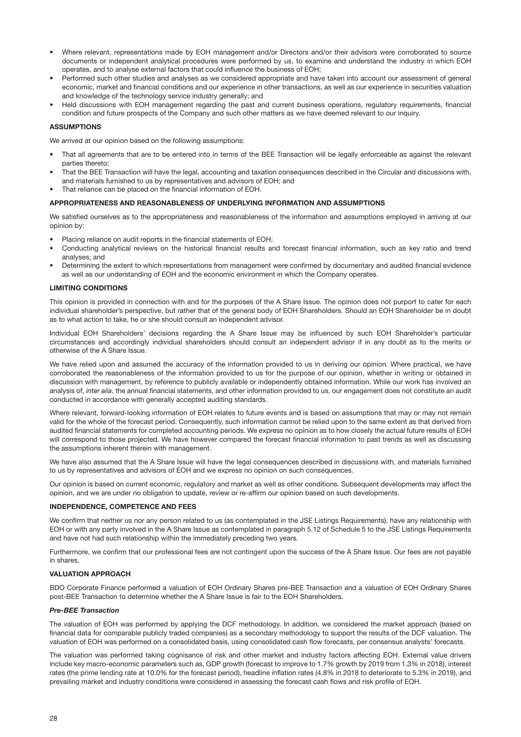- Where relevant, representations made by EOH management and/or Directors and/or their advisors were corroborated to source documents or independent analytical procedures were performed by us, to examine and understand the industry in which EOH operates, and to analyse external factors that could influence the business of EOH;
- Performed such other studies and analyses as we considered appropriate and have taken into account our assessment of general economic, market and financial conditions and our experience in other transactions, as well as our experience in securities valuation and knowledge of the technology service industry generally; and
- Held discussions with EOH management regarding the past and current business operations, regulatory requirements, financial condition and future prospects of the Company and such other matters as we have deemed relevant to our inquiry.

#### ASSUMPTIONS

We arrived at our opinion based on the following assumptions:

- That all agreements that are to be entered into in terms of the BEE Transaction will be legally enforceable as against the relevant parties thereto;
- That the BEE Transaction will have the legal, accounting and taxation consequences described in the Circular and discussions with, and materials furnished to us by representatives and advisors of EOH; and
- That reliance can be placed on the financial information of EOH.

#### APPROPRIATENESS AND REASONABLENESS OF UNDERLYING INFORMATION AND ASSUMPTIONS

We satisfied ourselves as to the appropriateness and reasonableness of the information and assumptions employed in arriving at our opinion by:

- Placing reliance on audit reports in the financial statements of EOH;
- Conducting analytical reviews on the historical financial results and forecast financial information, such as key ratio and trend analyses; and
- Determining the extent to which representations from management were confirmed by documentary and audited financial evidence as well as our understanding of EOH and the economic environment in which the Company operates.

#### LIMITING CONDITIONS

This opinion is provided in connection with and for the purposes of the A Share Issue. The opinion does not purport to cater for each individual shareholder's perspective, but rather that of the general body of EOH Shareholders. Should an EOH Shareholder be in doubt as to what action to take, he or she should consult an independent advisor.

Individual EOH Shareholders' decisions regarding the A Share Issue may be influenced by such EOH Shareholder's particular circumstances and accordingly individual shareholders should consult an independent advisor if in any doubt as to the merits or otherwise of the A Share Issue.

We have relied upon and assumed the accuracy of the information provided to us in deriving our opinion. Where practical, we have corroborated the reasonableness of the information provided to us for the purpose of our opinion, whether in writing or obtained in discussion with management, by reference to publicly available or independently obtained information. While our work has involved an analysis of, *inter alia*, the annual financial statements, and other information provided to us, our engagement does not constitute an audit conducted in accordance with generally accepted auditing standards.

Where relevant, forward-looking information of EOH relates to future events and is based on assumptions that may or may not remain valid for the whole of the forecast period. Consequently, such information cannot be relied upon to the same extent as that derived from audited financial statements for completed accounting periods. We express no opinion as to how closely the actual future results of EOH will correspond to those projected. We have however compared the forecast financial information to past trends as well as discussing the assumptions inherent therein with management.

We have also assumed that the A Share Issue will have the legal consequences described in discussions with, and materials furnished to us by representatives and advisors of EOH and we express no opinion on such consequences.

Our opinion is based on current economic, regulatory and market as well as other conditions. Subsequent developments may affect the opinion, and we are under no obligation to update, review or re-affirm our opinion based on such developments.

#### INDEPENDENCE, COMPETENCE AND FEES

We confirm that neither us nor any person related to us (as contemplated in the JSE Listings Requirements), have any relationship with EOH or with any party involved in the A Share Issue as contemplated in paragraph 5.12 of Schedule 5 to the JSE Listings Requirements and have not had such relationship within the immediately preceding two years.

Furthermore, we confirm that our professional fees are not contingent upon the success of the A Share Issue. Our fees are not payable in shares.

#### VALUATION APPROACH

BDO Corporate Finance performed a valuation of EOH Ordinary Shares pre-BEE Transaction and a valuation of EOH Ordinary Shares post-BEE Transaction to determine whether the A Share Issue is fair to the EOH Shareholders.

#### *Pre-BEE Transaction*

The valuation of EOH was performed by applying the DCF methodology. In addition, we considered the market approach (based on financial data for comparable publicly traded companies) as a secondary methodology to support the results of the DCF valuation. The valuation of EOH was performed on a consolidated basis, using consolidated cash flow forecasts, per consensus analysts' forecasts.

The valuation was performed taking cognisance of risk and other market and industry factors affecting EOH. External value drivers include key macro-economic parameters such as, GDP growth (forecast to improve to 1.7% growth by 2019 from 1.3% in 2018), interest rates (the prime lending rate at 10.0% for the forecast period), headline inflation rates (4.8% in 2018 to deteriorate to 5.3% in 2019), and prevailing market and industry conditions were considered in assessing the forecast cash flows and risk profile of EOH.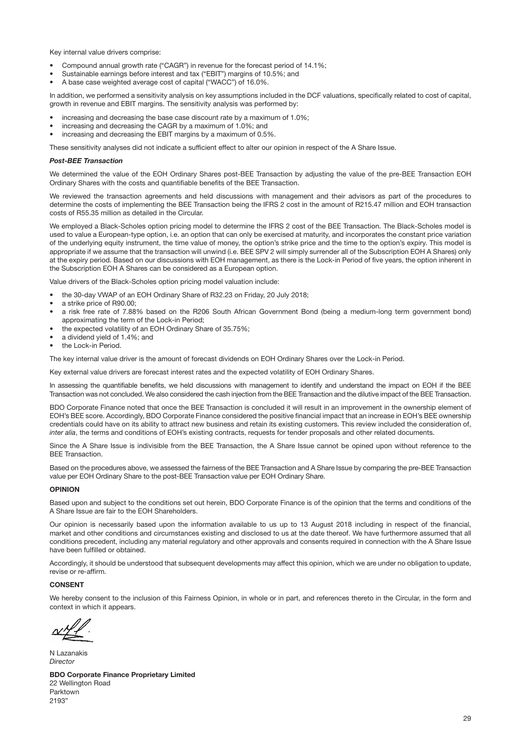Key internal value drivers comprise:

- Compound annual growth rate ("CAGR") in revenue for the forecast period of 14.1%;
- Sustainable earnings before interest and tax ("EBIT") margins of 10.5%; and
- A base case weighted average cost of capital ("WACC") of 16.0%.

In addition, we performed a sensitivity analysis on key assumptions included in the DCF valuations, specifically related to cost of capital, growth in revenue and EBIT margins. The sensitivity analysis was performed by:

- increasing and decreasing the base case discount rate by a maximum of 1.0%;
- increasing and decreasing the CAGR by a maximum of 1.0%; and
- increasing and decreasing the EBIT margins by a maximum of 0.5%.

These sensitivity analyses did not indicate a sufficient effect to alter our opinion in respect of the A Share Issue.

#### *Post-BEE Transaction*

We determined the value of the EOH Ordinary Shares post-BEE Transaction by adjusting the value of the pre-BEE Transaction EOH Ordinary Shares with the costs and quantifiable benefits of the BEE Transaction.

We reviewed the transaction agreements and held discussions with management and their advisors as part of the procedures to determine the costs of implementing the BEE Transaction being the IFRS 2 cost in the amount of R215.47 million and EOH transaction costs of R55.35 million as detailed in the Circular.

We employed a Black-Scholes option pricing model to determine the IFRS 2 cost of the BEE Transaction. The Black-Scholes model is used to value a European-type option, i.e. an option that can only be exercised at maturity, and incorporates the constant price variation of the underlying equity instrument, the time value of money, the option's strike price and the time to the option's expiry. This model is appropriate if we assume that the transaction will unwind (i.e. BEE SPV 2 will simply surrender all of the Subscription EOH A Shares) only at the expiry period. Based on our discussions with EOH management, as there is the Lock-in Period of five years, the option inherent in the Subscription EOH A Shares can be considered as a European option.

Value drivers of the Black-Scholes option pricing model valuation include:

- the 30-day VWAP of an EOH Ordinary Share of R32.23 on Friday, 20 July 2018;
- a strike price of R90.00;
- a risk free rate of 7.88% based on the R206 South African Government Bond (being a medium-long term government bond) approximating the term of the Lock-in Period;
- the expected volatility of an EOH Ordinary Share of 35.75%;
- a dividend yield of 1.4%; and
- the Lock-in Period.

The key internal value driver is the amount of forecast dividends on EOH Ordinary Shares over the Lock-in Period.

Key external value drivers are forecast interest rates and the expected volatility of EOH Ordinary Shares.

In assessing the quantifiable benefits, we held discussions with management to identify and understand the impact on EOH if the BEE Transaction was not concluded. We also considered the cash injection from the BEE Transaction and the dilutive impact of the BEE Transaction.

BDO Corporate Finance noted that once the BEE Transaction is concluded it will result in an improvement in the ownership element of EOH's BEE score. Accordingly, BDO Corporate Finance considered the positive financial impact that an increase in EOH's BEE ownership credentials could have on its ability to attract new business and retain its existing customers. This review included the consideration of, *inter alia*, the terms and conditions of EOH's existing contracts, requests for tender proposals and other related documents.

Since the A Share Issue is indivisible from the BEE Transaction, the A Share Issue cannot be opined upon without reference to the BEE Transaction.

Based on the procedures above, we assessed the fairness of the BEE Transaction and A Share Issue by comparing the pre-BEE Transaction value per EOH Ordinary Share to the post-BEE Transaction value per EOH Ordinary Share.

#### OPINION

Based upon and subject to the conditions set out herein, BDO Corporate Finance is of the opinion that the terms and conditions of the A Share Issue are fair to the EOH Shareholders.

Our opinion is necessarily based upon the information available to us up to 13 August 2018 including in respect of the financial, market and other conditions and circumstances existing and disclosed to us at the date thereof. We have furthermore assumed that all conditions precedent, including any material regulatory and other approvals and consents required in connection with the A Share Issue have been fulfilled or obtained.

Accordingly, it should be understood that subsequent developments may affect this opinion, which we are under no obligation to update, revise or re-affirm.

#### **CONSENT**

We hereby consent to the inclusion of this Fairness Opinion, in whole or in part, and references thereto in the Circular, in the form and context in which it appears.

N Lazanakis *Director*

BDO Corporate Finance Proprietary Limited 22 Wellington Road Parktown 2193"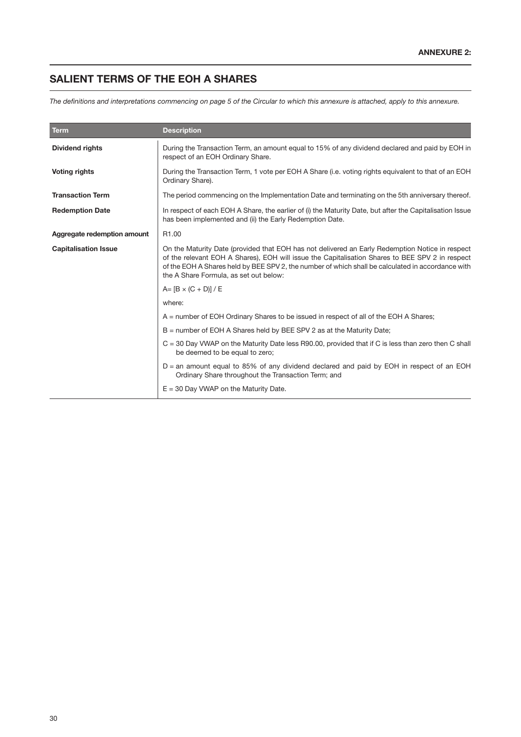# SALIENT TERMS OF THE EOH A SHARES

*The definitions and interpretations commencing on page 5 of the Circular to which this annexure is attached, apply to this annexure.*

| <b>Term</b>                 | <b>Description</b>                                                                                                                                                                                                                                                                                                                                |
|-----------------------------|---------------------------------------------------------------------------------------------------------------------------------------------------------------------------------------------------------------------------------------------------------------------------------------------------------------------------------------------------|
| <b>Dividend rights</b>      | During the Transaction Term, an amount equal to 15% of any dividend declared and paid by EOH in<br>respect of an EOH Ordinary Share.                                                                                                                                                                                                              |
| <b>Voting rights</b>        | During the Transaction Term, 1 vote per EOH A Share (i.e. voting rights equivalent to that of an EOH<br>Ordinary Share).                                                                                                                                                                                                                          |
| <b>Transaction Term</b>     | The period commencing on the Implementation Date and terminating on the 5th anniversary thereof.                                                                                                                                                                                                                                                  |
| <b>Redemption Date</b>      | In respect of each EOH A Share, the earlier of (i) the Maturity Date, but after the Capitalisation Issue<br>has been implemented and (ii) the Early Redemption Date.                                                                                                                                                                              |
| Aggregate redemption amount | R <sub>1.00</sub>                                                                                                                                                                                                                                                                                                                                 |
| <b>Capitalisation Issue</b> | On the Maturity Date (provided that EOH has not delivered an Early Redemption Notice in respect<br>of the relevant EOH A Shares), EOH will issue the Capitalisation Shares to BEE SPV 2 in respect<br>of the EOH A Shares held by BEE SPV 2, the number of which shall be calculated in accordance with<br>the A Share Formula, as set out below: |
|                             | $A = [B \times (C + D)] / E$                                                                                                                                                                                                                                                                                                                      |
|                             | where:                                                                                                                                                                                                                                                                                                                                            |
|                             | A = number of EOH Ordinary Shares to be issued in respect of all of the EOH A Shares;                                                                                                                                                                                                                                                             |
|                             | B = number of EOH A Shares held by BEE SPV 2 as at the Maturity Date;                                                                                                                                                                                                                                                                             |
|                             | $C = 30$ Day VWAP on the Maturity Date less R90.00, provided that if C is less than zero then C shall<br>be deemed to be equal to zero;                                                                                                                                                                                                           |
|                             | D = an amount equal to 85% of any dividend declared and paid by EOH in respect of an EOH<br>Ordinary Share throughout the Transaction Term; and                                                                                                                                                                                                   |
|                             | $E = 30$ Day VWAP on the Maturity Date.                                                                                                                                                                                                                                                                                                           |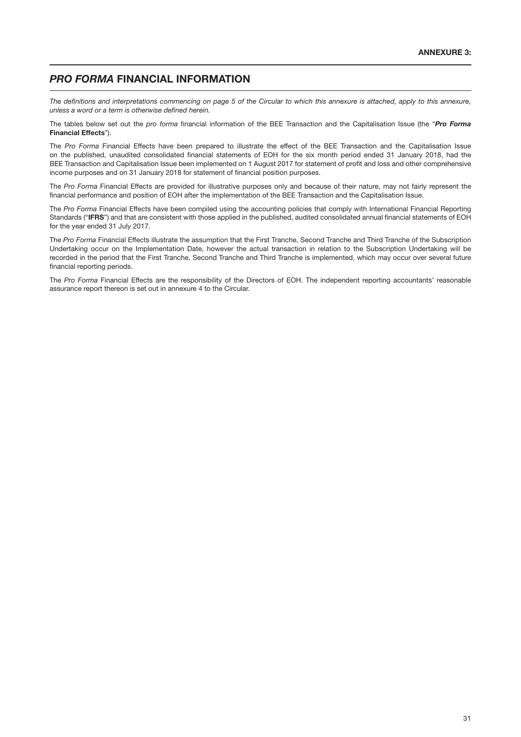## *PRO FORMA* FINANCIAL INFORMATION

*The definitions and interpretations commencing on page 5 of the Circular to which this annexure is attached, apply to this annexure, unless a word or a term is otherwise defined herein.*

The tables below set out the *pro forma* financial information of the BEE Transaction and the Capitalisation Issue (the "*Pro Forma* Financial Effects").

The *Pro Forma* Financial Effects have been prepared to illustrate the effect of the BEE Transaction and the Capitalisation Issue on the published, unaudited consolidated financial statements of EOH for the six month period ended 31 January 2018, had the BEE Transaction and Capitalisation Issue been implemented on 1 August 2017 for statement of profit and loss and other comprehensive income purposes and on 31 January 2018 for statement of financial position purposes.

The *Pro Forma* Financial Effects are provided for illustrative purposes only and because of their nature, may not fairly represent the financial performance and position of EOH after the implementation of the BEE Transaction and the Capitalisation Issue.

The *Pro Forma* Financial Effects have been compiled using the accounting policies that comply with International Financial Reporting Standards ("IFRS") and that are consistent with those applied in the published, audited consolidated annual financial statements of EOH for the year ended 31 July 2017.

The *Pro Forma* Financial Effects illustrate the assumption that the First Tranche, Second Tranche and Third Tranche of the Subscription Undertaking occur on the Implementation Date, however the actual transaction in relation to the Subscription Undertaking will be recorded in the period that the First Tranche, Second Tranche and Third Tranche is implemented, which may occur over several future financial reporting periods.

The *Pro Forma* Financial Effects are the responsibility of the Directors of EOH. The independent reporting accountants' reasonable assurance report thereon is set out in annexure 4 to the Circular.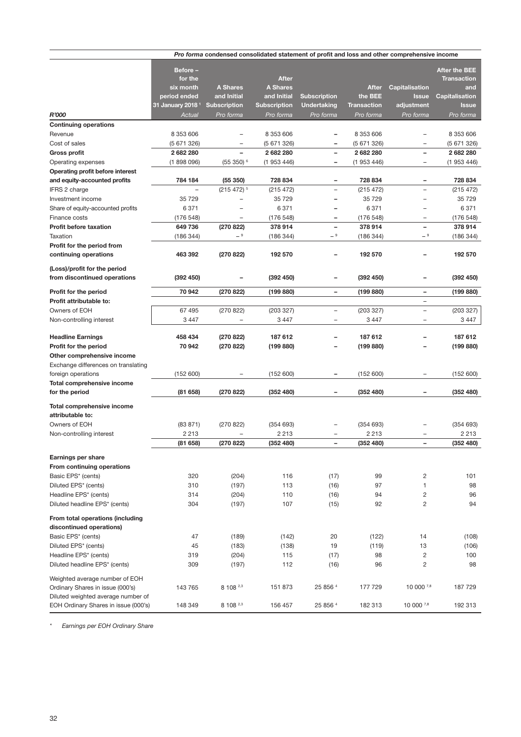|                                                                            |                              | Pro forma condensed consolidated statement of profit and loss and other comprehensive income |                                 |                                               |                    |                                                      |                           |
|----------------------------------------------------------------------------|------------------------------|----------------------------------------------------------------------------------------------|---------------------------------|-----------------------------------------------|--------------------|------------------------------------------------------|---------------------------|
|                                                                            |                              |                                                                                              |                                 |                                               |                    |                                                      |                           |
|                                                                            | Before-                      |                                                                                              |                                 |                                               |                    |                                                      | <b>After the BEE</b>      |
|                                                                            | for the<br>six month         | <b>A Shares</b>                                                                              | <b>After</b><br><b>A Shares</b> |                                               | <b>After</b>       | Capitalisation                                       | <b>Transaction</b><br>and |
|                                                                            | period ended                 | and Initial                                                                                  | and Initial                     | <b>Subscription</b>                           | the BEE            | <b>Issue</b>                                         | Capitalisation            |
|                                                                            | 31 January 2018 <sup>1</sup> | Subscription                                                                                 | <b>Subscription</b>             | <b>Undertaking</b>                            | <b>Transaction</b> | adjustment                                           | <b>Issue</b>              |
| <b>R'000</b>                                                               | Actual                       | Pro forma                                                                                    | Pro forma                       | Pro forma                                     | Pro forma          | Pro forma                                            | Pro forma                 |
| <b>Continuing operations</b>                                               |                              |                                                                                              |                                 |                                               |                    |                                                      |                           |
| Revenue                                                                    | 8 353 606                    |                                                                                              | 8 353 606                       |                                               | 8 353 606          |                                                      | 8 353 606                 |
| Cost of sales                                                              | (5671326)                    |                                                                                              | (5671326)                       |                                               | (5671326)          | $\overline{\phantom{0}}$                             | (5671326)                 |
| <b>Gross profit</b>                                                        | 2 682 280                    |                                                                                              | 2 682 280                       | $\overline{\phantom{0}}$                      | 2 682 280          | $\overline{\phantom{0}}$                             | 2 682 280                 |
| Operating expenses                                                         | (1898096)                    | $(55350)^6$                                                                                  | (1953446)                       | -                                             | (1953446)          | -                                                    | (1953446)                 |
| Operating profit before interest                                           |                              |                                                                                              |                                 |                                               |                    |                                                      |                           |
| and equity-accounted profits                                               | 784 184                      | (55350)                                                                                      | 728 834                         | $\overline{\phantom{0}}$                      | 728 834            |                                                      | 728 834                   |
| IFRS 2 charge                                                              |                              | $(215 472)^5$                                                                                | (215 472)                       | $\overline{\phantom{0}}$                      | (215 472)          | $\overline{\phantom{0}}$                             | (215 472)                 |
| Investment income                                                          | 35 729                       |                                                                                              | 35 729                          | $\overline{\phantom{0}}$                      | 35 729             | $\overline{\phantom{0}}$                             | 35 729                    |
| Share of equity-accounted profits                                          | 6 3 7 1                      | $\equiv$                                                                                     | 6 3 7 1                         |                                               | 6 3 7 1            | $\overline{\phantom{0}}$                             | 6 3 7 1                   |
| Finance costs                                                              | (176548)                     | $\overline{\phantom{0}}$                                                                     | (176548)                        | $\overline{a}$                                | (176548)           |                                                      | (176548)                  |
| <b>Profit before taxation</b>                                              | 649 736                      | (270822)                                                                                     | 378 914                         | $\overline{a}$                                | 378 914            | $\overline{\phantom{0}}$                             | 378 914                   |
| Taxation                                                                   | (186 344)                    | $-9$                                                                                         | (186 344)                       | - 9                                           | (186 344)          | - 9                                                  | (186 344)                 |
| Profit for the period from                                                 |                              |                                                                                              |                                 |                                               |                    |                                                      |                           |
| continuing operations                                                      | 463 392                      | (270822)                                                                                     | 192 570                         |                                               | 192 570            |                                                      | 192 570                   |
|                                                                            |                              |                                                                                              |                                 |                                               |                    |                                                      |                           |
| (Loss)/profit for the period                                               |                              |                                                                                              |                                 |                                               |                    |                                                      |                           |
| from discontinued operations                                               | (392 450)                    |                                                                                              | (392 450)                       |                                               | (392 450)          |                                                      | (392 450)                 |
| Profit for the period                                                      | 70 942                       | (270 822)                                                                                    | (199 880)                       | $\overline{\phantom{0}}$                      | (199 880)          | -                                                    | (199 880)                 |
| Profit attributable to:                                                    |                              |                                                                                              |                                 |                                               |                    | L,                                                   |                           |
|                                                                            |                              |                                                                                              |                                 |                                               |                    |                                                      |                           |
| Owners of EOH                                                              | 67 495                       | (270822)<br>L.                                                                               | (203 327)                       | $\qquad \qquad -$<br>$\overline{\phantom{0}}$ | (203 327)          | $\overline{\phantom{0}}$<br>$\overline{\phantom{0}}$ | (203 327)                 |
| Non-controlling interest                                                   | 3 4 4 7                      |                                                                                              | 3447                            |                                               | 3 4 4 7            |                                                      | 3 4 4 7                   |
| <b>Headline Earnings</b>                                                   | 458 434                      | (270822)                                                                                     | 187 612                         |                                               | 187 612            | -                                                    | 187 612                   |
| Profit for the period                                                      | 70 942                       | (270 822)                                                                                    | (199 880)                       |                                               | (199 880)          |                                                      | (199 880)                 |
| Other comprehensive income                                                 |                              |                                                                                              |                                 |                                               |                    |                                                      |                           |
| Exchange differences on translating                                        |                              |                                                                                              |                                 |                                               |                    |                                                      |                           |
| foreign operations                                                         | (152 600)                    |                                                                                              | (152 600)                       | -                                             | (152 600)          |                                                      | (152 600)                 |
| Total comprehensive income                                                 |                              |                                                                                              |                                 |                                               |                    |                                                      |                           |
| for the period                                                             | (81658)                      | (270 822)                                                                                    | (352 480)                       |                                               | (352 480)          |                                                      | (352 480)                 |
|                                                                            |                              |                                                                                              |                                 |                                               |                    |                                                      |                           |
| Total comprehensive income                                                 |                              |                                                                                              |                                 |                                               |                    |                                                      |                           |
| attributable to:                                                           |                              |                                                                                              |                                 |                                               |                    |                                                      |                           |
| Owners of EOH                                                              | (83 871)                     | (270822)                                                                                     | (354693)                        |                                               | (354693)           |                                                      | (354693)                  |
| Non-controlling interest                                                   | 2 2 1 3                      |                                                                                              | 2 2 1 3                         |                                               | 2 2 1 3            |                                                      | 2 2 1 3                   |
|                                                                            | (81658)                      | (270 822)                                                                                    | (352 480)                       |                                               | (352 480)          |                                                      | (352 480)                 |
| <b>Earnings per share</b>                                                  |                              |                                                                                              |                                 |                                               |                    |                                                      |                           |
| From continuing operations                                                 |                              |                                                                                              |                                 |                                               |                    |                                                      |                           |
| Basic EPS* (cents)                                                         | 320                          | (204)                                                                                        | 116                             | (17)                                          | 99                 | $\overline{c}$                                       | 101                       |
| Diluted EPS* (cents)                                                       | 310                          | (197)                                                                                        | 113                             | (16)                                          | 97                 | 1                                                    | 98                        |
| Headline EPS* (cents)                                                      | 314                          | (204)                                                                                        | 110                             | (16)                                          | 94                 | $\overline{c}$                                       | 96                        |
| Diluted headline EPS* (cents)                                              | 304                          | (197)                                                                                        | 107                             | (15)                                          | 92                 | $\mathbf{2}$                                         | 94                        |
|                                                                            |                              |                                                                                              |                                 |                                               |                    |                                                      |                           |
| From total operations (including                                           |                              |                                                                                              |                                 |                                               |                    |                                                      |                           |
| discontinued operations)                                                   |                              |                                                                                              |                                 |                                               |                    |                                                      |                           |
| Basic EPS* (cents)                                                         | 47                           | (189)                                                                                        | (142)                           | 20                                            | (122)              | 14                                                   | (108)                     |
| Diluted EPS* (cents)                                                       | 45                           | (183)                                                                                        | (138)                           | 19                                            | (119)              | 13                                                   | (106)                     |
| Headline EPS* (cents)                                                      | 319                          | (204)                                                                                        | 115                             | (17)                                          | 98                 | $\overline{c}$                                       | 100                       |
| Diluted headline EPS* (cents)                                              | 309                          | (197)                                                                                        | 112                             | (16)                                          | 96                 | $\sqrt{2}$                                           | 98                        |
|                                                                            |                              |                                                                                              |                                 |                                               |                    |                                                      |                           |
| Weighted average number of EOH<br>Ordinary Shares in issue (000's)         | 143 765                      | 8 108 2,3                                                                                    | 151 873                         | 25 856 4                                      | 177 729            | 10 000 7,8                                           |                           |
|                                                                            |                              |                                                                                              |                                 |                                               |                    |                                                      | 187 729                   |
| Diluted weighted average number of<br>EOH Ordinary Shares in issue (000's) | 148 349                      | 8 108 2,3                                                                                    | 156 457                         | 25 856 4                                      | 182 313            | 10 000 7,8                                           | 192 313                   |
|                                                                            |                              |                                                                                              |                                 |                                               |                    |                                                      |                           |

*\* Earnings per EOH Ordinary Share*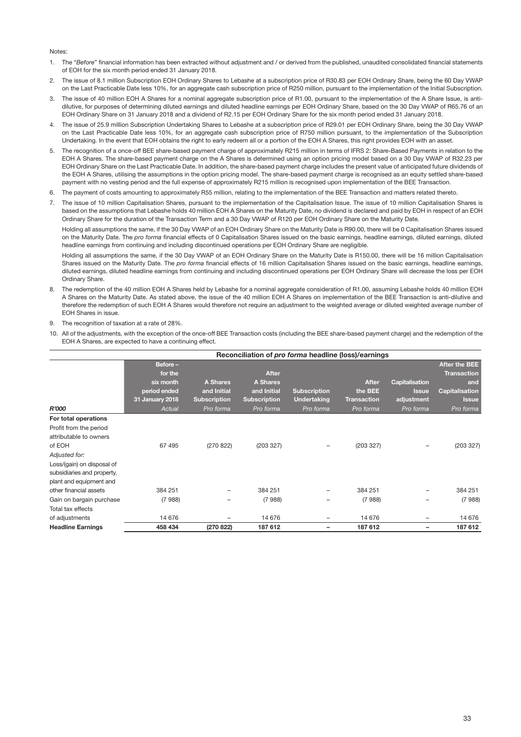#### Notes:

- 1. The "*Before*" financial information has been extracted without adjustment and / or derived from the published, unaudited consolidated financial statements of EOH for the six month period ended 31 January 2018.
- 2. The issue of 8.1 million Subscription EOH Ordinary Shares to Lebashe at a subscription price of R30.83 per EOH Ordinary Share, being the 60 Day VWAP on the Last Practicable Date less 10%, for an aggregate cash subscription price of R250 million, pursuant to the implementation of the Initial Subscription.
- 3. The issue of 40 million EOH A Shares for a nominal aggregate subscription price of R1.00, pursuant to the implementation of the A Share Issue, is antidilutive, for purposes of determining diluted earnings and diluted headline earnings per EOH Ordinary Share, based on the 30 Day VWAP of R65.76 of an EOH Ordinary Share on 31 January 2018 and a dividend of R2.15 per EOH Ordinary Share for the six month period ended 31 January 2018.
- 4. The issue of 25.9 million Subscription Undertaking Shares to Lebashe at a subscription price of R29.01 per EOH Ordinary Share, being the 30 Day VWAP on the Last Practicable Date less 10%, for an aggregate cash subscription price of R750 million pursuant, to the implementation of the Subscription Undertaking. In the event that EOH obtains the right to early redeem all or a portion of the EOH A Shares, this right provides EOH with an asset.
- 5. The recognition of a once-off BEE share-based payment charge of approximately R215 million in terms of IFRS 2: Share-Based Payments in relation to the EOH A Shares. The share-based payment charge on the A Shares is determined using an option pricing model based on a 30 Day VWAP of R32.23 per EOH Ordinary Share on the Last Practicable Date. In addition, the share-based payment charge includes the present value of anticipated future dividends of the EOH A Shares, utilising the assumptions in the option pricing model. The share-based payment charge is recognised as an equity settled share-based payment with no vesting period and the full expense of approximately R215 million is recognised upon implementation of the BEE Transaction.
- 6. The payment of costs amounting to approximately R55 million, relating to the implementation of the BEE Transaction and matters related thereto.
- 7. The issue of 10 million Capitalisation Shares, pursuant to the implementation of the Capitalisation Issue. The issue of 10 million Capitalisation Shares is based on the assumptions that Lebashe holds 40 million EOH A Shares on the Maturity Date, no dividend is declared and paid by EOH in respect of an EOH Ordinary Share for the duration of the Transaction Term and a 30 Day VWAP of R120 per EOH Ordinary Share on the Maturity Date.

Holding all assumptions the same, if the 30 Day VWAP of an EOH Ordinary Share on the Maturity Date is R90.00, there will be 0 Capitalisation Shares issued on the Maturity Date. The *pro forma* financial effects of 0 Capitalisation Shares issued on the basic earnings, headline earnings, diluted earnings, diluted headline earnings from continuing and including discontinued operations per EOH Ordinary Share are negligible.

Holding all assumptions the same, if the 30 Day VWAP of an EOH Ordinary Share on the Maturity Date is R150.00, there will be 16 million Capitalisation Shares issued on the Maturity Date. The *pro forma* financial effects of 16 million Capitalisation Shares issued on the basic earnings, headline earnings, diluted earnings, diluted headline earnings from continuing and including discontinued operations per EOH Ordinary Share will decrease the loss per EOH Ordinary Share.

- 8. The redemption of the 40 million EOH A Shares held by Lebashe for a nominal aggregate consideration of R1.00, assuming Lebashe holds 40 million EOH A Shares on the Maturity Date. As stated above, the issue of the 40 million EOH A Shares on implementation of the BEE Transaction is anti-dilutive and therefore the redemption of such EOH A Shares would therefore not require an adjustment to the weighted average or diluted weighted average number of EOH Shares in issue.
- 9. The recognition of taxation at a rate of 28%.
- 10. All of the adjustments, with the exception of the once-off BEE Transaction costs (including the BEE share-based payment charge) and the redemption of the EOH A Shares, are expected to have a continuing effect.

|                            | Reconciliation of pro forma headline (loss)/earnings |                     |                     |                     |              |                |                                            |
|----------------------------|------------------------------------------------------|---------------------|---------------------|---------------------|--------------|----------------|--------------------------------------------|
|                            | Before-<br>for the                                   |                     | <b>After</b>        |                     |              |                | <b>After the BEE</b><br><b>Transaction</b> |
|                            | six month                                            | A Shares            | <b>A Shares</b>     |                     | <b>After</b> | Capitalisation | and                                        |
|                            | period ended                                         | and Initial         | and Initial         | <b>Subscription</b> | the BEE      | <b>Issue</b>   | Capitalisation                             |
|                            | 31 January 2018                                      | <b>Subscription</b> | <b>Subscription</b> | <b>Undertaking</b>  | Transaction  | adjustment     | <b>Issue</b>                               |
| R'000                      | Actual                                               | Pro forma           | Pro forma           | Pro forma           | Pro forma    | Pro forma      | Pro forma                                  |
| For total operations       |                                                      |                     |                     |                     |              |                |                                            |
| Profit from the period     |                                                      |                     |                     |                     |              |                |                                            |
| attributable to owners     |                                                      |                     |                     |                     |              |                |                                            |
| of EOH                     | 67495                                                | (270822)            | (203 327)           | -                   | (203 327)    |                | (203 327)                                  |
| Adjusted for:              |                                                      |                     |                     |                     |              |                |                                            |
| Loss/(gain) on disposal of |                                                      |                     |                     |                     |              |                |                                            |
| subsidiaries and property, |                                                      |                     |                     |                     |              |                |                                            |
| plant and equipment and    |                                                      |                     |                     |                     |              |                |                                            |
| other financial assets     | 384 251                                              |                     | 384 251             |                     | 384 251      |                | 384 251                                    |
| Gain on bargain purchase   | (7988)                                               |                     | (7988)              | -                   | (7988)       |                | (7988)                                     |
| Total tax effects          |                                                      |                     |                     |                     |              |                |                                            |
| of adjustments             | 14 676                                               |                     | 14 676              | -                   | 14 676       | -              | 14 676                                     |
| <b>Headline Earnings</b>   | 458 434                                              | (270 822)           | 187 612             |                     | 187 612      |                | 187 612                                    |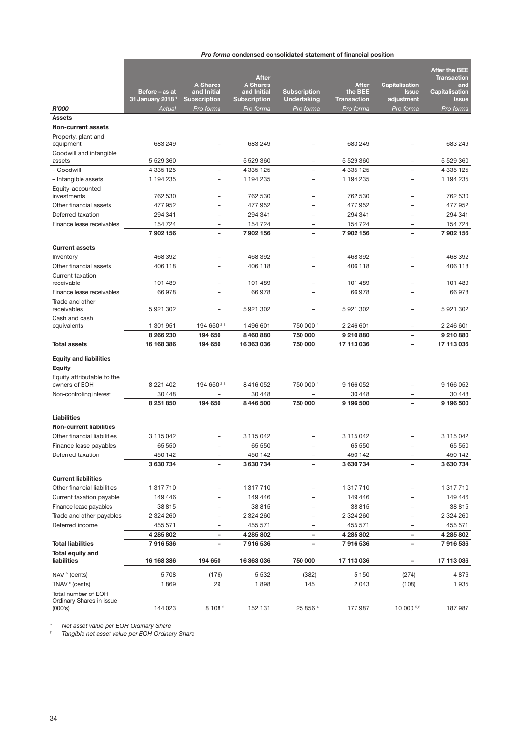|                                             |                              |                          |                     | <i>Pro forma condensed consolidated statement of financial position</i> |                    |                          |                                            |
|---------------------------------------------|------------------------------|--------------------------|---------------------|-------------------------------------------------------------------------|--------------------|--------------------------|--------------------------------------------|
|                                             |                              |                          |                     |                                                                         |                    |                          |                                            |
|                                             |                              |                          | <b>After</b>        |                                                                         |                    |                          | <b>After the BEE</b><br><b>Transaction</b> |
|                                             |                              | <b>A Shares</b>          | <b>A Shares</b>     |                                                                         | <b>After</b>       | Capitalisation           | and                                        |
|                                             | Before – as at               | and Initial              | and Initial         | <b>Subscription</b>                                                     | the BEE            | <b>Issue</b>             | Capitalisation                             |
|                                             | 31 January 2018 <sup>1</sup> | <b>Subscription</b>      | <b>Subscription</b> | <b>Undertaking</b>                                                      | <b>Transaction</b> | adjustment               | <b>Issue</b>                               |
| R'000                                       | Actual                       | Pro forma                | Pro forma           | Pro forma                                                               | Pro forma          | Pro forma                | Pro forma                                  |
| <b>Assets</b>                               |                              |                          |                     |                                                                         |                    |                          |                                            |
| <b>Non-current assets</b>                   |                              |                          |                     |                                                                         |                    |                          |                                            |
| Property, plant and                         |                              |                          |                     |                                                                         |                    |                          |                                            |
| equipment                                   | 683 249                      |                          | 683 249             |                                                                         | 683 249            |                          | 683 249                                    |
| Goodwill and intangible                     |                              |                          |                     |                                                                         |                    |                          |                                            |
| assets                                      | 5 529 360                    | L.                       | 5 529 360           |                                                                         | 5 529 360          | $\overline{\phantom{0}}$ | 5 529 360                                  |
| - Goodwill                                  | 4 335 125                    | $\overline{\phantom{0}}$ | 4 335 125           | $\overline{\phantom{m}}$                                                | 4 335 125          | $\overline{\phantom{0}}$ | 4 3 3 1 2 5                                |
| - Intangible assets                         | 1 194 235                    | -                        | 1 194 235           |                                                                         | 1 194 235          | $\overline{\phantom{0}}$ | 1 194 235                                  |
| Equity-accounted<br>investments             | 762 530                      | $\overline{\phantom{0}}$ | 762 530             |                                                                         | 762 530            |                          | 762 530                                    |
|                                             |                              |                          |                     |                                                                         |                    |                          |                                            |
| Other financial assets                      | 477 952                      |                          | 477 952             |                                                                         | 477952             |                          | 477 952                                    |
| Deferred taxation                           | 294 341                      | $\overline{\phantom{0}}$ | 294 341             |                                                                         | 294 341            |                          | 294 341                                    |
| Finance lease receivables                   | 154 724                      | $\equiv$                 | 154 724             | $\overline{\phantom{0}}$                                                | 154 724            | $\overline{\phantom{0}}$ | 154 724                                    |
|                                             | 7 902 156                    | $\qquad \qquad -$        | 7 902 156           | $\overline{\phantom{a}}$                                                | 7 902 156          | $\overline{\phantom{0}}$ | 7 902 156                                  |
| <b>Current assets</b>                       |                              |                          |                     |                                                                         |                    |                          |                                            |
| Inventory                                   | 468 392                      |                          | 468 392             |                                                                         | 468 392            |                          | 468 392                                    |
| Other financial assets                      | 406 118                      |                          | 406 118             |                                                                         | 406 118            |                          | 406 118                                    |
| Current taxation                            |                              |                          |                     |                                                                         |                    |                          |                                            |
| receivable                                  | 101 489                      |                          | 101 489             |                                                                         | 101 489            |                          | 101 489                                    |
| Finance lease receivables                   | 66978                        | $\overline{\phantom{0}}$ | 66978               |                                                                         | 66978              | L.                       | 66978                                      |
| Trade and other                             |                              |                          |                     |                                                                         |                    |                          |                                            |
| receivables                                 | 5 921 302                    | $\equiv$                 | 5 921 302           |                                                                         | 5 921 302          |                          | 5 921 302                                  |
| Cash and cash                               |                              |                          |                     |                                                                         |                    |                          |                                            |
| equivalents                                 | 1 301 951                    | 194 650 2,3              | 1 496 601           | 750 000 4                                                               | 2 246 601          | $\overline{\phantom{0}}$ | 2 246 601                                  |
|                                             | 8 266 230                    | 194 650                  | 8 460 880           | 750 000                                                                 | 9 210 880          |                          | 9 210 880                                  |
| <b>Total assets</b>                         | 16 168 386                   | 194 650                  | 16 363 036          | 750 000                                                                 | 17 113 036         | $\overline{\phantom{0}}$ | 17 113 036                                 |
|                                             |                              |                          |                     |                                                                         |                    |                          |                                            |
| <b>Equity and liabilities</b>               |                              |                          |                     |                                                                         |                    |                          |                                            |
| <b>Equity</b>                               |                              |                          |                     |                                                                         |                    |                          |                                            |
| Equity attributable to the<br>owners of EOH | 8 221 402                    | 194 650 2,3              | 8 416 052           | 750 000 4                                                               | 9 166 052          | -                        | 9 166 052                                  |
| Non-controlling interest                    | 30 448                       |                          | 30 448              |                                                                         | 30 448             |                          | 30 448                                     |
|                                             | 8 251 850                    | 194 650                  | 8 446 500           | 750 000                                                                 | 9 196 500          |                          | 9 196 500                                  |
|                                             |                              |                          |                     |                                                                         |                    |                          |                                            |
| Liabilities                                 |                              |                          |                     |                                                                         |                    |                          |                                            |
| <b>Non-current liabilities</b>              |                              |                          |                     |                                                                         |                    |                          |                                            |
| Other financial liabilities                 | 3 115 042                    |                          | 3 115 042           |                                                                         | 3 115 042          |                          | 3 115 042                                  |
| Finance lease payables                      | 65 550                       |                          | 65 550              |                                                                         | 65 550             |                          | 65 550                                     |
| Deferred taxation                           | 450 142                      |                          | 450 142             |                                                                         | 450 142            |                          | 450 142                                    |
|                                             | 3 630 734                    | -                        | 3 630 734           | $\overline{\phantom{a}}$                                                | 3 630 734          | $\qquad \qquad -$        | 3 630 734                                  |
|                                             |                              |                          |                     |                                                                         |                    |                          |                                            |
| <b>Current liabilities</b>                  |                              |                          |                     |                                                                         |                    |                          |                                            |
| Other financial liabilities                 | 1 317 710                    |                          | 1 317 710           |                                                                         | 1 317 710          |                          | 1 317 710                                  |
| Current taxation payable                    | 149 446                      |                          | 149 446             |                                                                         | 149 446            |                          | 149 446                                    |
| Finance lease payables                      | 38 815                       | $\overline{\phantom{0}}$ | 38 815              |                                                                         | 38 815             |                          | 38 815                                     |
| Trade and other payables                    | 2 324 260                    | -                        | 2 324 260           |                                                                         | 2 324 260          |                          | 2 324 260                                  |
| Deferred income                             | 455 571                      | $\overline{\phantom{0}}$ | 455 571             |                                                                         | 455 571            |                          | 455 571                                    |
|                                             | 4 285 802                    |                          | 4 285 802           |                                                                         | 4 285 802          |                          | 4 285 802                                  |
| <b>Total liabilities</b>                    | 7916536                      | $\overline{\phantom{0}}$ | 7916536             | $\overline{\phantom{a}}$                                                | 7916536            | -                        | 7916536                                    |
| Total equity and                            |                              |                          |                     |                                                                         |                    |                          |                                            |
| liabilities                                 | 16 168 386                   | 194 650                  | 16 363 036          | 750 000                                                                 | 17 113 036         |                          | 17 113 036                                 |
| NAV ^ (cents)                               | 5 7 0 8                      | (176)                    | 5 5 3 2             | (382)                                                                   | 5 1 5 0            | (274)                    | 4876                                       |
| TNAV <sup>#</sup> (cents)                   | 1869                         | 29                       | 1898                | 145                                                                     | 2 0 4 3            | (108)                    | 1935                                       |
| Total number of EOH                         |                              |                          |                     |                                                                         |                    |                          |                                            |
| Ordinary Shares in issue                    |                              |                          |                     |                                                                         |                    |                          |                                            |
| (000's)                                     | 144 023                      | 8 1 0 8 2                | 152 131             | 25 856 4                                                                | 177987             | 10 000 5,6               | 187 987                                    |

*^ Net asset value per EOH Ordinary Share*

*# Tangible net asset value per EOH Ordinary Share*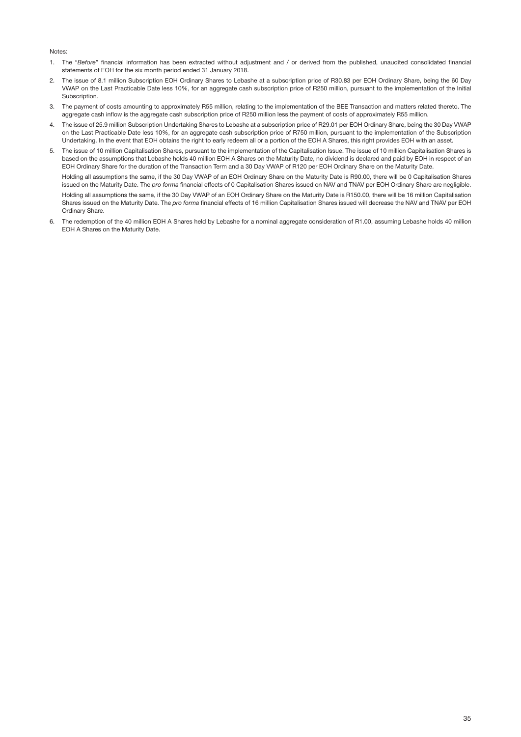#### Notes:

- 1. The "*Before*" financial information has been extracted without adjustment and / or derived from the published, unaudited consolidated financial statements of EOH for the six month period ended 31 January 2018.
- 2. The issue of 8.1 million Subscription EOH Ordinary Shares to Lebashe at a subscription price of R30.83 per EOH Ordinary Share, being the 60 Day VWAP on the Last Practicable Date less 10%, for an aggregate cash subscription price of R250 million, pursuant to the implementation of the Initial Subscription.
- 3. The payment of costs amounting to approximately R55 million, relating to the implementation of the BEE Transaction and matters related thereto. The aggregate cash inflow is the aggregate cash subscription price of R250 million less the payment of costs of approximately R55 million.
- 4. The issue of 25.9 million Subscription Undertaking Shares to Lebashe at a subscription price of R29.01 per EOH Ordinary Share, being the 30 Day VWAP on the Last Practicable Date less 10%, for an aggregate cash subscription price of R750 million, pursuant to the implementation of the Subscription Undertaking. In the event that EOH obtains the right to early redeem all or a portion of the EOH A Shares, this right provides EOH with an asset.
- 5. The issue of 10 million Capitalisation Shares, pursuant to the implementation of the Capitalisation Issue. The issue of 10 million Capitalisation Shares is based on the assumptions that Lebashe holds 40 million EOH A Shares on the Maturity Date, no dividend is declared and paid by EOH in respect of an EOH Ordinary Share for the duration of the Transaction Term and a 30 Day VWAP of R120 per EOH Ordinary Share on the Maturity Date.

Holding all assumptions the same, if the 30 Day VWAP of an EOH Ordinary Share on the Maturity Date is R90.00, there will be 0 Capitalisation Shares issued on the Maturity Date. The *pro forma* financial effects of 0 Capitalisation Shares issued on NAV and TNAV per EOH Ordinary Share are negligible. Holding all assumptions the same, if the 30 Day VWAP of an EOH Ordinary Share on the Maturity Date is R150.00, there will be 16 million Capitalisation Shares issued on the Maturity Date. The *pro forma* financial effects of 16 million Capitalisation Shares issued will decrease the NAV and TNAV per EOH Ordinary Share.

6. The redemption of the 40 million EOH A Shares held by Lebashe for a nominal aggregate consideration of R1.00, assuming Lebashe holds 40 million EOH A Shares on the Maturity Date.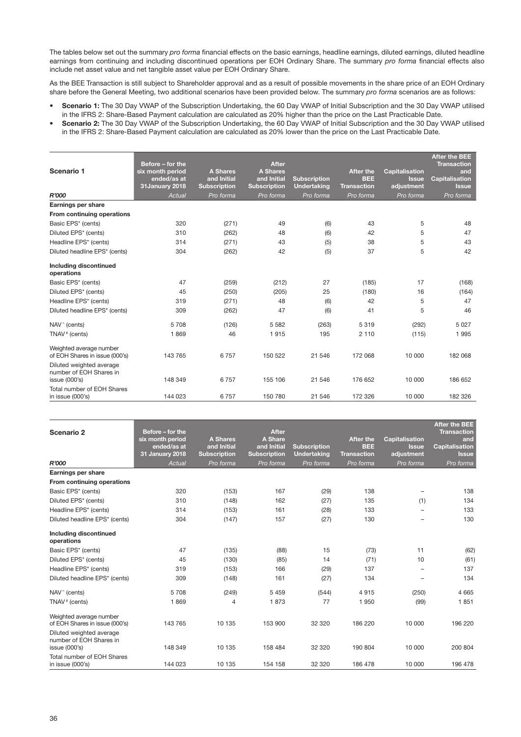The tables below set out the summary *pro forma* financial effects on the basic earnings, headline earnings, diluted earnings, diluted headline earnings from continuing and including discontinued operations per EOH Ordinary Share. The summary *pro forma* financial effects also include net asset value and net tangible asset value per EOH Ordinary Share.

As the BEE Transaction is still subject to Shareholder approval and as a result of possible movements in the share price of an EOH Ordinary share before the General Meeting, two additional scenarios have been provided below. The summary *pro forma* scenarios are as follows:

- Scenario 1: The 30 Day VWAP of the Subscription Undertaking, the 60 Day VWAP of Initial Subscription and the 30 Day VWAP utilised in the IFRS 2: Share-Based Payment calculation are calculated as 20% higher than the price on the Last Practicable Date.
- Scenario 2: The 30 Day VWAP of the Subscription Undertaking, the 60 Day VWAP of Initial Subscription and the 30 Day VWAP utilised in the IFRS 2: Share-Based Payment calculation are calculated as 20% lower than the price on the Last Practicable Date.

| Scenario 1                                                           | Before - for the<br>six month period<br>ended/as at<br>31January 2018 | <b>A Shares</b><br>and Initial<br><b>Subscription</b> | <b>After</b><br><b>A Shares</b><br>and Initial<br><b>Subscription</b> | <b>Subscription</b><br><b>Undertaking</b> | <b>After the</b><br><b>BEE</b><br>Transaction | <b>Capitalisation</b><br><b>Issue</b><br>adjustment | <b>After the BEE</b><br><b>Transaction</b><br>and<br><b>Capitalisation</b><br><b>Issue</b> |
|----------------------------------------------------------------------|-----------------------------------------------------------------------|-------------------------------------------------------|-----------------------------------------------------------------------|-------------------------------------------|-----------------------------------------------|-----------------------------------------------------|--------------------------------------------------------------------------------------------|
| R'000                                                                | Actual                                                                | Pro forma                                             | Pro forma                                                             | Pro forma                                 | Pro forma                                     | Pro forma                                           | Pro forma                                                                                  |
| Earnings per share                                                   |                                                                       |                                                       |                                                                       |                                           |                                               |                                                     |                                                                                            |
| From continuing operations                                           |                                                                       |                                                       |                                                                       |                                           |                                               |                                                     |                                                                                            |
| Basic EPS* (cents)                                                   | 320                                                                   | (271)                                                 | 49                                                                    | (6)                                       | 43                                            | 5                                                   | 48                                                                                         |
| Diluted EPS* (cents)                                                 | 310                                                                   | (262)                                                 | 48                                                                    | (6)                                       | 42                                            | 5                                                   | 47                                                                                         |
| Headline EPS* (cents)                                                | 314                                                                   | (271)                                                 | 43                                                                    | (5)                                       | 38                                            | 5                                                   | 43                                                                                         |
| Diluted headline EPS* (cents)                                        | 304                                                                   | (262)                                                 | 42                                                                    | (5)                                       | 37                                            | 5                                                   | 42                                                                                         |
| Including discontinued<br>operations                                 |                                                                       |                                                       |                                                                       |                                           |                                               |                                                     |                                                                                            |
| Basic EPS* (cents)                                                   | 47                                                                    | (259)                                                 | (212)                                                                 | 27                                        | (185)                                         | 17                                                  | (168)                                                                                      |
| Diluted EPS* (cents)                                                 | 45                                                                    | (250)                                                 | (205)                                                                 | 25                                        | (180)                                         | 16                                                  | (164)                                                                                      |
| Headline EPS* (cents)                                                | 319                                                                   | (271)                                                 | 48                                                                    | (6)                                       | 42                                            | 5                                                   | 47                                                                                         |
| Diluted headline EPS* (cents)                                        | 309                                                                   | (262)                                                 | 47                                                                    | (6)                                       | 41                                            | 5                                                   | 46                                                                                         |
| NAV <sup>^</sup> (cents)                                             | 5708                                                                  | (126)                                                 | 5 5 8 2                                                               | (263)                                     | 5319                                          | (292)                                               | 5027                                                                                       |
| TNAV <sup>#</sup> (cents)                                            | 1869                                                                  | 46                                                    | 1915                                                                  | 195                                       | 2 1 1 0                                       | (115)                                               | 1995                                                                                       |
| Weighted average number<br>of EOH Shares in issue (000's)            | 143 765                                                               | 6757                                                  | 150 522                                                               | 21 546                                    | 172 068                                       | 10 000                                              | 182 068                                                                                    |
| Diluted weighted average<br>number of EOH Shares in<br>issue (000's) | 148 349                                                               | 6757                                                  | 155 106                                                               | 21 546                                    | 176 652                                       | 10 000                                              | 186 652                                                                                    |
| Total number of EOH Shares<br>in issue (000's)                       | 144 023                                                               | 6757                                                  | 150 780                                                               | 21 546                                    | 172 326                                       | 10 000                                              | 182 326                                                                                    |

|                                                           | Before - for the       |                     |                                |                     |                    |                          | <b>After the BEE</b>      |
|-----------------------------------------------------------|------------------------|---------------------|--------------------------------|---------------------|--------------------|--------------------------|---------------------------|
| Scenario 2                                                | six month period       | <b>A Shares</b>     | <b>After</b><br><b>A Share</b> |                     | <b>After the</b>   | <b>Capitalisation</b>    | <b>Transaction</b><br>and |
|                                                           | ended/as at            | and Initial         | and Initial                    | <b>Subscription</b> | <b>BEE</b>         | <b>Issue</b>             | Capitalisation            |
|                                                           | <b>31 January 2018</b> | <b>Subscription</b> | <b>Subscription</b>            | <b>Undertaking</b>  | <b>Transaction</b> | adjustment               | <b>Issue</b>              |
| R'000                                                     | Actual                 | Pro forma           | Pro forma                      | Pro forma           | Pro forma          | Pro forma                | Pro forma                 |
| Earnings per share                                        |                        |                     |                                |                     |                    |                          |                           |
| From continuing operations                                |                        |                     |                                |                     |                    |                          |                           |
| Basic EPS* (cents)                                        | 320                    | (153)               | 167                            | (29)                | 138                | $\qquad \qquad -$        | 138                       |
| Diluted EPS* (cents)                                      | 310                    | (148)               | 162                            | (27)                | 135                | (1)                      | 134                       |
| Headline EPS* (cents)                                     | 314                    | (153)               | 161                            | (28)                | 133                | $\overline{\phantom{0}}$ | 133                       |
| Diluted headline EPS* (cents)                             | 304                    | (147)               | 157                            | (27)                | 130                |                          | 130                       |
| Including discontinued<br>operations                      |                        |                     |                                |                     |                    |                          |                           |
| Basic EPS* (cents)                                        | 47                     | (135)               | (88)                           | 15                  | (73)               | 11                       | (62)                      |
| Diluted EPS* (cents)                                      | 45                     | (130)               | (85)                           | 14                  | (71)               | 10                       | (61)                      |
| Headline EPS* (cents)                                     | 319                    | (153)               | 166                            | (29)                | 137                | $\overline{\phantom{0}}$ | 137                       |
| Diluted headline EPS* (cents)                             | 309                    | (148)               | 161                            | (27)                | 134                | $\overline{\phantom{0}}$ | 134                       |
| $NAV^{\wedge}$ (cents)                                    | 5708                   | (249)               | 5 4 5 9                        | (544)               | 4915               | (250)                    | 4 6 6 5                   |
| TNAV <sup>#</sup> (cents)                                 | 1869                   | $\overline{4}$      | 1873                           | 77                  | 1950               | (99)                     | 1851                      |
| Weighted average number<br>of EOH Shares in issue (000's) | 143 765                | 10 135              | 153 900                        | 32 320              | 186 220            | 10 000                   | 196 220                   |
| Diluted weighted average<br>number of EOH Shares in       |                        |                     |                                |                     |                    |                          |                           |
| issue (000's)                                             | 148 349                | 10 135              | 158 484                        | 32 3 20             | 190 804            | 10 000                   | 200 804                   |
| Total number of EOH Shares<br>in issue (000's)            | 144 023                | 10 135              | 154 158                        | 32 320              | 186 478            | 10 000                   | 196 478                   |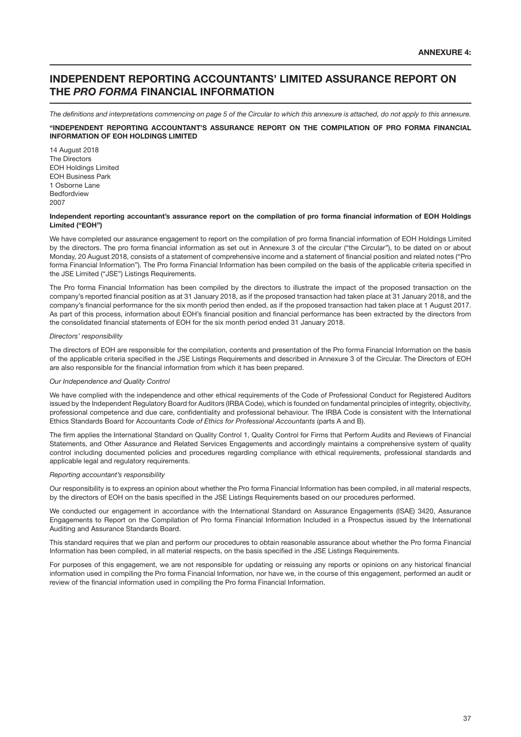## INDEPENDENT REPORTING ACCOUNTANTS' LIMITED ASSURANCE REPORT ON THE *PRO FORMA* FINANCIAL INFORMATION

*The definitions and interpretations commencing on page 5 of the Circular to which this annexure is attached, do not apply to this annexure.* "INDEPENDENT REPORTING ACCOUNTANT'S ASSURANCE REPORT ON THE COMPILATION OF PRO FORMA FINANCIAL INFORMATION OF EOH HOLDINGS LIMITED

14 August 2018 The Directors EOH Holdings Limited EOH Business Park 1 Osborne Lane **Bedfordview** 2007

#### Independent reporting accountant's assurance report on the compilation of pro forma financial information of EOH Holdings Limited ("EOH")

We have completed our assurance engagement to report on the compilation of pro forma financial information of EOH Holdings Limited by the directors. The pro forma financial information as set out in Annexure 3 of the circular ("the Circular"), to be dated on or about Monday, 20 August 2018, consists of a statement of comprehensive income and a statement of financial position and related notes ("Pro forma Financial Information"). The Pro forma Financial Information has been compiled on the basis of the applicable criteria specified in the JSE Limited ("JSE") Listings Requirements.

The Pro forma Financial Information has been compiled by the directors to illustrate the impact of the proposed transaction on the company's reported financial position as at 31 January 2018, as if the proposed transaction had taken place at 31 January 2018, and the company's financial performance for the six month period then ended, as if the proposed transaction had taken place at 1 August 2017. As part of this process, information about EOH's financial position and financial performance has been extracted by the directors from the consolidated financial statements of EOH for the six month period ended 31 January 2018.

#### *Directors' responsibility*

The directors of EOH are responsible for the compilation, contents and presentation of the Pro forma Financial Information on the basis of the applicable criteria specified in the JSE Listings Requirements and described in Annexure 3 of the Circular. The Directors of EOH are also responsible for the financial information from which it has been prepared.

#### *Our Independence and Quality Control*

We have complied with the independence and other ethical requirements of the Code of Professional Conduct for Registered Auditors issued by the Independent Regulatory Board for Auditors (IRBA Code), which is founded on fundamental principles of integrity, objectivity, professional competence and due care, confidentiality and professional behaviour. The IRBA Code is consistent with the International Ethics Standards Board for Accountants *Code of Ethics for Professional Accountants* (parts A and B).

The firm applies the International Standard on Quality Control 1, Quality Control for Firms that Perform Audits and Reviews of Financial Statements, and Other Assurance and Related Services Engagements and accordingly maintains a comprehensive system of quality control including documented policies and procedures regarding compliance with ethical requirements, professional standards and applicable legal and regulatory requirements.

## *Reporting accountant's responsibility*

Our responsibility is to express an opinion about whether the Pro forma Financial Information has been compiled, in all material respects, by the directors of EOH on the basis specified in the JSE Listings Requirements based on our procedures performed.

We conducted our engagement in accordance with the International Standard on Assurance Engagements (ISAE) 3420, Assurance Engagements to Report on the Compilation of Pro forma Financial Information Included in a Prospectus issued by the International Auditing and Assurance Standards Board.

This standard requires that we plan and perform our procedures to obtain reasonable assurance about whether the Pro forma Financial Information has been compiled, in all material respects, on the basis specified in the JSE Listings Requirements.

For purposes of this engagement, we are not responsible for updating or reissuing any reports or opinions on any historical financial information used in compiling the Pro forma Financial Information, nor have we, in the course of this engagement, performed an audit or review of the financial information used in compiling the Pro forma Financial Information.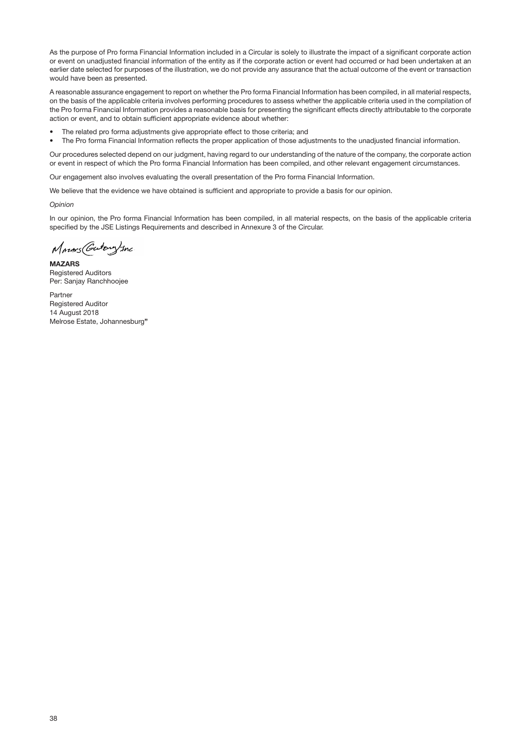As the purpose of Pro forma Financial Information included in a Circular is solely to illustrate the impact of a significant corporate action or event on unadjusted financial information of the entity as if the corporate action or event had occurred or had been undertaken at an earlier date selected for purposes of the illustration, we do not provide any assurance that the actual outcome of the event or transaction would have been as presented.

A reasonable assurance engagement to report on whether the Pro forma Financial Information has been compiled, in all material respects, on the basis of the applicable criteria involves performing procedures to assess whether the applicable criteria used in the compilation of the Pro forma Financial Information provides a reasonable basis for presenting the significant effects directly attributable to the corporate action or event, and to obtain sufficient appropriate evidence about whether:

- The related pro forma adjustments give appropriate effect to those criteria; and
- The Pro forma Financial Information reflects the proper application of those adjustments to the unadjusted financial information.

Our procedures selected depend on our judgment, having regard to our understanding of the nature of the company, the corporate action or event in respect of which the Pro forma Financial Information has been compiled, and other relevant engagement circumstances.

Our engagement also involves evaluating the overall presentation of the Pro forma Financial Information.

We believe that the evidence we have obtained is sufficient and appropriate to provide a basis for our opinion.

*Opinion*

In our opinion, the Pro forma Financial Information has been compiled, in all material respects, on the basis of the applicable criteria specified by the JSE Listings Requirements and described in Annexure 3 of the Circular.

Marins (Gutang) Inc

**MAZARS** Registered Auditors Per: Sanjay Ranchhoojee

Partner Registered Auditor 14 August 2018 Melrose Estate, Johannesburg"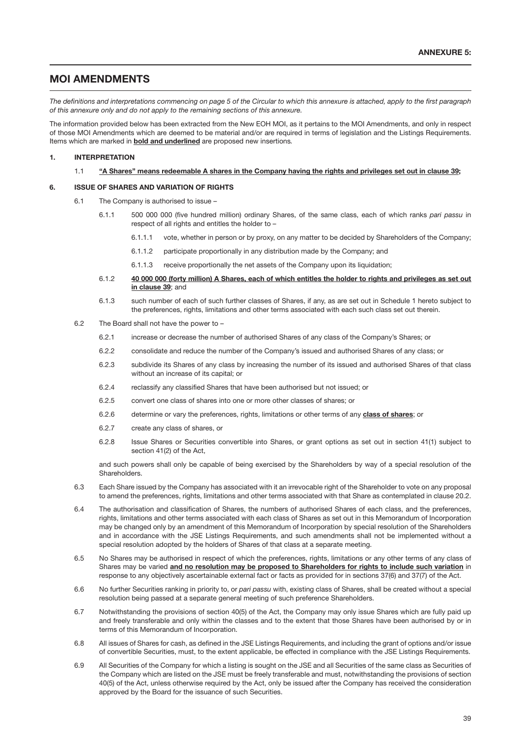## MOI AMENDMENTS

*The definitions and interpretations commencing on page 5 of the Circular to which this annexure is attached, apply to the first paragraph of this annexure only and do not apply to the remaining sections of this annexure.*

The information provided below has been extracted from the New EOH MOI, as it pertains to the MOI Amendments, and only in respect of those MOI Amendments which are deemed to be material and/or are required in terms of legislation and the Listings Requirements. Items which are marked in bold and underlined are proposed new insertions*.*

#### 1. INTERPRETATION

#### 1.1 "A Shares" means redeemable A shares in the Company having the rights and privileges set out in clause 39;

## 6. ISSUE OF SHARES AND VARIATION OF RIGHTS

- 6.1 The Company is authorised to issue
	- 6.1.1 500 000 000 (five hundred million) ordinary Shares, of the same class, each of which ranks *pari passu* in respect of all rights and entitles the holder to –
		- 6.1.1.1 vote, whether in person or by proxy, on any matter to be decided by Shareholders of the Company;
		- 6.1.1.2 participate proportionally in any distribution made by the Company; and
		- 6.1.1.3 receive proportionally the net assets of the Company upon its liquidation;
	- 6.1.2 40 000 000 (forty million) A Shares, each of which entitles the holder to rights and privileges as set out in clause 39; and
	- 6.1.3 such number of each of such further classes of Shares, if any, as are set out in Schedule 1 hereto subject to the preferences, rights, limitations and other terms associated with each such class set out therein.
- 6.2 The Board shall not have the power to
	- 6.2.1 increase or decrease the number of authorised Shares of any class of the Company's Shares; or
	- 6.2.2 consolidate and reduce the number of the Company's issued and authorised Shares of any class; or
	- 6.2.3 subdivide its Shares of any class by increasing the number of its issued and authorised Shares of that class without an increase of its capital; or
	- 6.2.4 reclassify any classified Shares that have been authorised but not issued; or
	- 6.2.5 convert one class of shares into one or more other classes of shares; or
	- 6.2.6 determine or vary the preferences, rights, limitations or other terms of any class of shares; or
	- 6.2.7 create any class of shares, or
	- 6.2.8 Issue Shares or Securities convertible into Shares, or grant options as set out in section 41(1) subject to section 41(2) of the Act,

and such powers shall only be capable of being exercised by the Shareholders by way of a special resolution of the Shareholders.

- 6.3 Each Share issued by the Company has associated with it an irrevocable right of the Shareholder to vote on any proposal to amend the preferences, rights, limitations and other terms associated with that Share as contemplated in clause 20.2.
- 6.4 The authorisation and classification of Shares, the numbers of authorised Shares of each class, and the preferences, rights, limitations and other terms associated with each class of Shares as set out in this Memorandum of Incorporation may be changed only by an amendment of this Memorandum of Incorporation by special resolution of the Shareholders and in accordance with the JSE Listings Requirements, and such amendments shall not be implemented without a special resolution adopted by the holders of Shares of that class at a separate meeting.
- 6.5 No Shares may be authorised in respect of which the preferences, rights, limitations or any other terms of any class of Shares may be varied and no resolution may be proposed to Shareholders for rights to include such variation in response to any objectively ascertainable external fact or facts as provided for in sections 37(6) and 37(7) of the Act.
- 6.6 No further Securities ranking in priority to, or *pari passu* with, existing class of Shares, shall be created without a special resolution being passed at a separate general meeting of such preference Shareholders.
- 6.7 Notwithstanding the provisions of section 40(5) of the Act, the Company may only issue Shares which are fully paid up and freely transferable and only within the classes and to the extent that those Shares have been authorised by or in terms of this Memorandum of Incorporation.
- 6.8 All issues of Shares for cash, as defined in the JSE Listings Requirements, and including the grant of options and/or issue of convertible Securities, must, to the extent applicable, be effected in compliance with the JSE Listings Requirements.
- 6.9 All Securities of the Company for which a listing is sought on the JSE and all Securities of the same class as Securities of the Company which are listed on the JSE must be freely transferable and must, notwithstanding the provisions of section 40(5) of the Act, unless otherwise required by the Act, only be issued after the Company has received the consideration approved by the Board for the issuance of such Securities.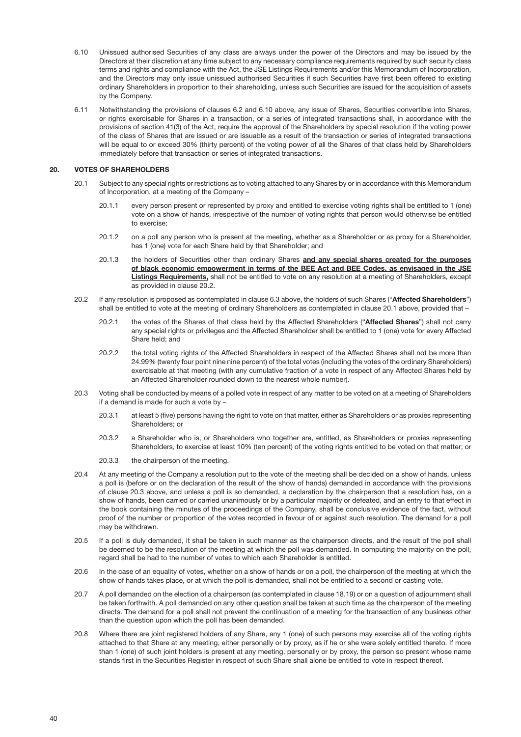- 6.10 Unissued authorised Securities of any class are always under the power of the Directors and may be issued by the Directors at their discretion at any time subject to any necessary compliance requirements required by such security class terms and rights and compliance with the Act, the JSE Listings Requirements and/or this Memorandum of Incorporation, and the Directors may only issue unissued authorised Securities if such Securities have first been offered to existing ordinary Shareholders in proportion to their shareholding, unless such Securities are issued for the acquisition of assets by the Company.
- 6.11 Notwithstanding the provisions of clauses 6.2 and 6.10 above, any issue of Shares, Securities convertible into Shares, or rights exercisable for Shares in a transaction, or a series of integrated transactions shall, in accordance with the provisions of section 41(3) of the Act, require the approval of the Shareholders by special resolution if the voting power of the class of Shares that are issued or are issuable as a result of the transaction or series of integrated transactions will be equal to or exceed 30% (thirty percent) of the voting power of all the Shares of that class held by Shareholders immediately before that transaction or series of integrated transactions.

#### 20. VOTES OF SHAREHOLDERS

- 20.1 Subject to any special rights or restrictions as to voting attached to any Shares by or in accordance with this Memorandum of Incorporation, at a meeting of the Company –
	- 20.1.1 every person present or represented by proxy and entitled to exercise voting rights shall be entitled to 1 (one) vote on a show of hands, irrespective of the number of voting rights that person would otherwise be entitled to exercise;
	- 20.1.2 on a poll any person who is present at the meeting, whether as a Shareholder or as proxy for a Shareholder, has 1 (one) vote for each Share held by that Shareholder; and
	- 20.1.3 the holders of Securities other than ordinary Shares and any special shares created for the purposes of black economic empowerment in terms of the BEE Act and BEE Codes, as envisaged in the JSE Listings Requirements, shall not be entitled to vote on any resolution at a meeting of Shareholders, except as provided in clause 20.2.
- 20.2 If any resolution is proposed as contemplated in clause 6.3 above, the holders of such Shares ("Affected Shareholders") shall be entitled to vote at the meeting of ordinary Shareholders as contemplated in clause 20.1 above, provided that –
	- 20.2.1 the votes of the Shares of that class held by the Affected Shareholders ("Affected Shares") shall not carry any special rights or privileges and the Affected Shareholder shall be entitled to 1 (one) vote for every Affected Share held; and
	- 20.2.2 the total voting rights of the Affected Shareholders in respect of the Affected Shares shall not be more than 24.99% (twenty four point nine nine percent) of the total votes (including the votes of the ordinary Shareholders) exercisable at that meeting (with any cumulative fraction of a vote in respect of any Affected Shares held by an Affected Shareholder rounded down to the nearest whole number).
- 20.3 Voting shall be conducted by means of a polled vote in respect of any matter to be voted on at a meeting of Shareholders if a demand is made for such a vote by –
	- 20.3.1 at least 5 (five) persons having the right to vote on that matter, either as Shareholders or as proxies representing Shareholders; or
	- 20.3.2 a Shareholder who is, or Shareholders who together are, entitled, as Shareholders or proxies representing Shareholders, to exercise at least 10% (ten percent) of the voting rights entitled to be voted on that matter; or
	- 20.3.3 the chairperson of the meeting.
- 20.4 At any meeting of the Company a resolution put to the vote of the meeting shall be decided on a show of hands, unless a poll is (before or on the declaration of the result of the show of hands) demanded in accordance with the provisions of clause 20.3 above, and unless a poll is so demanded, a declaration by the chairperson that a resolution has, on a show of hands, been carried or carried unanimously or by a particular majority or defeated, and an entry to that effect in the book containing the minutes of the proceedings of the Company, shall be conclusive evidence of the fact, without proof of the number or proportion of the votes recorded in favour of or against such resolution. The demand for a poll may be withdrawn.
- 20.5 If a poll is duly demanded, it shall be taken in such manner as the chairperson directs, and the result of the poll shall be deemed to be the resolution of the meeting at which the poll was demanded. In computing the majority on the poll, regard shall be had to the number of votes to which each Shareholder is entitled.
- 20.6 In the case of an equality of votes, whether on a show of hands or on a poll, the chairperson of the meeting at which the show of hands takes place, or at which the poll is demanded, shall not be entitled to a second or casting vote.
- 20.7 A poll demanded on the election of a chairperson (as contemplated in clause 18.19) or on a question of adjournment shall be taken forthwith. A poll demanded on any other question shall be taken at such time as the chairperson of the meeting directs. The demand for a poll shall not prevent the continuation of a meeting for the transaction of any business other than the question upon which the poll has been demanded.
- 20.8 Where there are joint registered holders of any Share, any 1 (one) of such persons may exercise all of the voting rights attached to that Share at any meeting, either personally or by proxy, as if he or she were solely entitled thereto. If more than 1 (one) of such joint holders is present at any meeting, personally or by proxy, the person so present whose name stands first in the Securities Register in respect of such Share shall alone be entitled to vote in respect thereof.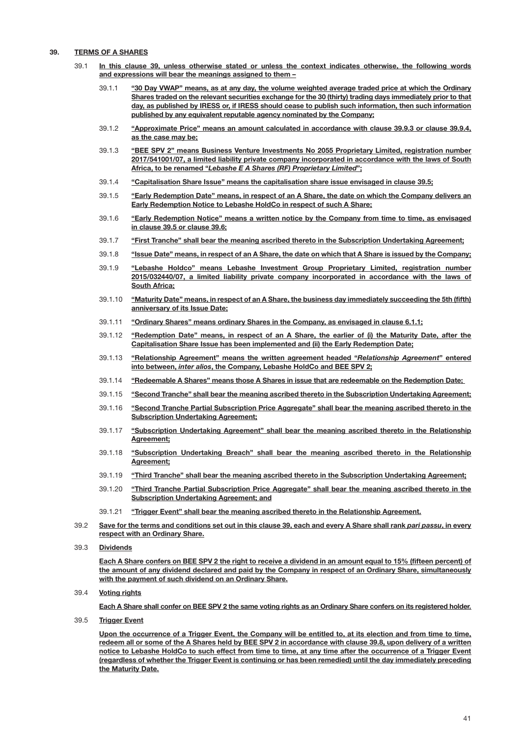## 39. TERMS OF A SHARES

- 39.1 In this clause 39, unless otherwise stated or unless the context indicates otherwise, the following words and expressions will bear the meanings assigned to them –
	- 39.1.1 "30 Day VWAP" means, as at any day, the volume weighted average traded price at which the Ordinary Shares traded on the relevant securities exchange for the 30 (thirty) trading days immediately prior to that day, as published by IRESS or, if IRESS should cease to publish such information, then such information published by any equivalent reputable agency nominated by the Company;
	- 39.1.2 "Approximate Price" means an amount calculated in accordance with clause 39.9.3 or clause 39.9.4, as the case may be;
	- 39.1.3 "BEE SPV 2" means Business Venture Investments No 2055 Proprietary Limited, registration number 2017/541001/07, a limited liability private company incorporated in accordance with the laws of South Africa, to be renamed "*Lebashe E A Shares (RF) Proprietary Limited*";
	- 39.1.4 "Capitalisation Share Issue" means the capitalisation share issue envisaged in clause 39.5;
	- 39.1.5 "Early Redemption Date" means, in respect of an A Share, the date on which the Company delivers an Early Redemption Notice to Lebashe HoldCo in respect of such A Share;
	- 39.1.6 "Early Redemption Notice" means a written notice by the Company from time to time, as envisaged in clause 39.5 or clause 39.6;
	- 39.1.7 "First Tranche" shall bear the meaning ascribed thereto in the Subscription Undertaking Agreement;
	- 39.1.8 "Issue Date" means, in respect of an A Share, the date on which that A Share is issued by the Company;
	- 39.1.9 "Lebashe Holdco" means Lebashe Investment Group Proprietary Limited, registration number 2015/032440/07, a limited liability private company incorporated in accordance with the laws of South Africa;
	- 39.1.10 "Maturity Date" means, in respect of an A Share, the business day immediately succeeding the 5th (fifth) anniversary of its Issue Date;
	- 39.1.11 "Ordinary Shares" means ordinary Shares in the Company, as envisaged in clause 6.1.1;
	- 39.1.12 "Redemption Date" means, in respect of an A Share, the earlier of (i) the Maturity Date, after the Capitalisation Share Issue has been implemented and (ii) the Early Redemption Date;
	- 39.1.13 "Relationship Agreement" means the written agreement headed "*Relationship Agreement*" entered into between, *inter alios*, the Company, Lebashe HoldCo and BEE SPV 2;
	- 39.1.14 "Redeemable A Shares" means those A Shares in issue that are redeemable on the Redemption Date;
	- 39.1.15 "Second Tranche" shall bear the meaning ascribed thereto in the Subscription Undertaking Agreement;
	- 39.1.16 "Second Tranche Partial Subscription Price Aggregate" shall bear the meaning ascribed thereto in the **Subscription Undertaking Agreement;**
	- 39.1.17 "Subscription Undertaking Agreement" shall bear the meaning ascribed thereto in the Relationship Agreement;
	- 39.1.18 "Subscription Undertaking Breach" shall bear the meaning ascribed thereto in the Relationship Agreement;
	- 39.1.19 "Third Tranche" shall bear the meaning ascribed thereto in the Subscription Undertaking Agreement;
	- 39.1.20 "Third Tranche Partial Subscription Price Aggregate" shall bear the meaning ascribed thereto in the Subscription Undertaking Agreement; and
	- 39.1.21 "Trigger Event" shall bear the meaning ascribed thereto in the Relationship Agreement.
- 39.2 Save for the terms and conditions set out in this clause 39, each and every A Share shall rank *pari passu*, in every respect with an Ordinary Share.
- 39.3 Dividends

Each A Share confers on BEE SPV 2 the right to receive a dividend in an amount equal to 15% (fifteen percent) of the amount of any dividend declared and paid by the Company in respect of an Ordinary Share, simultaneously with the payment of such dividend on an Ordinary Share.

39.4 Voting rights

Each A Share shall confer on BEE SPV 2 the same voting rights as an Ordinary Share confers on its registered holder.

39.5 Trigger Event

Upon the occurrence of a Trigger Event, the Company will be entitled to, at its election and from time to time, redeem all or some of the A Shares held by BEE SPV 2 in accordance with clause 39.8, upon delivery of a written notice to Lebashe HoldCo to such effect from time to time, at any time after the occurrence of a Trigger Event (regardless of whether the Trigger Event is continuing or has been remedied) until the day immediately preceding the Maturity Date.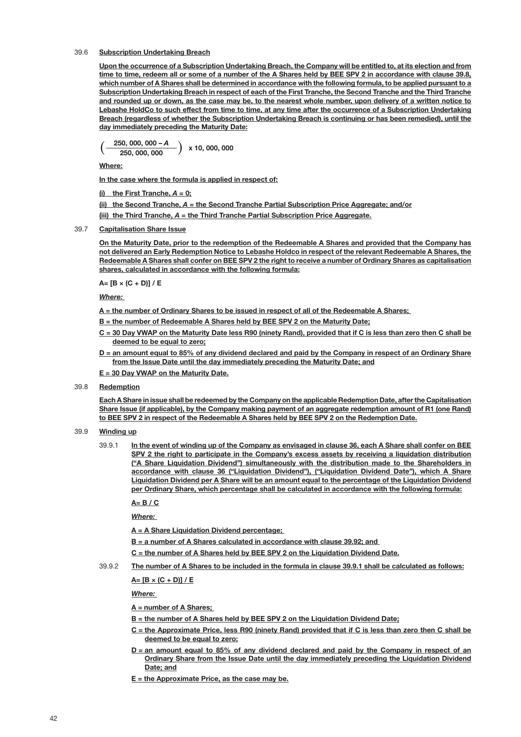## 39.6 Subscription Undertaking Breach

Upon the occurrence of a Subscription Undertaking Breach, the Company will be entitled to, at its election and from time to time, redeem all or some of a number of the A Shares held by BEE SPV 2 in accordance with clause 39.8, which number of A Shares shall be determined in accordance with the following formula, to be applied pursuant to a Subscription Undertaking Breach in respect of each of the First Tranche, the Second Tranche and the Third Tranche and rounded up or down, as the case may be, to the nearest whole number, upon delivery of a written notice to Lebashe HoldCo to such effect from time to time, at any time after the occurrence of a Subscription Undertaking Breach (regardless of whether the Subscription Undertaking Breach is continuing or has been remedied), until the day immediately preceding the Maturity Date:

$$
\left(\frac{250,000,000-A}{250,000,000}\right) \times 10,000,000
$$

Where:

In the case where the formula is applied in respect of:

(i) the First Tranche,  $A = 0$ ;

(ii) the Second Tranche, *A* = the Second Tranche Partial Subscription Price Aggregate; and/or

(iii) the Third Tranche, *A* = the Third Tranche Partial Subscription Price Aggregate.

## 39.7 Capitalisation Share Issue

On the Maturity Date, prior to the redemption of the Redeemable A Shares and provided that the Company has not delivered an Early Redemption Notice to Lebashe Holdco in respect of the relevant Redeemable A Shares, the Redeemable A Shares shall confer on BEE SPV 2 the right to receive a number of Ordinary Shares as capitalisation shares, calculated in accordance with the following formula:

 $A = [B \times (C + D)] / E$ 

*Where:* 

A = the number of Ordinary Shares to be issued in respect of all of the Redeemable A Shares;

- B = the number of Redeemable A Shares held by BEE SPV 2 on the Maturity Date;
- C = 30 Day VWAP on the Maturity Date less R90 (ninety Rand), provided that if C is less than zero then C shall be deemed to be equal to zero;
- an amount equal to 85% of any dividend declared and paid by the Company in respect of an Ordinary Share from the Issue Date until the day immediately preceding the Maturity Date; and

E = 30 Day VWAP on the Maturity Date.

39.8 Redemption

Each A Share in issue shall be redeemed by the Company on the applicable Redemption Date, after the Capitalisation Share Issue (if applicable), by the Company making payment of an aggregate redemption amount of R1 (one Rand) to BEE SPV 2 in respect of the Redeemable A Shares held by BEE SPV 2 on the Redemption Date.

#### 39.9 Winding up

39.9.1 In the event of winding up of the Company as envisaged in clause 36, each A Share shall confer on BEE SPV 2 the right to participate in the Company's excess assets by receiving a liquidation distribution ("A Share Liquidation Dividend") simultaneously with the distribution made to the Shareholders in accordance with clause 36 ("Liquidation Dividend"), ("Liquidation Dividend Date"), which A Share Liquidation Dividend per A Share will be an amount equal to the percentage of the Liquidation Dividend per Ordinary Share, which percentage shall be calculated in accordance with the following formula:

 $A=$  B / C

*Where:* 

A = A Share Liquidation Dividend percentage;

- B = a number of A Shares calculated in accordance with clause 39.92; and
- C = the number of A Shares held by BEE SPV 2 on the Liquidation Dividend Date.

39.9.2 The number of A Shares to be included in the formula in clause 39.9.1 shall be calculated as follows:

 $A=$   $IB \times (C + DI)/E$ 

*Where:* 

#### A = number of A Shares;

- B = the number of A Shares held by BEE SPV 2 on the Liquidation Dividend Date;
- C = the Approximate Price, less R90 (ninety Rand) provided that if C is less than zero then C shall be deemed to be equal to zero;
- $D =$  an amount equal to 85% of any dividend declared and paid by the Company in respect of an Ordinary Share from the Issue Date until the day immediately preceding the Liquidation Dividend Date; and

 $E =$  the Approximate Price, as the case may be.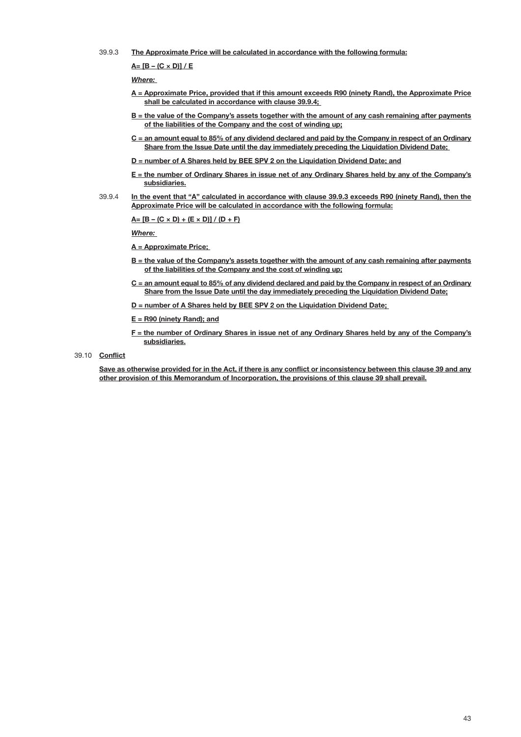39.9.3 The Approximate Price will be calculated in accordance with the following formula:

<span id="page-44-0"></span> $A = [B - (C \times D)] / E$ 

*Where:* 

- A = Approximate Price, provided that if this amount exceeds R90 (ninety Rand), the Approximate Price shall be calculated in accordance with clause 39.9.4;
- B = the value of the Company's assets together with the amount of any cash remaining after payments of the liabilities of the Company and the cost of winding up;
- C = an amount equal to 85% of any dividend declared and paid by the Company in respect of an Ordinary Share from the Issue Date until the day immediately preceding the Liquidation Dividend Date;
- D = number of A Shares held by BEE SPV 2 on the Liquidation Dividend Date; and
- E = the number of Ordinary Shares in issue net of any Ordinary Shares held by any of the Company's subsidiaries.
- 39.9.4 In the event that "A" calculated in accordance with clause [39.9.3](#page-44-0) exceeds R90 (ninety Rand), then the Approximate Price will be calculated in accordance with the following formula:

 $A= [B - (C \times D) + (E \times D)] / (D + F)$ 

*Where:* 

- A = Approximate Price;
- B = the value of the Company's assets together with the amount of any cash remaining after payments of the liabilities of the Company and the cost of winding up;
- C = an amount equal to 85% of any dividend declared and paid by the Company in respect of an Ordinary Share from the Issue Date until the day immediately preceding the Liquidation Dividend Date;
- D = number of A Shares held by BEE SPV 2 on the Liquidation Dividend Date;
- $E = R90$  (ninety Rand); and
- F = the number of Ordinary Shares in issue net of any Ordinary Shares held by any of the Company's subsidiaries.
- 39.10 Conflict

Save as otherwise provided for in the Act, if there is any conflict or inconsistency between this clause 39 and any other provision of this Memorandum of Incorporation, the provisions of this clause 39 shall prevail.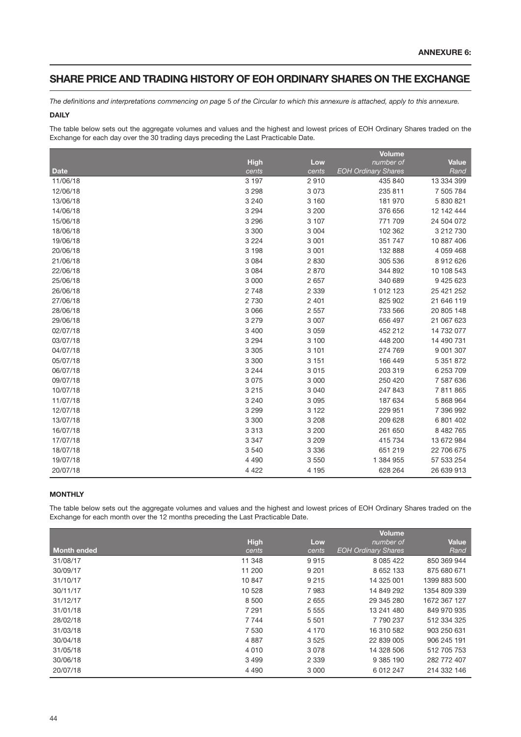## SHARE PRICE AND TRADING HISTORY OF EOH ORDINARY SHARES ON THE EXCHANGE

*The definitions and interpretations commencing on page* 5 *of the Circular to which this annexure is attached, apply to this annexure.*

## DAILY

The table below sets out the aggregate volumes and values and the highest and lowest prices of EOH Ordinary Shares traded on the Exchange for each day over the 30 trading days preceding the Last Practicable Date.

|             |             |         | <b>Volume</b>              |              |
|-------------|-------------|---------|----------------------------|--------------|
|             | <b>High</b> | Low     | number of                  | <b>Value</b> |
| <b>Date</b> | cents       | cents   | <b>EOH Ordinary Shares</b> | Rand         |
| 11/06/18    | 3 1 9 7     | 2910    | 435 840                    | 13 334 399   |
| 12/06/18    | 3 2 9 8     | 3 0 7 3 | 235 811                    | 7 505 784    |
| 13/06/18    | 3 2 4 0     | 3 1 6 0 | 181 970                    | 5 830 821    |
| 14/06/18    | 3 2 9 4     | 3 200   | 376 656                    | 12 142 444   |
| 15/06/18    | 3 2 9 6     | 3 107   | 771 709                    | 24 504 072   |
| 18/06/18    | 3 3 0 0     | 3 0 0 4 | 102 362                    | 3 212 730    |
| 19/06/18    | 3 2 2 4     | 3 0 0 1 | 351 747                    | 10 887 406   |
| 20/06/18    | 3 1 9 8     | 3 0 0 1 | 132 888                    | 4 059 468    |
| 21/06/18    | 3 0 8 4     | 2 8 3 0 | 305 536                    | 8912626      |
| 22/06/18    | 3 0 8 4     | 2870    | 344 892                    | 10 108 543   |
| 25/06/18    | 3 0 0 0     | 2 6 5 7 | 340 689                    | 9 425 623    |
| 26/06/18    | 2 7 4 8     | 2 3 3 9 | 1 012 123                  | 25 421 252   |
| 27/06/18    | 2730        | 2 4 0 1 | 825 902                    | 21 646 119   |
| 28/06/18    | 3 0 6 6     | 2 5 5 7 | 733 566                    | 20 805 148   |
| 29/06/18    | 3 2 7 9     | 3 0 0 7 | 656 497                    | 21 067 623   |
| 02/07/18    | 3 4 0 0     | 3 0 5 9 | 452 212                    | 14 732 077   |
| 03/07/18    | 3 2 9 4     | 3 100   | 448 200                    | 14 490 731   |
| 04/07/18    | 3 3 0 5     | 3 1 0 1 | 274 769                    | 9 001 307    |
| 05/07/18    | 3 3 0 0     | 3 1 5 1 | 166 449                    | 5 351 872    |
| 06/07/18    | 3 2 4 4     | 3 0 1 5 | 203 319                    | 6 253 709    |
| 09/07/18    | 3075        | 3 0 0 0 | 250 420                    | 7 587 636    |
| 10/07/18    | 3 2 1 5     | 3 0 4 0 | 247 843                    | 7811865      |
| 11/07/18    | 3 2 4 0     | 3 0 9 5 | 187 634                    | 5 868 964    |
| 12/07/18    | 3 2 9 9     | 3 1 2 2 | 229 951                    | 7 396 992    |
| 13/07/18    | 3 3 0 0     | 3 2 0 8 | 209 628                    | 6 801 402    |
| 16/07/18    | 3313        | 3 200   | 261 650                    | 8 482 765    |
| 17/07/18    | 3 3 4 7     | 3 2 0 9 | 415 734                    | 13 672 984   |
| 18/07/18    | 3540        | 3 3 3 6 | 651 219                    | 22 706 675   |
| 19/07/18    | 4 4 9 0     | 3550    | 1 384 955                  | 57 533 254   |
| 20/07/18    | 4 4 2 2     | 4 1 9 5 | 628 264                    | 26 639 913   |

## **MONTHLY**

The table below sets out the aggregate volumes and values and the highest and lowest prices of EOH Ordinary Shares traded on the Exchange for each month over the 12 months preceding the Last Practicable Date.

|                    |             |         | <b>Volume</b>              |              |
|--------------------|-------------|---------|----------------------------|--------------|
|                    | <b>High</b> | Low     | number of                  | <b>Value</b> |
| <b>Month ended</b> | cents       | cents   | <b>EOH Ordinary Shares</b> | Rand         |
| 31/08/17           | 11 348      | 9915    | 8 0 8 5 4 2 2              | 850 369 944  |
| 30/09/17           | 11 200      | 9 2 0 1 | 8 652 133                  | 875 680 671  |
| 31/10/17           | 10847       | 9 2 1 5 | 14 325 001                 | 1399 883 500 |
| 30/11/17           | 10 528      | 7983    | 14 849 292                 | 1354 809 339 |
| 31/12/17           | 8 5 0 0     | 2655    | 29 345 280                 | 1672 367 127 |
| 31/01/18           | 7 2 9 1     | 5 5 5 5 | 13 241 480                 | 849 970 935  |
| 28/02/18           | 7 7 4 4     | 5 5 0 1 | 7790237                    | 512 334 325  |
| 31/03/18           | 7 5 3 0     | 4 1 7 0 | 16 310 582                 | 903 250 631  |
| 30/04/18           | 4887        | 3525    | 22 839 005                 | 906 245 191  |
| 31/05/18           | 4 0 1 0     | 3078    | 14 328 506                 | 512 705 753  |
| 30/06/18           | 3 4 9 9     | 2 3 3 9 | 9 385 190                  | 282 772 407  |
| 20/07/18           | 4 4 9 0     | 3 0 0 0 | 6 012 247                  | 214 332 146  |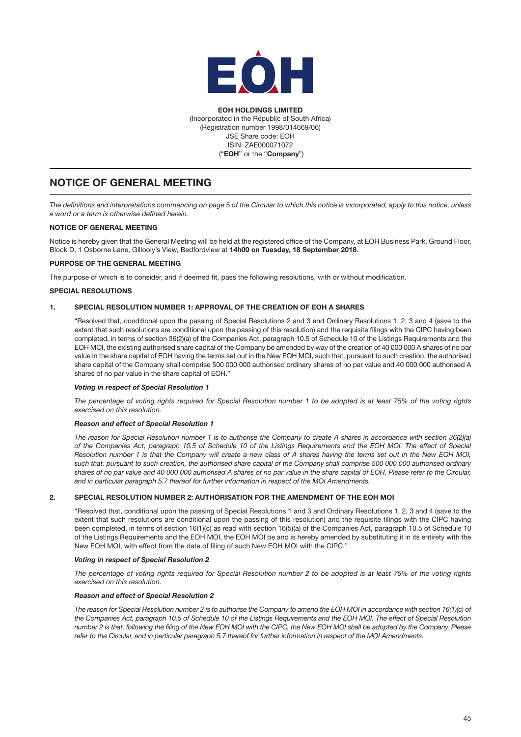

EOH HOLDINGS LIMITED (Incorporated in the Republic of South Africa) (Registration number 1998/014669/06) JSE Share code: EOH ISIN: ZAE000071072 ("EOH" or the "Company")

# NOTICE OF GENERAL MEETING

*The definitions and interpretations commencing on page* 5 *of the Circular to which this notice is incorporated, apply to this notice, unless a word or a term is otherwise defined herein.* 

## NOTICE OF GENERAL MEETING

Notice is hereby given that the General Meeting will be held at the registered office of the Company, at EOH Business Park, Ground Floor, Block D, 1 Osborne Lane, Gillooly's View, Bedfordview at 14h00 on Tuesday, 18 September 2018.

## PURPOSE OF THE GENERAL MEETING

The purpose of which is to consider, and if deemed fit, pass the following resolutions, with or without modification.

## SPECIAL RESOLUTIONS

## 1. SPECIAL RESOLUTION NUMBER 1: APPROVAL OF THE CREATION OF EOH A SHARES

"Resolved that, conditional upon the passing of Special Resolutions 2 and 3 and Ordinary Resolutions 1, 2, 3 and 4 (save to the extent that such resolutions are conditional upon the passing of this resolution) and the requisite filings with the CIPC having been completed, in terms of section 36(2)(a) of the Companies Act, paragraph 10.5 of Schedule 10 of the Listings Requirements and the EOH MOI, the existing authorised share capital of the Company be amended by way of the creation of 40 000 000 A shares of no par value in the share capital of EOH having the terms set out in the New EOH MOI, such that, pursuant to such creation, the authorised share capital of the Company shall comprise 500 000 000 authorised ordinary shares of no par value and 40 000 000 authorised A shares of no par value in the share capital of EOH."

#### *Voting in respect of Special Resolution 1*

*The percentage of voting rights required for Special Resolution number 1 to be adopted is at least 75% of the voting rights exercised on this resolution.* 

#### *Reason and effect of Special Resolution 1*

*The reason for Special Resolution number 1 is to authorise the Company to create A shares in accordance with section 36(2)(a) of the Companies Act, paragraph 10.5 of Schedule 10 of the Listings Requirements and the EOH MOI. The effect of Special Resolution number 1 is that the Company will create a new class of A shares having the terms set out in the New EOH MOI, such that, pursuant to such creation, the authorised share capital of the Company shall comprise 500 000 000 authorised ordinary shares of no par value and 40 000 000 authorised A shares of no par value in the share capital of EOH. Please refer to the Circular, and in particular paragraph [5.7](#page-17-1) thereof for further information in respect of the MOI Amendments.*

## 2. SPECIAL RESOLUTION NUMBER 2: AUTHORISATION FOR THE AMENDMENT OF THE EOH MOI

"Resolved that, conditional upon the passing of Special Resolutions 1 and 3 and Ordinary Resolutions 1, 2, 3 and 4 (save to the extent that such resolutions are conditional upon the passing of this resolution) and the requisite filings with the CIPC having been completed, in terms of section 16(1)(c) as read with section 16(5)(a) of the Companies Act, paragraph 10.5 of Schedule 10 of the Listings Requirements and the EOH MOI, the EOH MOI be and is hereby amended by substituting it in its entirety with the New EOH MOI, with effect from the date of filing of such New EOH MOI with the CIPC."

### *Voting in respect of Special Resolution 2*

*The percentage of voting rights required for Special Resolution number 2 to be adopted is at least 75% of the voting rights exercised on this resolution.* 

#### *Reason and effect of Special Resolution 2*

*The reason for Special Resolution number 2 is to authorise the Company to amend the EOH MOI in accordance with section 16(1)(c) of the Companies Act, paragraph 10.5 of Schedule 10 of the Listings Requirements and the EOH MOI. The effect of Special Resolution number 2 is that, following the filing of the New EOH MOI with the CIPC, the New EOH MOI shall be adopted by the Company. Please refer to the Circular, and in particular paragraph [5.7](#page-17-1) thereof for further information in respect of the MOI Amendments.*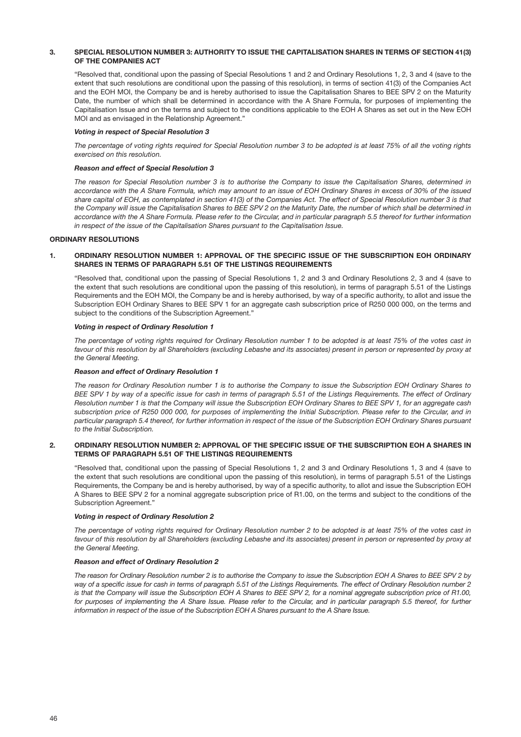#### 3. SPECIAL RESOLUTION NUMBER 3: AUTHORITY TO ISSUE THE CAPITALISATION SHARES IN TERMS OF SECTION 41(3) OF THE COMPANIES ACT

"Resolved that, conditional upon the passing of Special Resolutions 1 and 2 and Ordinary Resolutions 1, 2, 3 and 4 (save to the extent that such resolutions are conditional upon the passing of this resolution), in terms of section 41(3) of the Companies Act and the EOH MOI, the Company be and is hereby authorised to issue the Capitalisation Shares to BEE SPV 2 on the Maturity Date, the number of which shall be determined in accordance with the A Share Formula, for purposes of implementing the Capitalisation Issue and on the terms and subject to the conditions applicable to the EOH A Shares as set out in the New EOH MOI and as envisaged in the Relationship Agreement."

#### *Voting in respect of Special Resolution 3*

*The percentage of voting rights required for Special Resolution number 3 to be adopted is at least 75% of all the voting rights exercised on this resolution.* 

## *Reason and effect of Special Resolution 3*

*The reason for Special Resolution number 3 is to authorise the Company to issue the Capitalisation Shares, determined in accordance with the A Share Formula, which may amount to an issue of EOH Ordinary Shares in excess of 30% of the issued share capital of EOH, as contemplated in section 41(3) of the Companies Act. The effect of Special Resolution number 3 is that the Company will issue the Capitalisation Shares to BEE SPV 2 on the Maturity Date, the number of which shall be determined in accordance with the A Share Formula. Please refer to the Circular, and in particular paragraph [5.5](#page-15-0) thereof for further information in respect of the issue of the Capitalisation Shares pursuant to the Capitalisation Issue.*

## ORDINARY RESOLUTIONS

## 1. ORDINARY RESOLUTION NUMBER 1: APPROVAL OF THE SPECIFIC ISSUE OF THE SUBSCRIPTION EOH ORDINARY SHARES IN TERMS OF PARAGRAPH 5.51 OF THE LISTINGS REQUIREMENTS

"Resolved that, conditional upon the passing of Special Resolutions 1, 2 and 3 and Ordinary Resolutions 2, 3 and 4 (save to the extent that such resolutions are conditional upon the passing of this resolution), in terms of paragraph 5.51 of the Listings Requirements and the EOH MOI, the Company be and is hereby authorised, by way of a specific authority, to allot and issue the Subscription EOH Ordinary Shares to BEE SPV 1 for an aggregate cash subscription price of R250 000 000, on the terms and subject to the conditions of the Subscription Agreement."

#### *Voting in respect of Ordinary Resolution 1*

*The percentage of voting rights required for Ordinary Resolution number 1 to be adopted is at least 75% of the votes cast in*  favour of this resolution by all Shareholders (excluding Lebashe and its associates) present in person or represented by proxy at *the General Meeting.* 

#### *Reason and effect of Ordinary Resolution 1*

*The reason for Ordinary Resolution number 1 is to authorise the Company to issue the Subscription EOH Ordinary Shares to BEE SPV 1 by way of a specific issue for cash in terms of paragraph 5.51 of the Listings Requirements. The effect of Ordinary Resolution number 1 is that the Company will issue the Subscription EOH Ordinary Shares to BEE SPV 1, for an aggregate cash subscription price of R250 000 000, for purposes of implementing the Initial Subscription. Please refer to the Circular, and in particular paragraph [5.4](#page-15-1) thereof, for further information in respect of the issue of the Subscription EOH Ordinary Shares pursuant to the Initial Subscription.*

### 2. ORDINARY RESOLUTION NUMBER 2: APPROVAL OF THE SPECIFIC ISSUE OF THE SUBSCRIPTION EOH A SHARES IN TERMS OF PARAGRAPH 5.51 OF THE LISTINGS REQUIREMENTS

"Resolved that, conditional upon the passing of Special Resolutions 1, 2 and 3 and Ordinary Resolutions 1, 3 and 4 (save to the extent that such resolutions are conditional upon the passing of this resolution), in terms of paragraph 5.51 of the Listings Requirements, the Company be and is hereby authorised, by way of a specific authority, to allot and issue the Subscription EOH A Shares to BEE SPV 2 for a nominal aggregate subscription price of R1.00, on the terms and subject to the conditions of the Subscription Agreement."

#### *Voting in respect of Ordinary Resolution 2*

*The percentage of voting rights required for Ordinary Resolution number 2 to be adopted is at least 75% of the votes cast in*  favour of this resolution by all Shareholders (excluding Lebashe and its associates) present in person or represented by proxy at *the General Meeting.* 

#### *Reason and effect of Ordinary Resolution 2*

*The reason for Ordinary Resolution number 2 is to authorise the Company to issue the Subscription EOH A Shares to BEE SPV 2 by*  way of a specific issue for cash in terms of paragraph 5.51 of the Listings Requirements. The effect of Ordinary Resolution number 2 *is that the Company will issue the Subscription EOH A Shares to BEE SPV 2, for a nominal aggregate subscription price of R1.00, for purposes of implementing the A Share Issue. Please refer to the Circular, and in particular paragraph [5.5](#page-15-0) thereof, for further information in respect of the issue of the Subscription EOH A Shares pursuant to the A Share Issue.*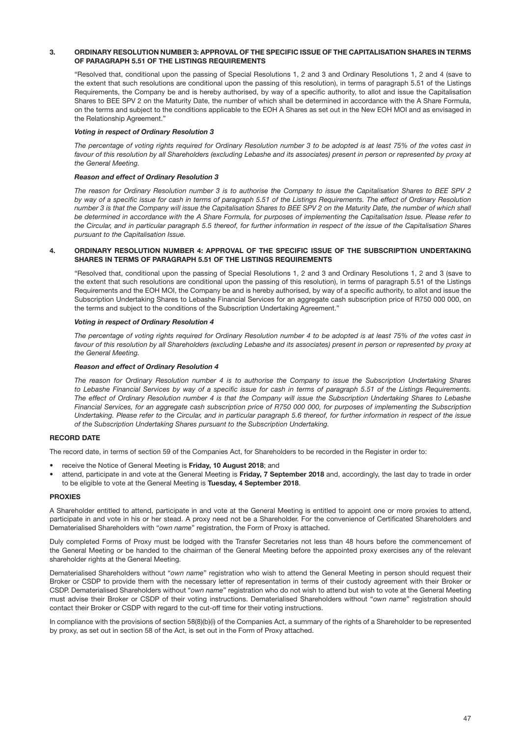#### 3. ORDINARY RESOLUTION NUMBER 3: APPROVAL OF THE SPECIFIC ISSUE OF THE CAPITALISATION SHARES IN TERMS OF PARAGRAPH 5.51 OF THE LISTINGS REQUIREMENTS

"Resolved that, conditional upon the passing of Special Resolutions 1, 2 and 3 and Ordinary Resolutions 1, 2 and 4 (save to the extent that such resolutions are conditional upon the passing of this resolution), in terms of paragraph 5.51 of the Listings Requirements, the Company be and is hereby authorised, by way of a specific authority, to allot and issue the Capitalisation Shares to BEE SPV 2 on the Maturity Date, the number of which shall be determined in accordance with the A Share Formula, on the terms and subject to the conditions applicable to the EOH A Shares as set out in the New EOH MOI and as envisaged in the Relationship Agreement."

#### *Voting in respect of Ordinary Resolution 3*

*The percentage of voting rights required for Ordinary Resolution number 3 to be adopted is at least 75% of the votes cast in*  favour of this resolution by all Shareholders (excluding Lebashe and its associates) present in person or represented by proxy at *the General Meeting.* 

#### *Reason and effect of Ordinary Resolution 3*

*The reason for Ordinary Resolution number 3 is to authorise the Company to issue the Capitalisation Shares to BEE SPV 2 by way of a specific issue for cash in terms of paragraph 5.51 of the Listings Requirements. The effect of Ordinary Resolution number 3 is that the Company will issue the Capitalisation Shares to BEE SPV 2 on the Maturity Date, the number of which shall be determined in accordance with the A Share Formula, for purposes of implementing the Capitalisation Issue. Please refer to the Circular, and in particular paragraph [5.5](#page-15-0) thereof, for further information in respect of the issue of the Capitalisation Shares pursuant to the Capitalisation Issue.*

#### 4. ORDINARY RESOLUTION NUMBER 4: APPROVAL OF THE SPECIFIC ISSUE OF THE SUBSCRIPTION UNDERTAKING SHARES IN TERMS OF PARAGRAPH 5.51 OF THE LISTINGS REQUIREMENTS

"Resolved that, conditional upon the passing of Special Resolutions 1, 2 and 3 and Ordinary Resolutions 1, 2 and 3 (save to the extent that such resolutions are conditional upon the passing of this resolution), in terms of paragraph 5.51 of the Listings Requirements and the EOH MOI, the Company be and is hereby authorised, by way of a specific authority, to allot and issue the Subscription Undertaking Shares to Lebashe Financial Services for an aggregate cash subscription price of R750 000 000, on the terms and subject to the conditions of the Subscription Undertaking Agreement."

## *Voting in respect of Ordinary Resolution 4*

*The percentage of voting rights required for Ordinary Resolution number 4 to be adopted is at least 75% of the votes cast in*  favour of this resolution by all Shareholders (excluding Lebashe and its associates) present in person or represented by proxy at *the General Meeting.* 

#### *Reason and effect of Ordinary Resolution 4*

*The reason for Ordinary Resolution number 4 is to authorise the Company to issue the Subscription Undertaking Shares to Lebashe Financial Services by way of a specific issue for cash in terms of paragraph 5.51 of the Listings Requirements. The effect of Ordinary Resolution number 4 is that the Company will issue the Subscription Undertaking Shares to Lebashe Financial Services, for an aggregate cash subscription price of R750 000 000, for purposes of implementing the Subscription Undertaking. Please refer to the Circular, and in particular paragraph [5.6](#page-16-2) thereof, for further information in respect of the issue of the Subscription Undertaking Shares pursuant to the Subscription Undertaking.*

## RECORD DATE

The record date, in terms of section 59 of the Companies Act, for Shareholders to be recorded in the Register in order to:

- receive the Notice of General Meeting is Friday, 10 August 2018; and
- attend, participate in and vote at the General Meeting is Friday, 7 September 2018 and, accordingly, the last day to trade in order to be eligible to vote at the General Meeting is Tuesday, 4 September 2018.

#### PROXIES

A Shareholder entitled to attend, participate in and vote at the General Meeting is entitled to appoint one or more proxies to attend, participate in and vote in his or her stead. A proxy need not be a Shareholder. For the convenience of Certificated Shareholders and Dematerialised Shareholders with "*own name*" registration, the Form of Proxy is attached.

Duly completed Forms of Proxy must be lodged with the Transfer Secretaries not less than 48 hours before the commencement of the General Meeting or be handed to the chairman of the General Meeting before the appointed proxy exercises any of the relevant shareholder rights at the General Meeting.

Dematerialised Shareholders without "*own name*" registration who wish to attend the General Meeting in person should request their Broker or CSDP to provide them with the necessary letter of representation in terms of their custody agreement with their Broker or CSDP. Dematerialised Shareholders without "*own name*" registration who do not wish to attend but wish to vote at the General Meeting must advise their Broker or CSDP of their voting instructions. Dematerialised Shareholders without "*own name*" registration should contact their Broker or CSDP with regard to the cut-off time for their voting instructions.

In compliance with the provisions of section 58(8)(b)(i) of the Companies Act, a summary of the rights of a Shareholder to be represented by proxy, as set out in section 58 of the Act, is set out in the Form of Proxy attached.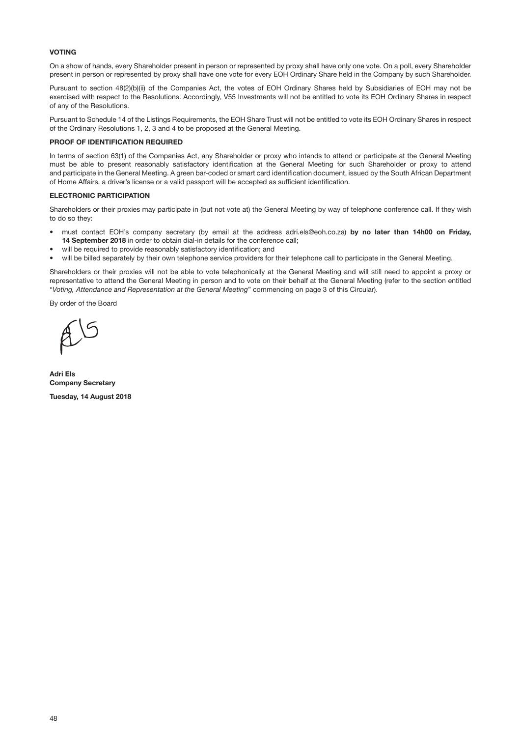## VOTING

On a show of hands, every Shareholder present in person or represented by proxy shall have only one vote. On a poll, every Shareholder present in person or represented by proxy shall have one vote for every EOH Ordinary Share held in the Company by such Shareholder.

Pursuant to section 48(2)(b)(ii) of the Companies Act, the votes of EOH Ordinary Shares held by Subsidiaries of EOH may not be exercised with respect to the Resolutions. Accordingly, V55 Investments will not be entitled to vote its EOH Ordinary Shares in respect of any of the Resolutions.

Pursuant to Schedule 14 of the Listings Requirements, the EOH Share Trust will not be entitled to vote its EOH Ordinary Shares in respect of the Ordinary Resolutions 1, 2, 3 and 4 to be proposed at the General Meeting.

#### PROOF OF IDENTIFICATION REQUIRED

In terms of section 63(1) of the Companies Act, any Shareholder or proxy who intends to attend or participate at the General Meeting must be able to present reasonably satisfactory identification at the General Meeting for such Shareholder or proxy to attend and participate in the General Meeting. A green bar-coded or smart card identification document, issued by the South African Department of Home Affairs, a driver's license or a valid passport will be accepted as sufficient identification.

#### ELECTRONIC PARTICIPATION

Shareholders or their proxies may participate in (but not vote at) the General Meeting by way of telephone conference call. If they wish to do so they:

- must contact EOH's company secretary (by email at the address [adri.els@eoh.co.za\)](mailto:adri.els@eoh.co.za) by no later than 14h00 on Friday, 14 September 2018 in order to obtain dial-in details for the conference call;
- will be required to provide reasonably satisfactory identification; and
- will be billed separately by their own telephone service providers for their telephone call to participate in the General Meeting.

Shareholders or their proxies will not be able to vote telephonically at the General Meeting and will still need to appoint a proxy or representative to attend the General Meeting in person and to vote on their behalf at the General Meeting (refer to the section entitled "*Voting, Attendance and Representation at the General Meeting*" commencing on page 3 of this Circular).

By order of the Board

Adri Els Company Secretary

Tuesday, 14 August 2018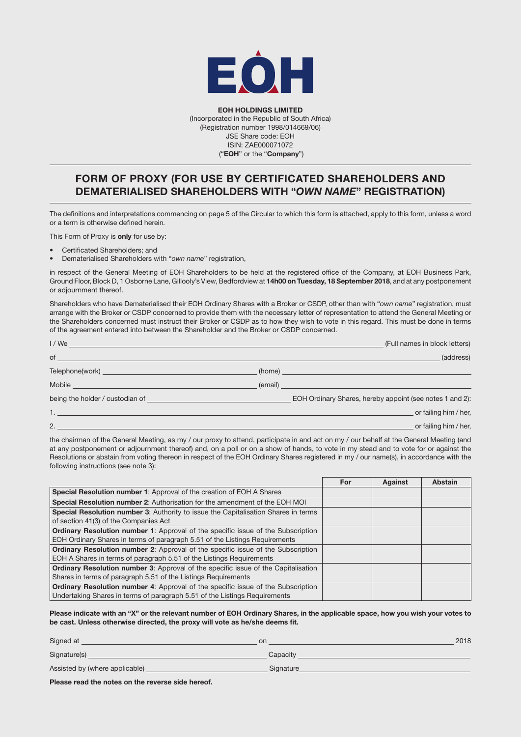

EOH HOLDINGS LIMITED (Incorporated in the Republic of South Africa) (Registration number 1998/014669/06) JSE Share code: EOH ISIN: ZAE000071072 ("EOH" or the "Company")

# FORM OF PROXY (FOR USE BY CERTIFICATED SHAREHOLDERS AND DEMATERIALISED SHAREHOLDERS WITH "*OWN NAME*" REGISTRATION)

The definitions and interpretations commencing on page 5 of the Circular to which this form is attached, apply to this form, unless a word or a term is otherwise defined herein*.* 

This Form of Proxy is only for use by:

- Certificated Shareholders; and
- Dematerialised Shareholders with "*own name*" registration,

in respect of the General Meeting of EOH Shareholders to be held at the registered office of the Company, at EOH Business Park, Ground Floor, Block D, 1 Osborne Lane, Gillooly's View, Bedfordview at 14h00 on Tuesday, 18 September 2018, and at any postponement or adjournment thereof.

Shareholders who have Dematerialised their EOH Ordinary Shares with a Broker or CSDP, other than with "*own name*" registration, must arrange with the Broker or CSDP concerned to provide them with the necessary letter of representation to attend the General Meeting or the Shareholders concerned must instruct their Broker or CSDP as to how they wish to vote in this regard. This must be done in terms of the agreement entered into between the Shareholder and the Broker or CSDP concerned.

|                                                                                                                                                                                                                                      | (Full names in block letters)                            |
|--------------------------------------------------------------------------------------------------------------------------------------------------------------------------------------------------------------------------------------|----------------------------------------------------------|
| $of$ $\overline{\phantom{a}}$                                                                                                                                                                                                        | (address)                                                |
|                                                                                                                                                                                                                                      |                                                          |
|                                                                                                                                                                                                                                      | $($ email) $\qquad$                                      |
| being the holder / custodian of <b>container and the holder of the set of the set of the set of the set of the set of the set of the set of the set of the set of the set of the set of the set of the set of the set of the set</b> | EOH Ordinary Shares, hereby appoint (see notes 1 and 2): |
|                                                                                                                                                                                                                                      | or failing him / her,                                    |
|                                                                                                                                                                                                                                      | or failing him / her,                                    |
|                                                                                                                                                                                                                                      |                                                          |

the chairman of the General Meeting, as my / our proxy to attend, participate in and act on my / our behalf at the General Meeting (and at any postponement or adjournment thereof) and, on a poll or on a show of hands, to vote in my stead and to vote for or against the Resolutions or abstain from voting thereon in respect of the EOH Ordinary Shares registered in my / our name(s), in accordance with the following instructions (see note 3):

|                                                                                         | For | Against | <b>Abstain</b> |
|-----------------------------------------------------------------------------------------|-----|---------|----------------|
| Special Resolution number 1: Approval of the creation of EOH A Shares                   |     |         |                |
| Special Resolution number 2: Authorisation for the amendment of the EOH MOI             |     |         |                |
| Special Resolution number 3: Authority to issue the Capitalisation Shares in terms      |     |         |                |
| of section 41(3) of the Companies Act                                                   |     |         |                |
| <b>Ordinary Resolution number 1:</b> Approval of the specific issue of the Subscription |     |         |                |
| EOH Ordinary Shares in terms of paragraph 5.51 of the Listings Requirements             |     |         |                |
| <b>Ordinary Resolution number 2:</b> Approval of the specific issue of the Subscription |     |         |                |
| EOH A Shares in terms of paragraph 5.51 of the Listings Reguirements                    |     |         |                |
| Ordinary Resolution number 3: Approval of the specific issue of the Capitalisation      |     |         |                |
| Shares in terms of paragraph 5.51 of the Listings Requirements                          |     |         |                |
| <b>Ordinary Resolution number 4:</b> Approval of the specific issue of the Subscription |     |         |                |
| Undertaking Shares in terms of paragraph 5.51 of the Listings Requirements              |     |         |                |

Please indicate with an "X" or the relevant number of EOH Ordinary Shares, in the applicable space, how you wish your votes to be cast. Unless otherwise directed, the proxy will vote as he/she deems fit.

| Signed at                      | on        | 2018 |
|--------------------------------|-----------|------|
| Signature(s)                   | Capacity  |      |
| Assisted by (where applicable) | Signature |      |
|                                |           |      |

Please read the notes on the reverse side hereof.